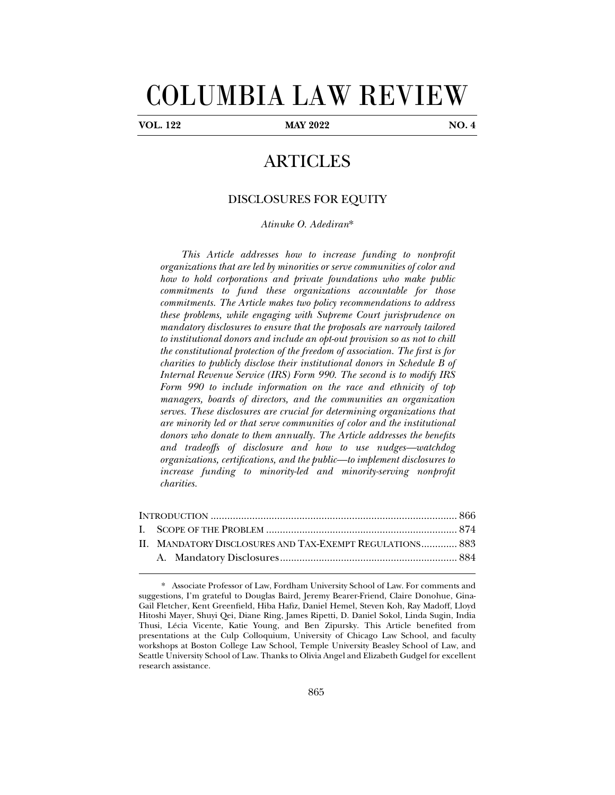# COLUMBIA LAW REVIEW

j

**VOL. 122 MAY 2022 NO. 4** 

## ARTICLES

### DISCLOSURES FOR EQUITY

*Atinuke O. Adediran*\*

*This Article addresses how to increase funding to nonprofit organizations that are led by minorities or serve communities of color and how to hold corporations and private foundations who make public commitments to fund these organizations accountable for those commitments. The Article makes two policy recommendations to address these problems, while engaging with Supreme Court jurisprudence on mandatory disclosures to ensure that the proposals are narrowly tailored to institutional donors and include an opt-out provision so as not to chill the constitutional protection of the freedom of association. The first is for charities to publicly disclose their institutional donors in Schedule B of Internal Revenue Service (IRS) Form 990. The second is to modify IRS Form 990 to include information on the race and ethnicity of top managers, boards of directors, and the communities an organization serves. These disclosures are crucial for determining organizations that are minority led or that serve communities of color and the institutional donors who donate to them annually. The Article addresses the benefits and tradeoffs of disclosure and how to use nudges—watchdog organizations, certifications, and the public—to implement disclosures to increase funding to minority-led and minority-serving nonprofit charities.* 

| II. MANDATORY DISCLOSURES AND TAX-EXEMPT REGULATIONS 883 |  |
|----------------------------------------------------------|--|
|                                                          |  |

<sup>\*.</sup> Associate Professor of Law, Fordham University School of Law. For comments and suggestions, I'm grateful to Douglas Baird, Jeremy Bearer-Friend, Claire Donohue, Gina-Gail Fletcher, Kent Greenfield, Hiba Hafiz, Daniel Hemel, Steven Koh, Ray Madoff, Lloyd Hitoshi Mayer, Shuyi Qei, Diane Ring, James Ripetti, D. Daniel Sokol, Linda Sugin, India Thusi, Lécia Vicente, Katie Young, and Ben Zipursky. This Article benefited from presentations at the Culp Colloquium, University of Chicago Law School, and faculty workshops at Boston College Law School, Temple University Beasley School of Law, and Seattle University School of Law. Thanks to Olivia Angel and Elizabeth Gudgel for excellent research assistance.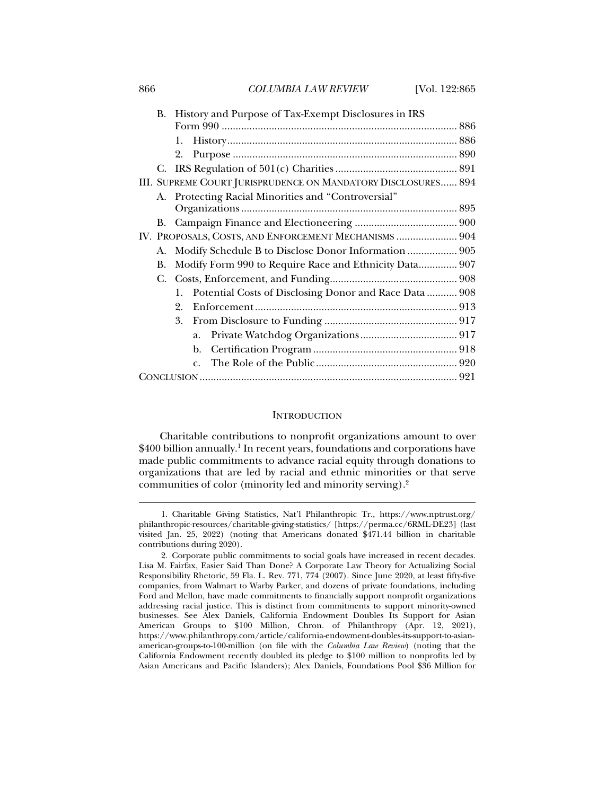866 *COLUMBIA LAW REVIEW* [Vol. 122:865

| В. |                                                               |                                                        | History and Purpose of Tax-Exempt Disclosures in IRS |  |  |  |
|----|---------------------------------------------------------------|--------------------------------------------------------|------------------------------------------------------|--|--|--|
|    |                                                               |                                                        |                                                      |  |  |  |
|    | 1.                                                            |                                                        |                                                      |  |  |  |
|    | 2.                                                            |                                                        |                                                      |  |  |  |
|    |                                                               |                                                        |                                                      |  |  |  |
|    | III. SUPREME COURT JURISPRUDENCE ON MANDATORY DISCLOSURES 894 |                                                        |                                                      |  |  |  |
|    | A. Protecting Racial Minorities and "Controversial"           |                                                        |                                                      |  |  |  |
|    |                                                               |                                                        |                                                      |  |  |  |
|    |                                                               |                                                        |                                                      |  |  |  |
|    | IV. PROPOSALS, COSTS, AND ENFORCEMENT MECHANISMS  904         |                                                        |                                                      |  |  |  |
| A. | Modify Schedule B to Disclose Donor Information  905          |                                                        |                                                      |  |  |  |
| В. | Modify Form 990 to Require Race and Ethnicity Data 907        |                                                        |                                                      |  |  |  |
|    |                                                               |                                                        |                                                      |  |  |  |
|    | $1_{-}$                                                       | Potential Costs of Disclosing Donor and Race Data  908 |                                                      |  |  |  |
|    | $2_{-}$                                                       |                                                        |                                                      |  |  |  |
|    | 3.                                                            |                                                        |                                                      |  |  |  |
|    |                                                               | a.                                                     |                                                      |  |  |  |
|    |                                                               | b.                                                     |                                                      |  |  |  |
|    |                                                               | $\mathcal{C}$ .                                        |                                                      |  |  |  |
|    |                                                               |                                                        |                                                      |  |  |  |
|    |                                                               |                                                        |                                                      |  |  |  |

#### **INTRODUCTION**

Charitable contributions to nonprofit organizations amount to over  $$400$  billion annually. $^1$  In recent years, foundations and corporations have made public commitments to advance racial equity through donations to organizations that are led by racial and ethnic minorities or that serve communities of color (minority led and minority serving).2

 <sup>1.</sup> Charitable Giving Statistics, Nat'l Philanthropic Tr., https://www.nptrust.org/ philanthropic-resources/charitable-giving-statistics/ [https://perma.cc/6RML-DE23] (last visited Jan. 25, 2022) (noting that Americans donated \$471.44 billion in charitable contributions during 2020).

 <sup>2.</sup> Corporate public commitments to social goals have increased in recent decades. Lisa M. Fairfax, Easier Said Than Done? A Corporate Law Theory for Actualizing Social Responsibility Rhetoric, 59 Fla. L. Rev. 771, 774 (2007). Since June 2020, at least fifty-five companies, from Walmart to Warby Parker, and dozens of private foundations, including Ford and Mellon, have made commitments to financially support nonprofit organizations addressing racial justice. This is distinct from commitments to support minority-owned businesses. See Alex Daniels, California Endowment Doubles Its Support for Asian American Groups to \$100 Million, Chron. of Philanthropy (Apr. 12, 2021), https://www.philanthropy.com/article/california-endowment-doubles-its-support-to-asianamerican-groups-to-100-million (on file with the *Columbia Law Review*) (noting that the California Endowment recently doubled its pledge to \$100 million to nonprofits led by Asian Americans and Pacific Islanders); Alex Daniels, Foundations Pool \$36 Million for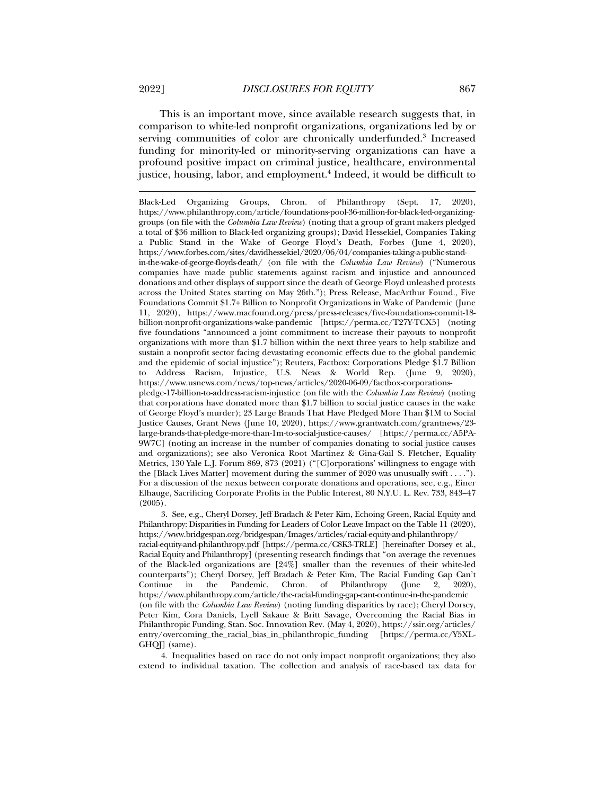This is an important move, since available research suggests that, in comparison to white-led nonprofit organizations, organizations led by or serving communities of color are chronically underfunded.<sup>3</sup> Increased funding for minority-led or minority-serving organizations can have a profound positive impact on criminal justice, healthcare, environmental justice, housing, labor, and employment.4 Indeed, it would be difficult to

in-the-wake-of-george-floyds-death/ (on file with the *Columbia Law Review*) ("Numerous companies have made public statements against racism and injustice and announced donations and other displays of support since the death of George Floyd unleashed protests across the United States starting on May 26th."); Press Release, MacArthur Found., Five Foundations Commit \$1.7+ Billion to Nonprofit Organizations in Wake of Pandemic (June 11, 2020), https://www.macfound.org/press/press-releases/five-foundations-commit-18 billion-nonprofit-organizations-wake-pandemic [https://perma.cc/T27Y-TCX5] (noting five foundations "announced a joint commitment to increase their payouts to nonprofit organizations with more than \$1.7 billion within the next three years to help stabilize and sustain a nonprofit sector facing devastating economic effects due to the global pandemic and the epidemic of social injustice"); Reuters, Factbox: Corporations Pledge \$1.7 Billion to Address Racism, Injustice, U.S. News & World Rep. (June 9, 2020), https://www.usnews.com/news/top-news/articles/2020-06-09/factbox-corporationspledge-17-billion-to-address-racism-injustice (on file with the *Columbia Law Review*) (noting

that corporations have donated more than \$1.7 billion to social justice causes in the wake of George Floyd's murder); 23 Large Brands That Have Pledged More Than \$1M to Social Justice Causes, Grant News (June 10, 2020), https://www.grantwatch.com/grantnews/23 large-brands-that-pledge-more-than-1m-to-social-justice-causes/ [https://perma.cc/A5PA-9W7C] (noting an increase in the number of companies donating to social justice causes and organizations); see also Veronica Root Martinez & Gina-Gail S. Fletcher, Equality Metrics, 130 Yale L.J. Forum 869, 873 (2021) ("[C]orporations' willingness to engage with the [Black Lives Matter] movement during the summer of 2020 was unusually swift . . . ."). For a discussion of the nexus between corporate donations and operations, see, e.g., Einer Elhauge, Sacrificing Corporate Profits in the Public Interest, 80 N.Y.U. L. Rev. 733, 843–47 (2005).

 3. See, e.g., Cheryl Dorsey, Jeff Bradach & Peter Kim, Echoing Green, Racial Equity and Philanthropy: Disparities in Funding for Leaders of Color Leave Impact on the Table 11 (2020), https://www.bridgespan.org/bridgespan/Images/articles/racial-equity-and-philanthropy/ racial-equity-and-philanthropy.pdf [https://perma.cc/C8K3-TRLE] [hereinafter Dorsey et al., Racial Equity and Philanthropy] (presenting research findings that "on average the revenues of the Black-led organizations are [24%] smaller than the revenues of their white-led counterparts"); Cheryl Dorsey, Jeff Bradach & Peter Kim, The Racial Funding Gap Can't Continue in the Pandemic, Chron. of Philanthropy (June 2, 2020), https://www.philanthropy.com/article/the-racial-funding-gap-cant-continue-in-the-pandemic (on file with the *Columbia Law Review*) (noting funding disparities by race); Cheryl Dorsey, Peter Kim, Cora Daniels, Lyell Sakaue & Britt Savage, Overcoming the Racial Bias in Philanthropic Funding, Stan. Soc. Innovation Rev. (May 4, 2020), https://ssir.org/articles/ entry/overcoming\_the\_racial\_bias\_in\_philanthropic\_funding [https://perma.cc/Y5XL-GHQJ] (same).

 4. Inequalities based on race do not only impact nonprofit organizations; they also extend to individual taxation. The collection and analysis of race-based tax data for

Black-Led Organizing Groups, Chron. of Philanthropy (Sept. 17, 2020), https://www.philanthropy.com/article/foundations-pool-36-million-for-black-led-organizinggroups (on file with the *Columbia Law Review*) (noting that a group of grant makers pledged a total of \$36 million to Black-led organizing groups); David Hessekiel, Companies Taking a Public Stand in the Wake of George Floyd's Death, Forbes (June 4, 2020), https://www.forbes.com/sites/davidhessekiel/2020/06/04/companies-taking-a-public-stand-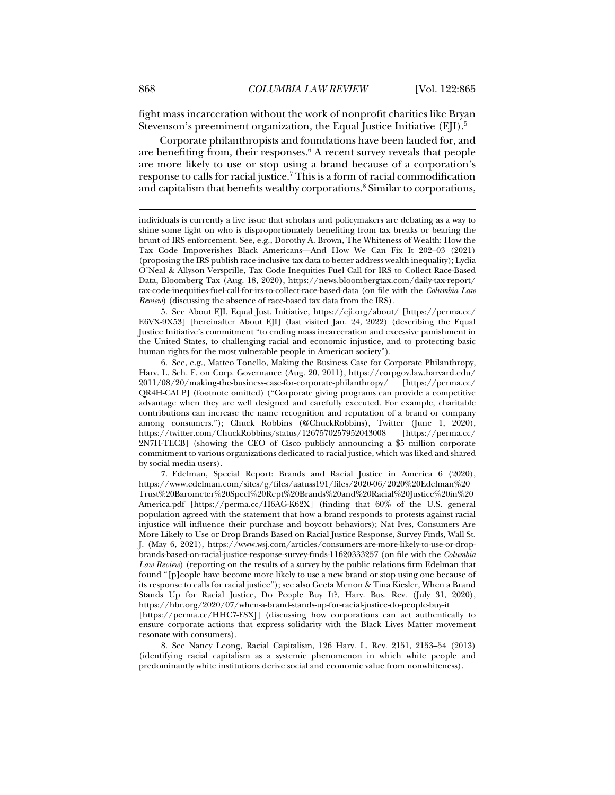fight mass incarceration without the work of nonprofit charities like Bryan Stevenson's preeminent organization, the Equal Justice Initiative (EII).<sup>5</sup>

Corporate philanthropists and foundations have been lauded for, and are benefiting from, their responses.<sup>6</sup> A recent survey reveals that people are more likely to use or stop using a brand because of a corporation's response to calls for racial justice.<sup>7</sup> This is a form of racial commodification and capitalism that benefits wealthy corporations.<sup>8</sup> Similar to corporations,

 5. See About EJI, Equal Just. Initiative, https://eji.org/about/ [https://perma.cc/ E6VX-9X53] [hereinafter About EJI] (last visited Jan. 24, 2022) (describing the Equal Justice Initiative's commitment "to ending mass incarceration and excessive punishment in the United States, to challenging racial and economic injustice, and to protecting basic human rights for the most vulnerable people in American society").

 6. See, e.g., Matteo Tonello, Making the Business Case for Corporate Philanthropy, Harv. L. Sch. F. on Corp. Governance (Aug. 20, 2011), https://corpgov.law.harvard.edu/ 2011/08/20/making-the-business-case-for-corporate-philanthropy/ [https://perma.cc/ QR4H-CALP] (footnote omitted) ("Corporate giving programs can provide a competitive advantage when they are well designed and carefully executed. For example, charitable contributions can increase the name recognition and reputation of a brand or company among consumers."); Chuck Robbins (@ChuckRobbins), Twitter (June 1, 2020), https://twitter.com/ChuckRobbins/status/1267570257952043008 [https://perma.cc/ 2N7H-TECB] (showing the CEO of Cisco publicly announcing a \$5 million corporate commitment to various organizations dedicated to racial justice, which was liked and shared by social media users).

 7. Edelman, Special Report: Brands and Racial Justice in America 6 (2020), https://www.edelman.com/sites/g/files/aatuss191/files/2020-06/2020%20Edelman%20 Trust%20Barometer%20Specl%20Rept%20Brands%20and%20Racial%20Justice%20in%20 America.pdf [https://perma.cc/H6AG-K62X] (finding that 60% of the U.S. general population agreed with the statement that how a brand responds to protests against racial injustice will influence their purchase and boycott behaviors); Nat Ives, Consumers Are More Likely to Use or Drop Brands Based on Racial Justice Response, Survey Finds, Wall St. J. (May 6, 2021), https://www.wsj.com/articles/consumers-are-more-likely-to-use-or-dropbrands-based-on-racial-justice-response-survey-finds-11620333257 (on file with the *Columbia Law Review*) (reporting on the results of a survey by the public relations firm Edelman that found "[p]eople have become more likely to use a new brand or stop using one because of its response to calls for racial justice"); see also Geeta Menon & Tina Kiesler, When a Brand Stands Up for Racial Justice, Do People Buy It?, Harv. Bus. Rev. (July 31, 2020), https://hbr.org/2020/07/when-a-brand-stands-up-for-racial-justice-do-people-buy-it [https://perma.cc/HHC7-FSXJ] (discussing how corporations can act authentically to ensure corporate actions that express solidarity with the Black Lives Matter movement

 8. See Nancy Leong, Racial Capitalism, 126 Harv. L. Rev. 2151, 2153–54 (2013) (identifying racial capitalism as a systemic phenomenon in which white people and predominantly white institutions derive social and economic value from nonwhiteness).

resonate with consumers).

individuals is currently a live issue that scholars and policymakers are debating as a way to shine some light on who is disproportionately benefiting from tax breaks or bearing the brunt of IRS enforcement. See, e.g., Dorothy A. Brown, The Whiteness of Wealth: How the Tax Code Impoverishes Black Americans—And How We Can Fix It 202–03 (2021) (proposing the IRS publish race-inclusive tax data to better address wealth inequality); Lydia O'Neal & Allyson Versprille, Tax Code Inequities Fuel Call for IRS to Collect Race-Based Data, Bloomberg Tax (Aug. 18, 2020), https://news.bloombergtax.com/daily-tax-report/ tax-code-inequities-fuel-call-for-irs-to-collect-race-based-data (on file with the *Columbia Law Review*) (discussing the absence of race-based tax data from the IRS).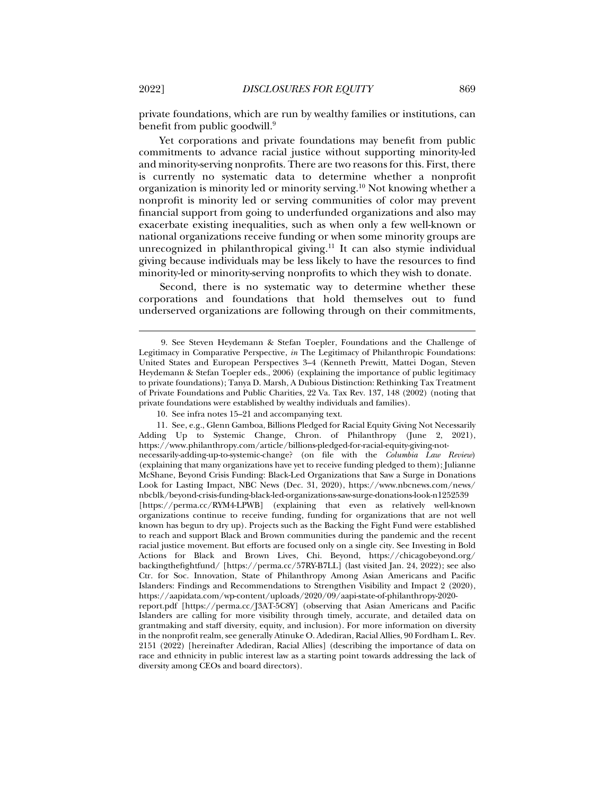private foundations, which are run by wealthy families or institutions, can benefit from public goodwill.9

Yet corporations and private foundations may benefit from public commitments to advance racial justice without supporting minority-led and minority-serving nonprofits. There are two reasons for this. First, there is currently no systematic data to determine whether a nonprofit organization is minority led or minority serving.10 Not knowing whether a nonprofit is minority led or serving communities of color may prevent financial support from going to underfunded organizations and also may exacerbate existing inequalities, such as when only a few well-known or national organizations receive funding or when some minority groups are unrecognized in philanthropical giving.<sup>11</sup> It can also stymie individual giving because individuals may be less likely to have the resources to find minority-led or minority-serving nonprofits to which they wish to donate.

Second, there is no systematic way to determine whether these corporations and foundations that hold themselves out to fund underserved organizations are following through on their commitments,

 <sup>9.</sup> See Steven Heydemann & Stefan Toepler, Foundations and the Challenge of Legitimacy in Comparative Perspective, *in* The Legitimacy of Philanthropic Foundations: United States and European Perspectives 3–4 (Kenneth Prewitt, Mattei Dogan, Steven Heydemann & Stefan Toepler eds., 2006) (explaining the importance of public legitimacy to private foundations); Tanya D. Marsh, A Dubious Distinction: Rethinking Tax Treatment of Private Foundations and Public Charities, 22 Va. Tax Rev. 137, 148 (2002) (noting that private foundations were established by wealthy individuals and families).

 <sup>10.</sup> See infra notes 15–21 and accompanying text.

 <sup>11.</sup> See, e.g., Glenn Gamboa, Billions Pledged for Racial Equity Giving Not Necessarily Adding Up to Systemic Change, Chron. of Philanthropy (June 2, 2021), https://www.philanthropy.com/article/billions-pledged-for-racial-equity-giving-notnecessarily-adding-up-to-systemic-change? (on file with the *Columbia Law Review*) (explaining that many organizations have yet to receive funding pledged to them); Julianne McShane, Beyond Crisis Funding: Black-Led Organizations that Saw a Surge in Donations Look for Lasting Impact, NBC News (Dec. 31, 2020), https://www.nbcnews.com/news/ nbcblk/beyond-crisis-funding-black-led-organizations-saw-surge-donations-look-n1252539 [https://perma.cc/RYM4-LPWB] (explaining that even as relatively well-known organizations continue to receive funding, funding for organizations that are not well known has begun to dry up). Projects such as the Backing the Fight Fund were established to reach and support Black and Brown communities during the pandemic and the recent racial justice movement. But efforts are focused only on a single city. See Investing in Bold Actions for Black and Brown Lives, Chi. Beyond, https://chicagobeyond.org/ backingthefightfund/ [https://perma.cc/57RY-B7LL] (last visited Jan. 24, 2022); see also Ctr. for Soc. Innovation, State of Philanthropy Among Asian Americans and Pacific Islanders: Findings and Recommendations to Strengthen Visibility and Impact 2 (2020), https://aapidata.com/wp-content/uploads/2020/09/aapi-state-of-philanthropy-2020-

report.pdf [https://perma.cc/J3AT-5C8Y] (observing that Asian Americans and Pacific Islanders are calling for more visibility through timely, accurate, and detailed data on grantmaking and staff diversity, equity, and inclusion). For more information on diversity in the nonprofit realm, see generally Atinuke O. Adediran, Racial Allies, 90 Fordham L. Rev. 2151 (2022) [hereinafter Adediran, Racial Allies] (describing the importance of data on race and ethnicity in public interest law as a starting point towards addressing the lack of diversity among CEOs and board directors).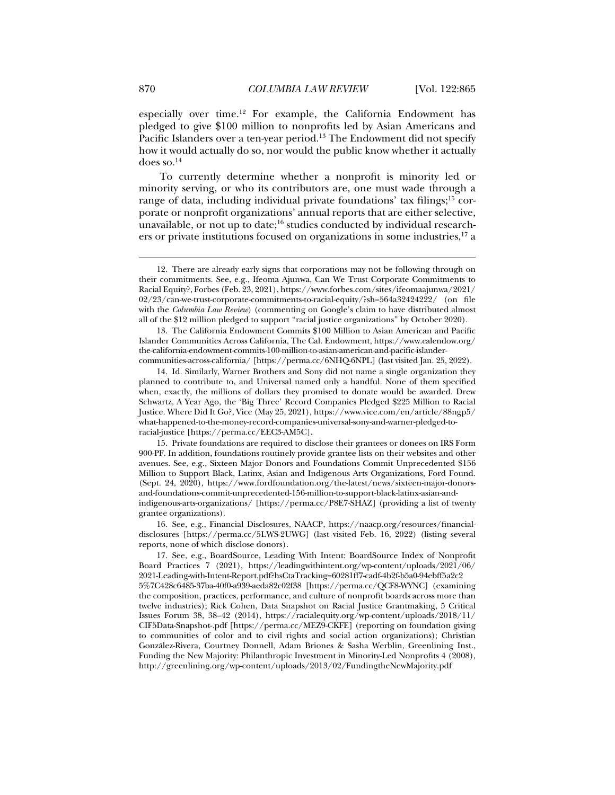especially over time.12 For example, the California Endowment has pledged to give \$100 million to nonprofits led by Asian Americans and Pacific Islanders over a ten-year period.<sup>13</sup> The Endowment did not specify how it would actually do so, nor would the public know whether it actually does so. $^{14}$ 

To currently determine whether a nonprofit is minority led or minority serving, or who its contributors are, one must wade through a range of data, including individual private foundations' tax filings; $^{15}$  corporate or nonprofit organizations' annual reports that are either selective, unavailable, or not up to date; $^{16}$  studies conducted by individual researchers or private institutions focused on organizations in some industries, $^{17}$  a

 16. See, e.g., Financial Disclosures, NAACP, https://naacp.org/resources/financialdisclosures [https://perma.cc/5LWS-2UWG] (last visited Feb. 16, 2022) (listing several reports, none of which disclose donors).

 <sup>12.</sup> There are already early signs that corporations may not be following through on their commitments. See, e.g., Ifeoma Ajunwa, Can We Trust Corporate Commitments to Racial Equity?, Forbes (Feb. 23, 2021), https://www.forbes.com/sites/ifeomaajunwa/2021/ 02/23/can-we-trust-corporate-commitments-to-racial-equity/?sh=564a32424222/ (on file with the *Columbia Law Review*) (commenting on Google's claim to have distributed almost all of the \$12 million pledged to support "racial justice organizations" by October 2020).

 <sup>13.</sup> The California Endowment Commits \$100 Million to Asian American and Pacific Islander Communities Across California, The Cal. Endowment, https://www.calendow.org/ the-california-endowment-commits-100-million-to-asian-american-and-pacific-islandercommunities-across-california/ [https://perma.cc/6NHQ-6NPL] (last visited Jan. 25, 2022).

 <sup>14.</sup> Id. Similarly, Warner Brothers and Sony did not name a single organization they planned to contribute to, and Universal named only a handful. None of them specified when, exactly, the millions of dollars they promised to donate would be awarded. Drew Schwartz, A Year Ago, the 'Big Three' Record Companies Pledged \$225 Million to Racial Justice. Where Did It Go?, Vice (May 25, 2021), https://www.vice.com/en/article/88ngp5/ what-happened-to-the-money-record-companies-universal-sony-and-warner-pledged-toracial-justice [https://perma.cc/EEC3-AM5C].

 <sup>15.</sup> Private foundations are required to disclose their grantees or donees on IRS Form 900-PF. In addition, foundations routinely provide grantee lists on their websites and other avenues. See, e.g., Sixteen Major Donors and Foundations Commit Unprecedented \$156 Million to Support Black, Latinx, Asian and Indigenous Arts Organizations, Ford Found. (Sept. 24, 2020), https://www.fordfoundation.org/the-latest/news/sixteen-major-donorsand-foundations-commit-unprecedented-156-million-to-support-black-latinx-asian-andindigenous-arts-organizations/ [https://perma.cc/P8E7-SHAZ] (providing a list of twenty grantee organizations).

 <sup>17.</sup> See, e.g., BoardSource, Leading With Intent: BoardSource Index of Nonprofit Board Practices 7 (2021), https://leadingwithintent.org/wp-content/uploads/2021/06/ 2021-Leading-with-Intent-Report.pdf?hsCtaTracking=60281ff7-cadf-4b2f-b5a0-94ebff5a2c2 5%7C428c6485-37ba-40f0-a939-aeda82c02f38 [https://perma.cc/QCF8-WYNC] (examining the composition, practices, performance, and culture of nonprofit boards across more than twelve industries); Rick Cohen, Data Snapshot on Racial Justice Grantmaking, 5 Critical Issues Forum 38, 38–42 (2014), https://racialequity.org/wp-content/uploads/2018/11/ CIF5Data-Snapshot-.pdf [https://perma.cc/MEZ9-CKFE] (reporting on foundation giving to communities of color and to civil rights and social action organizations); Christian González-Rivera, Courtney Donnell, Adam Briones & Sasha Werblin, Greenlining Inst., Funding the New Majority: Philanthropic Investment in Minority-Led Nonprofits 4 (2008), http://greenlining.org/wp-content/uploads/2013/02/FundingtheNewMajority.pdf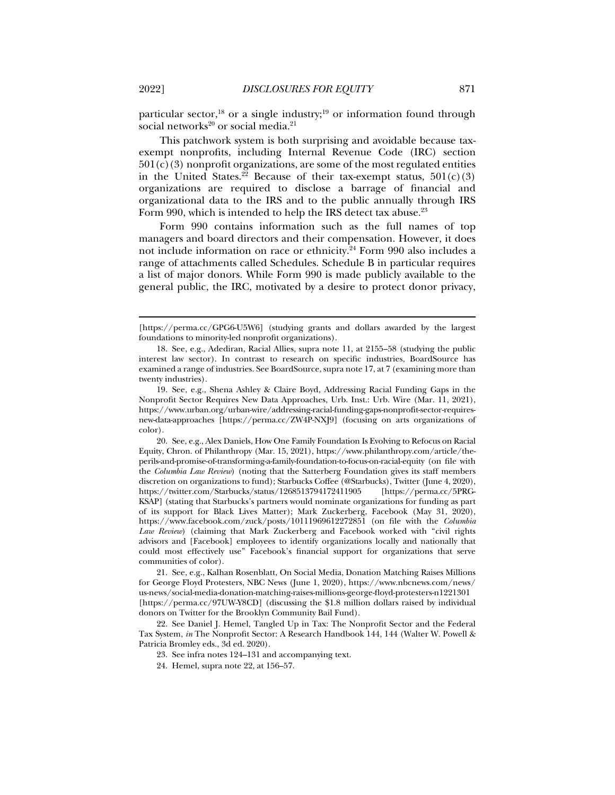particular sector,<sup>18</sup> or a single industry;<sup>19</sup> or information found through social networks<sup>20</sup> or social media.<sup>21</sup>

This patchwork system is both surprising and avoidable because taxexempt nonprofits, including Internal Revenue Code (IRC) section  $501(c)(3)$  nonprofit organizations, are some of the most regulated entities in the United States.<sup>22</sup> Because of their tax-exempt status,  $501(c)(3)$ organizations are required to disclose a barrage of financial and organizational data to the IRS and to the public annually through IRS Form 990, which is intended to help the IRS detect tax abuse.<sup>23</sup>

Form 990 contains information such as the full names of top managers and board directors and their compensation. However, it does not include information on race or ethnicity.<sup>24</sup> Form 990 also includes a range of attachments called Schedules. Schedule B in particular requires a list of major donors. While Form 990 is made publicly available to the general public, the IRC, motivated by a desire to protect donor privacy,

 21. See, e.g., Kalhan Rosenblatt, On Social Media, Donation Matching Raises Millions for George Floyd Protesters, NBC News (June 1, 2020), https://www.nbcnews.com/news/ us-news/social-media-donation-matching-raises-millions-george-floyd-protesters-n1221301 [https://perma.cc/97UW-Y8CD] (discussing the \$1.8 million dollars raised by individual donors on Twitter for the Brooklyn Community Bail Fund).

 22. See Daniel J. Hemel, Tangled Up in Tax: The Nonprofit Sector and the Federal Tax System, *in* The Nonprofit Sector: A Research Handbook 144, 144 (Walter W. Powell & Patricia Bromley eds., 3d ed. 2020).

23. See infra notes 124–131 and accompanying text.

<sup>[</sup>https://perma.cc/GPG6-U5W6] (studying grants and dollars awarded by the largest foundations to minority-led nonprofit organizations).

 <sup>18.</sup> See, e.g., Adediran, Racial Allies, supra note 11, at 2155–58 (studying the public interest law sector). In contrast to research on specific industries, BoardSource has examined a range of industries. See BoardSource, supra note 17, at 7 (examining more than twenty industries).

 <sup>19.</sup> See, e.g., Shena Ashley & Claire Boyd, Addressing Racial Funding Gaps in the Nonprofit Sector Requires New Data Approaches, Urb. Inst.: Urb. Wire (Mar. 11, 2021), https://www.urban.org/urban-wire/addressing-racial-funding-gaps-nonprofit-sector-requiresnew-data-approaches [https://perma.cc/ZW4P-NXJ9] (focusing on arts organizations of color).

 <sup>20.</sup> See, e.g., Alex Daniels, How One Family Foundation Is Evolving to Refocus on Racial Equity, Chron. of Philanthropy (Mar. 15, 2021), https://www.philanthropy.com/article/theperils-and-promise-of-transforming-a-family-foundation-to-focus-on-racial-equity (on file with the *Columbia Law Review*) (noting that the Satterberg Foundation gives its staff members discretion on organizations to fund); Starbucks Coffee (@Starbucks), Twitter (June 4, 2020), https://twitter.com/Starbucks/status/1268513794172411905 [https://perma.cc/5PRGhttps://twitter.com/Starbucks/status/1268513794172411905 KSAP] (stating that Starbucks's partners would nominate organizations for funding as part of its support for Black Lives Matter); Mark Zuckerberg, Facebook (May 31, 2020), https://www.facebook.com/zuck/posts/10111969612272851 (on file with the *Columbia Law Review*) (claiming that Mark Zuckerberg and Facebook worked with "civil rights advisors and [Facebook] employees to identify organizations locally and nationally that could most effectively use" Facebook's financial support for organizations that serve communities of color).

 <sup>24.</sup> Hemel, supra note 22, at 156–57.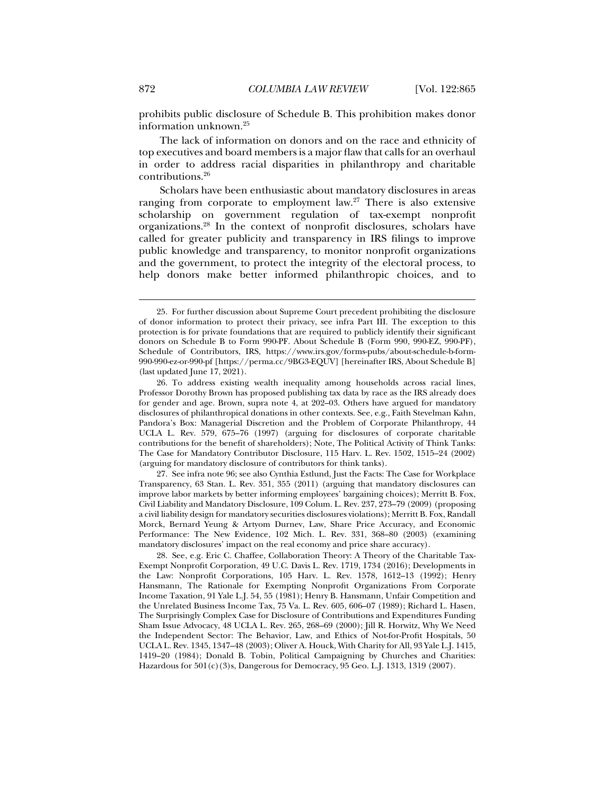prohibits public disclosure of Schedule B. This prohibition makes donor information unknown.25

The lack of information on donors and on the race and ethnicity of top executives and board members is a major flaw that calls for an overhaul in order to address racial disparities in philanthropy and charitable contributions.26

Scholars have been enthusiastic about mandatory disclosures in areas ranging from corporate to employment law.27 There is also extensive scholarship on government regulation of tax-exempt nonprofit organizations.28 In the context of nonprofit disclosures, scholars have called for greater publicity and transparency in IRS filings to improve public knowledge and transparency, to monitor nonprofit organizations and the government, to protect the integrity of the electoral process, to help donors make better informed philanthropic choices, and to

 27. See infra note 96; see also Cynthia Estlund, Just the Facts: The Case for Workplace Transparency, 63 Stan. L. Rev. 351, 355 (2011) (arguing that mandatory disclosures can improve labor markets by better informing employees' bargaining choices); Merritt B. Fox, Civil Liability and Mandatory Disclosure, 109 Colum. L. Rev. 237, 273–79 (2009) (proposing a civil liability design for mandatory securities disclosures violations); Merritt B. Fox, Randall Morck, Bernard Yeung & Artyom Durnev, Law, Share Price Accuracy, and Economic Performance: The New Evidence, 102 Mich. L. Rev. 331, 368–80 (2003) (examining mandatory disclosures' impact on the real economy and price share accuracy).

 <sup>25.</sup> For further discussion about Supreme Court precedent prohibiting the disclosure of donor information to protect their privacy, see infra Part III. The exception to this protection is for private foundations that are required to publicly identify their significant donors on Schedule B to Form 990-PF. About Schedule B (Form 990, 990-EZ, 990-PF), Schedule of Contributors, IRS, https://www.irs.gov/forms-pubs/about-schedule-b-form-990-990-ez-or-990-pf [https://perma.cc/9BG3-EQUV] [hereinafter IRS, About Schedule B] (last updated June 17, 2021).

 <sup>26.</sup> To address existing wealth inequality among households across racial lines, Professor Dorothy Brown has proposed publishing tax data by race as the IRS already does for gender and age. Brown, supra note 4, at 202–03. Others have argued for mandatory disclosures of philanthropical donations in other contexts. See, e.g., Faith Stevelman Kahn, Pandora's Box: Managerial Discretion and the Problem of Corporate Philanthropy, 44 UCLA L. Rev. 579, 675–76 (1997) (arguing for disclosures of corporate charitable contributions for the benefit of shareholders); Note, The Political Activity of Think Tanks: The Case for Mandatory Contributor Disclosure, 115 Harv. L. Rev. 1502, 1515–24 (2002) (arguing for mandatory disclosure of contributors for think tanks).

 <sup>28.</sup> See, e.g. Eric C. Chaffee, Collaboration Theory: A Theory of the Charitable Tax-Exempt Nonprofit Corporation, 49 U.C. Davis L. Rev. 1719, 1734 (2016); Developments in the Law: Nonprofit Corporations, 105 Harv. L. Rev. 1578, 1612–13 (1992); Henry Hansmann, The Rationale for Exempting Nonprofit Organizations From Corporate Income Taxation, 91 Yale L.J. 54, 55 (1981); Henry B. Hansmann, Unfair Competition and the Unrelated Business Income Tax, 75 Va. L. Rev. 605, 606–07 (1989); Richard L. Hasen, The Surprisingly Complex Case for Disclosure of Contributions and Expenditures Funding Sham Issue Advocacy, 48 UCLA L. Rev. 265, 268–69 (2000); Jill R. Horwitz, Why We Need the Independent Sector: The Behavior, Law, and Ethics of Not-for-Profit Hospitals, 50 UCLA L. Rev. 1345, 1347–48 (2003); Oliver A. Houck, With Charity for All, 93 Yale L.J. 1415, 1419–20 (1984); Donald B. Tobin, Political Campaigning by Churches and Charities: Hazardous for 501(c)(3)s, Dangerous for Democracy, 95 Geo. L.J. 1313, 1319 (2007).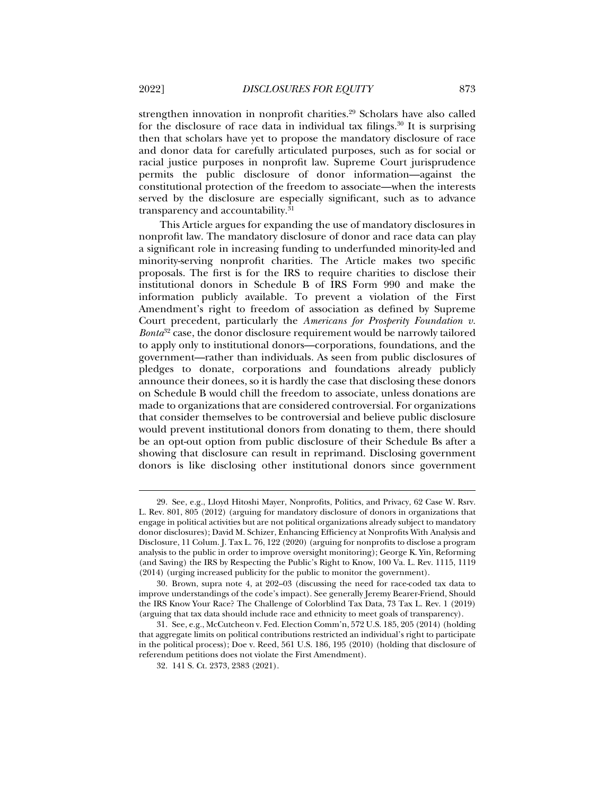strengthen innovation in nonprofit charities.29 Scholars have also called for the disclosure of race data in individual tax filings.<sup>30</sup> It is surprising then that scholars have yet to propose the mandatory disclosure of race and donor data for carefully articulated purposes, such as for social or racial justice purposes in nonprofit law. Supreme Court jurisprudence permits the public disclosure of donor information—against the constitutional protection of the freedom to associate—when the interests served by the disclosure are especially significant, such as to advance transparency and accountability.<sup>31</sup>

This Article argues for expanding the use of mandatory disclosures in nonprofit law. The mandatory disclosure of donor and race data can play a significant role in increasing funding to underfunded minority-led and minority-serving nonprofit charities. The Article makes two specific proposals. The first is for the IRS to require charities to disclose their institutional donors in Schedule B of IRS Form 990 and make the information publicly available. To prevent a violation of the First Amendment's right to freedom of association as defined by Supreme Court precedent, particularly the *Americans for Prosperity Foundation v. Bonta*<sup>32</sup> case, the donor disclosure requirement would be narrowly tailored to apply only to institutional donors—corporations, foundations, and the government—rather than individuals. As seen from public disclosures of pledges to donate, corporations and foundations already publicly announce their donees, so it is hardly the case that disclosing these donors on Schedule B would chill the freedom to associate, unless donations are made to organizations that are considered controversial. For organizations that consider themselves to be controversial and believe public disclosure would prevent institutional donors from donating to them, there should be an opt-out option from public disclosure of their Schedule Bs after a showing that disclosure can result in reprimand. Disclosing government donors is like disclosing other institutional donors since government

 <sup>29.</sup> See, e.g., Lloyd Hitoshi Mayer, Nonprofits, Politics, and Privacy, 62 Case W. Rsrv. L. Rev. 801, 805 (2012) (arguing for mandatory disclosure of donors in organizations that engage in political activities but are not political organizations already subject to mandatory donor disclosures); David M. Schizer, Enhancing Efficiency at Nonprofits With Analysis and Disclosure, 11 Colum. J. Tax L. 76, 122 (2020) (arguing for nonprofits to disclose a program analysis to the public in order to improve oversight monitoring); George K. Yin, Reforming (and Saving) the IRS by Respecting the Public's Right to Know, 100 Va. L. Rev. 1115, 1119 (2014) (urging increased publicity for the public to monitor the government).

 <sup>30.</sup> Brown, supra note 4, at 202–03 (discussing the need for race-coded tax data to improve understandings of the code's impact). See generally Jeremy Bearer-Friend, Should the IRS Know Your Race? The Challenge of Colorblind Tax Data, 73 Tax L. Rev. 1 (2019) (arguing that tax data should include race and ethnicity to meet goals of transparency).

 <sup>31.</sup> See, e.g., McCutcheon v. Fed. Election Comm'n, 572 U.S. 185, 205 (2014) (holding that aggregate limits on political contributions restricted an individual's right to participate in the political process); Doe v. Reed, 561 U.S. 186, 195 (2010) (holding that disclosure of referendum petitions does not violate the First Amendment).

 <sup>32. 141</sup> S. Ct. 2373, 2383 (2021).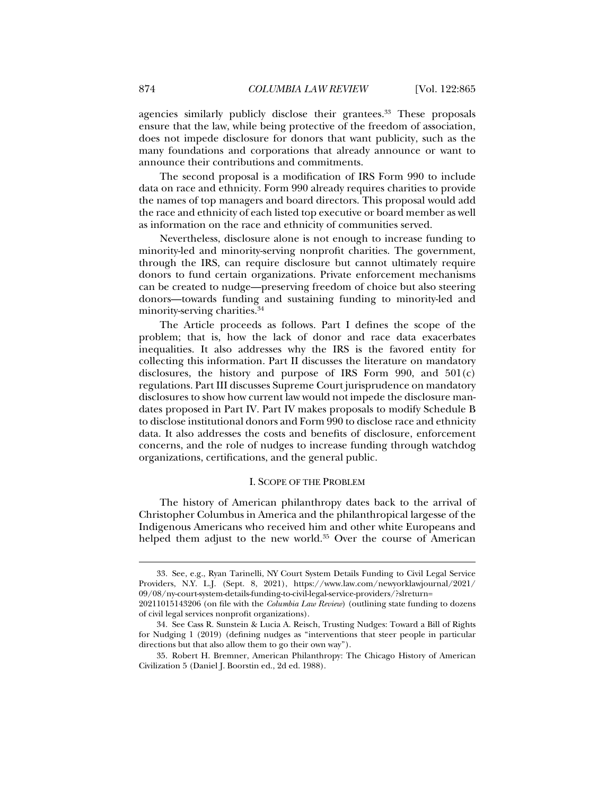agencies similarly publicly disclose their grantees.<sup>33</sup> These proposals ensure that the law, while being protective of the freedom of association, does not impede disclosure for donors that want publicity, such as the many foundations and corporations that already announce or want to announce their contributions and commitments.

The second proposal is a modification of IRS Form 990 to include data on race and ethnicity. Form 990 already requires charities to provide the names of top managers and board directors. This proposal would add the race and ethnicity of each listed top executive or board member as well as information on the race and ethnicity of communities served.

Nevertheless, disclosure alone is not enough to increase funding to minority-led and minority-serving nonprofit charities. The government, through the IRS, can require disclosure but cannot ultimately require donors to fund certain organizations. Private enforcement mechanisms can be created to nudge—preserving freedom of choice but also steering donors—towards funding and sustaining funding to minority-led and minority-serving charities.34

The Article proceeds as follows. Part I defines the scope of the problem; that is, how the lack of donor and race data exacerbates inequalities. It also addresses why the IRS is the favored entity for collecting this information. Part II discusses the literature on mandatory disclosures, the history and purpose of IRS Form 990, and  $501(c)$ regulations. Part III discusses Supreme Court jurisprudence on mandatory disclosures to show how current law would not impede the disclosure mandates proposed in Part IV. Part IV makes proposals to modify Schedule B to disclose institutional donors and Form 990 to disclose race and ethnicity data. It also addresses the costs and benefits of disclosure, enforcement concerns, and the role of nudges to increase funding through watchdog organizations, certifications, and the general public.

#### I. SCOPE OF THE PROBLEM

The history of American philanthropy dates back to the arrival of Christopher Columbus in America and the philanthropical largesse of the Indigenous Americans who received him and other white Europeans and helped them adjust to the new world.<sup>35</sup> Over the course of American

 <sup>33.</sup> See, e.g., Ryan Tarinelli, NY Court System Details Funding to Civil Legal Service Providers, N.Y. L.J. (Sept. 8, 2021), https://www.law.com/newyorklawjournal/2021/ 09/08/ny-court-system-details-funding-to-civil-legal-service-providers/?slreturn= 20211015143206 (on file with the *Columbia Law Review*) (outlining state funding to dozens

of civil legal services nonprofit organizations).

 <sup>34.</sup> See Cass R. Sunstein & Lucia A. Reisch, Trusting Nudges: Toward a Bill of Rights for Nudging 1 (2019) (defining nudges as "interventions that steer people in particular directions but that also allow them to go their own way").

 <sup>35.</sup> Robert H. Bremner, American Philanthropy: The Chicago History of American Civilization 5 (Daniel J. Boorstin ed., 2d ed. 1988).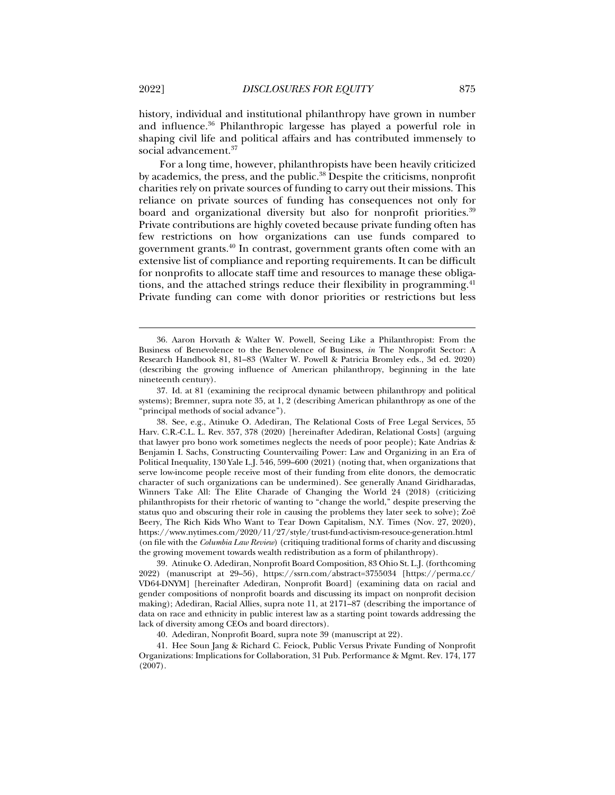and influence.36 Philanthropic largesse has played a powerful role in shaping civil life and political affairs and has contributed immensely to social advancement.<sup>37</sup>

For a long time, however, philanthropists have been heavily criticized by academics, the press, and the public.<sup>38</sup> Despite the criticisms, nonprofit charities rely on private sources of funding to carry out their missions. This reliance on private sources of funding has consequences not only for board and organizational diversity but also for nonprofit priorities.39 Private contributions are highly coveted because private funding often has few restrictions on how organizations can use funds compared to government grants.40 In contrast, government grants often come with an extensive list of compliance and reporting requirements. It can be difficult for nonprofits to allocate staff time and resources to manage these obligations, and the attached strings reduce their flexibility in programming.<sup>41</sup> Private funding can come with donor priorities or restrictions but less

 39. Atinuke O. Adediran, Nonprofit Board Composition, 83 Ohio St. L.J. (forthcoming 2022) (manuscript at 29–56), https://ssrn.com/abstract=3755034 [https://perma.cc/ VD64-DNYM] [hereinafter Adediran, Nonprofit Board] (examining data on racial and gender compositions of nonprofit boards and discussing its impact on nonprofit decision making); Adediran, Racial Allies, supra note 11, at 2171–87 (describing the importance of data on race and ethnicity in public interest law as a starting point towards addressing the lack of diversity among CEOs and board directors).

40. Adediran, Nonprofit Board, supra note 39 (manuscript at 22).

 <sup>36.</sup> Aaron Horvath & Walter W. Powell, Seeing Like a Philanthropist: From the Business of Benevolence to the Benevolence of Business, *in* The Nonprofit Sector: A Research Handbook 81, 81–83 (Walter W. Powell & Patricia Bromley eds., 3d ed. 2020) (describing the growing influence of American philanthropy, beginning in the late nineteenth century).

 <sup>37.</sup> Id. at 81 (examining the reciprocal dynamic between philanthropy and political systems); Bremner, supra note 35, at 1, 2 (describing American philanthropy as one of the "principal methods of social advance").

 <sup>38.</sup> See, e.g., Atinuke O. Adediran, The Relational Costs of Free Legal Services, 55 Harv. C.R.-C.L. L. Rev. 357, 378 (2020) [hereinafter Adediran, Relational Costs] (arguing that lawyer pro bono work sometimes neglects the needs of poor people); Kate Andrias & Benjamin I. Sachs, Constructing Countervailing Power: Law and Organizing in an Era of Political Inequality, 130 Yale L.J. 546, 599–600 (2021) (noting that, when organizations that serve low-income people receive most of their funding from elite donors, the democratic character of such organizations can be undermined). See generally Anand Giridharadas, Winners Take All: The Elite Charade of Changing the World 24 (2018) (criticizing philanthropists for their rhetoric of wanting to "change the world," despite preserving the status quo and obscuring their role in causing the problems they later seek to solve); Zoë Beery, The Rich Kids Who Want to Tear Down Capitalism, N.Y. Times (Nov. 27, 2020), https://www.nytimes.com/2020/11/27/style/trust-fund-activism-resouce-generation.html (on file with the *Columbia Law Review*) (critiquing traditional forms of charity and discussing the growing movement towards wealth redistribution as a form of philanthropy).

 <sup>41.</sup> Hee Soun Jang & Richard C. Feiock, Public Versus Private Funding of Nonprofit Organizations: Implications for Collaboration, 31 Pub. Performance & Mgmt. Rev. 174, 177 (2007).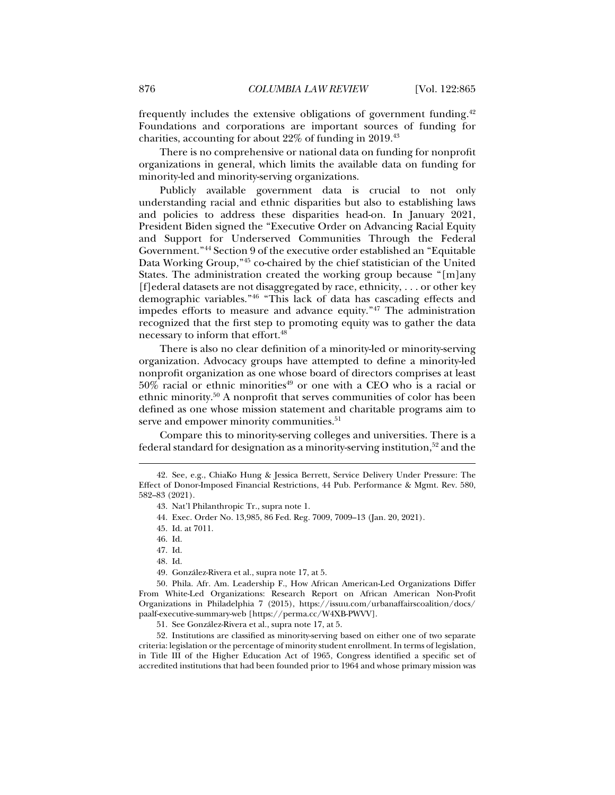frequently includes the extensive obligations of government funding.42 Foundations and corporations are important sources of funding for charities, accounting for about 22% of funding in 2019.43

There is no comprehensive or national data on funding for nonprofit organizations in general, which limits the available data on funding for minority-led and minority-serving organizations.

Publicly available government data is crucial to not only understanding racial and ethnic disparities but also to establishing laws and policies to address these disparities head-on. In January 2021, President Biden signed the "Executive Order on Advancing Racial Equity and Support for Underserved Communities Through the Federal Government."44 Section 9 of the executive order established an "Equitable Data Working Group,"45 co-chaired by the chief statistician of the United States. The administration created the working group because "[m]any [f]ederal datasets are not disaggregated by race, ethnicity,  $\dots$  or other key demographic variables."46 "This lack of data has cascading effects and impedes efforts to measure and advance equity."47 The administration recognized that the first step to promoting equity was to gather the data necessary to inform that effort.48

There is also no clear definition of a minority-led or minority-serving organization. Advocacy groups have attempted to define a minority-led nonprofit organization as one whose board of directors comprises at least  $50\%$  racial or ethnic minorities<sup>49</sup> or one with a CEO who is a racial or ethnic minority.50 A nonprofit that serves communities of color has been defined as one whose mission statement and charitable programs aim to serve and empower minority communities.<sup>51</sup>

Compare this to minority-serving colleges and universities. There is a federal standard for designation as a minority-serving institution,<sup>52</sup> and the

j

- 47. Id.
- 48. Id.
- 49. González-Rivera et al., supra note 17, at 5.

 50. Phila. Afr. Am. Leadership F., How African American-Led Organizations Differ From White-Led Organizations: Research Report on African American Non-Profit Organizations in Philadelphia 7 (2015), https://issuu.com/urbanaffairscoalition/docs/ paalf-executive-summary-web [https://perma.cc/W4XB-PWVV].

51. See González-Rivera et al., supra note 17, at 5.

 52. Institutions are classified as minority-serving based on either one of two separate criteria: legislation or the percentage of minority student enrollment. In terms of legislation, in Title III of the Higher Education Act of 1965, Congress identified a specific set of accredited institutions that had been founded prior to 1964 and whose primary mission was

 <sup>42.</sup> See, e.g., ChiaKo Hung & Jessica Berrett, Service Delivery Under Pressure: The Effect of Donor-Imposed Financial Restrictions, 44 Pub. Performance & Mgmt. Rev. 580, 582–83 (2021).

 <sup>43.</sup> Nat'l Philanthropic Tr., supra note 1.

 <sup>44.</sup> Exec. Order No. 13,985, 86 Fed. Reg. 7009, 7009–13 (Jan. 20, 2021).

 <sup>45.</sup> Id. at 7011.

 <sup>46.</sup> Id.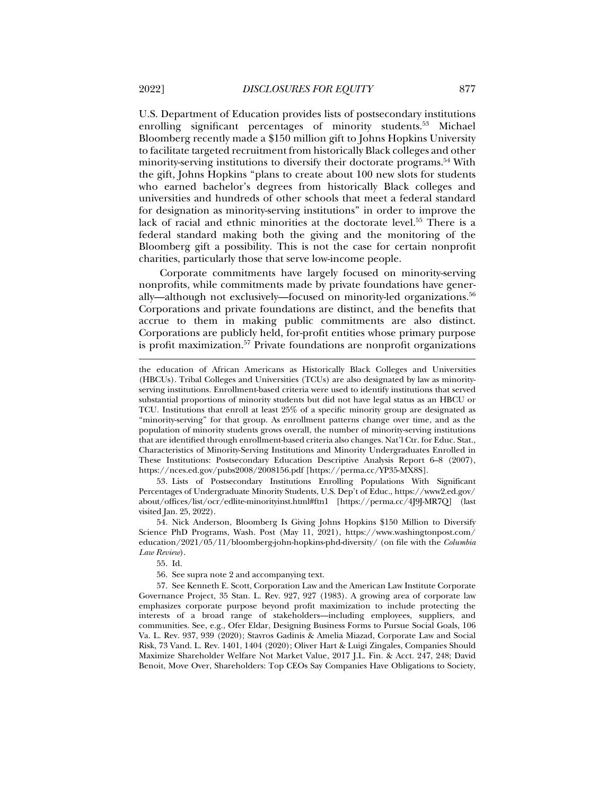U.S. Department of Education provides lists of postsecondary institutions enrolling significant percentages of minority students.53 Michael Bloomberg recently made a \$150 million gift to Johns Hopkins University to facilitate targeted recruitment from historically Black colleges and other minority-serving institutions to diversify their doctorate programs.<sup>54</sup> With the gift, Johns Hopkins "plans to create about 100 new slots for students who earned bachelor's degrees from historically Black colleges and universities and hundreds of other schools that meet a federal standard for designation as minority-serving institutions" in order to improve the lack of racial and ethnic minorities at the doctorate level.55 There is a federal standard making both the giving and the monitoring of the Bloomberg gift a possibility. This is not the case for certain nonprofit charities, particularly those that serve low-income people.

Corporate commitments have largely focused on minority-serving nonprofits, while commitments made by private foundations have generally—although not exclusively—focused on minority-led organizations.<sup>56</sup> Corporations and private foundations are distinct, and the benefits that accrue to them in making public commitments are also distinct. Corporations are publicly held, for-profit entities whose primary purpose is profit maximization.<sup>57</sup> Private foundations are nonprofit organizations

 53. Lists of Postsecondary Institutions Enrolling Populations With Significant Percentages of Undergraduate Minority Students, U.S. Dep't of Educ., https://www2.ed.gov/ about/offices/list/ocr/edlite-minorityinst.html#ftn1 [https://perma.cc/4J9J-MR7Q] (last visited Jan. 25, 2022).

 54. Nick Anderson, Bloomberg Is Giving Johns Hopkins \$150 Million to Diversify Science PhD Programs, Wash. Post (May 11, 2021), https://www.washingtonpost.com/ education/2021/05/11/bloomberg-john-hopkins-phd-diversity/ (on file with the *Columbia Law Review*).

55. Id.

56. See supra note 2 and accompanying text.

 57. See Kenneth E. Scott, Corporation Law and the American Law Institute Corporate Governance Project, 35 Stan. L. Rev. 927, 927 (1983). A growing area of corporate law emphasizes corporate purpose beyond profit maximization to include protecting the interests of a broad range of stakeholders—including employees, suppliers, and communities. See, e.g., Ofer Eldar, Designing Business Forms to Pursue Social Goals, 106 Va. L. Rev. 937, 939 (2020); Stavros Gadinis & Amelia Miazad, Corporate Law and Social Risk, 73 Vand. L. Rev. 1401, 1404 (2020); Oliver Hart & Luigi Zingales, Companies Should Maximize Shareholder Welfare Not Market Value, 2017 J.L. Fin. & Acct. 247, 248; David Benoit, Move Over, Shareholders: Top CEOs Say Companies Have Obligations to Society,

the education of African Americans as Historically Black Colleges and Universities (HBCUs). Tribal Colleges and Universities (TCUs) are also designated by law as minorityserving institutions. Enrollment-based criteria were used to identify institutions that served substantial proportions of minority students but did not have legal status as an HBCU or TCU. Institutions that enroll at least 25% of a specific minority group are designated as "minority-serving" for that group. As enrollment patterns change over time, and as the population of minority students grows overall, the number of minority-serving institutions that are identified through enrollment-based criteria also changes. Nat'l Ctr. for Educ. Stat., Characteristics of Minority-Serving Institutions and Minority Undergraduates Enrolled in These Institutions: Postsecondary Education Descriptive Analysis Report 6–8 (2007), https://nces.ed.gov/pubs2008/2008156.pdf [https://perma.cc/YP35-MX8S].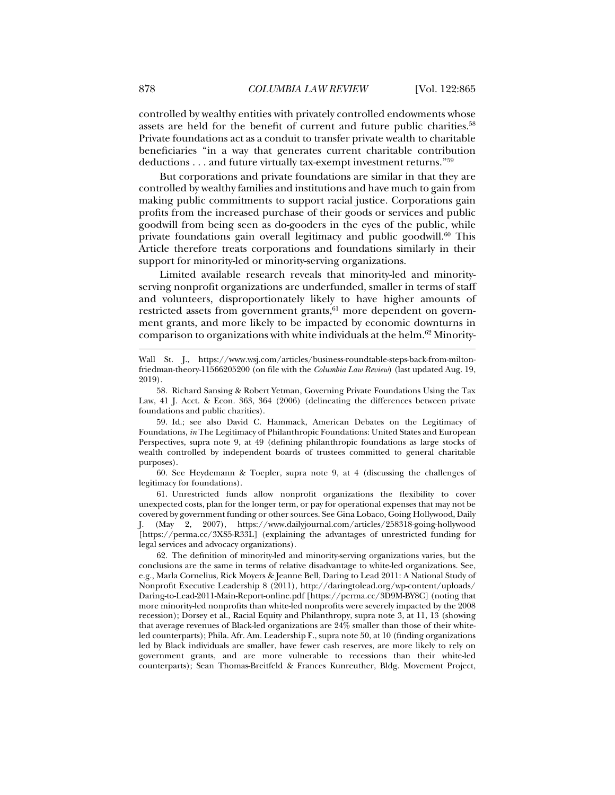controlled by wealthy entities with privately controlled endowments whose assets are held for the benefit of current and future public charities.<sup>58</sup> Private foundations act as a conduit to transfer private wealth to charitable beneficiaries "in a way that generates current charitable contribution deductions . . . and future virtually tax-exempt investment returns."59

But corporations and private foundations are similar in that they are controlled by wealthy families and institutions and have much to gain from making public commitments to support racial justice. Corporations gain profits from the increased purchase of their goods or services and public goodwill from being seen as do-gooders in the eyes of the public, while private foundations gain overall legitimacy and public goodwill. $60$  This Article therefore treats corporations and foundations similarly in their support for minority-led or minority-serving organizations.

Limited available research reveals that minority-led and minorityserving nonprofit organizations are underfunded, smaller in terms of staff and volunteers, disproportionately likely to have higher amounts of restricted assets from government grants, $61$  more dependent on government grants, and more likely to be impacted by economic downturns in comparison to organizations with white individuals at the helm.62 Minority-

 59. Id.; see also David C. Hammack, American Debates on the Legitimacy of Foundations, *in* The Legitimacy of Philanthropic Foundations: United States and European Perspectives, supra note 9, at 49 (defining philanthropic foundations as large stocks of wealth controlled by independent boards of trustees committed to general charitable purposes).

 60. See Heydemann & Toepler, supra note 9, at 4 (discussing the challenges of legitimacy for foundations).

 61. Unrestricted funds allow nonprofit organizations the flexibility to cover unexpected costs, plan for the longer term, or pay for operational expenses that may not be covered by government funding or other sources. See Gina Lobaco, Going Hollywood, Daily J. (May 2, 2007), https://www.dailyjournal.com/articles/258318-going-hollywood [https://perma.cc/3XS5-R33L] (explaining the advantages of unrestricted funding for legal services and advocacy organizations).

 62. The definition of minority-led and minority-serving organizations varies, but the conclusions are the same in terms of relative disadvantage to white-led organizations. See, e.g., Marla Cornelius, Rick Moyers & Jeanne Bell, Daring to Lead 2011: A National Study of Nonprofit Executive Leadership 8 (2011), http://daringtolead.org/wp-content/uploads/ Daring-to-Lead-2011-Main-Report-online.pdf [https://perma.cc/3D9M-BY8C] (noting that more minority-led nonprofits than white-led nonprofits were severely impacted by the 2008 recession); Dorsey et al., Racial Equity and Philanthropy, supra note 3, at 11, 13 (showing that average revenues of Black-led organizations are 24% smaller than those of their whiteled counterparts); Phila. Afr. Am. Leadership F., supra note 50, at 10 (finding organizations led by Black individuals are smaller, have fewer cash reserves, are more likely to rely on government grants, and are more vulnerable to recessions than their white-led counterparts); Sean Thomas-Breitfeld & Frances Kunreuther, Bldg. Movement Project,

Wall St. J., https://www.wsj.com/articles/business-roundtable-steps-back-from-miltonfriedman-theory-11566205200 (on file with the *Columbia Law Review*) (last updated Aug. 19, 2019).

 <sup>58.</sup> Richard Sansing & Robert Yetman, Governing Private Foundations Using the Tax Law, 41 J. Acct. & Econ. 363, 364 (2006) (delineating the differences between private foundations and public charities).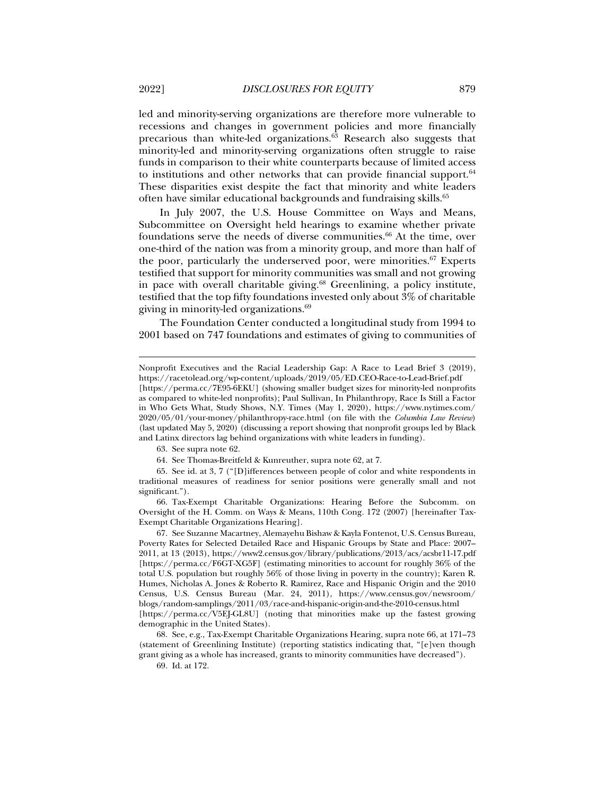led and minority-serving organizations are therefore more vulnerable to recessions and changes in government policies and more financially precarious than white-led organizations.63 Research also suggests that minority-led and minority-serving organizations often struggle to raise funds in comparison to their white counterparts because of limited access to institutions and other networks that can provide financial support. $64$ These disparities exist despite the fact that minority and white leaders often have similar educational backgrounds and fundraising skills.<sup>65</sup>

In July 2007, the U.S. House Committee on Ways and Means, Subcommittee on Oversight held hearings to examine whether private foundations serve the needs of diverse communities.<sup>66</sup> At the time, over one-third of the nation was from a minority group, and more than half of the poor, particularly the underserved poor, were minorities.<sup>67</sup> Experts testified that support for minority communities was small and not growing in pace with overall charitable giving.<sup>68</sup> Greenlining, a policy institute, testified that the top fifty foundations invested only about 3% of charitable giving in minority-led organizations.69

The Foundation Center conducted a longitudinal study from 1994 to 2001 based on 747 foundations and estimates of giving to communities of

j Nonprofit Executives and the Racial Leadership Gap: A Race to Lead Brief 3 (2019), https://racetolead.org/wp-content/uploads/2019/05/ED.CEO-Race-to-Lead-Brief.pdf

<sup>[</sup>https://perma.cc/7E95-6EKU] (showing smaller budget sizes for minority-led nonprofits as compared to white-led nonprofits); Paul Sullivan, In Philanthropy, Race Is Still a Factor in Who Gets What, Study Shows, N.Y. Times (May 1, 2020), https://www.nytimes.com/ 2020/05/01/your-money/philanthropy-race.html (on file with the *Columbia Law Review*) (last updated May 5, 2020) (discussing a report showing that nonprofit groups led by Black and Latinx directors lag behind organizations with white leaders in funding).

 <sup>63.</sup> See supra note 62.

 <sup>64.</sup> See Thomas-Breitfeld & Kunreuther, supra note 62, at 7.

 <sup>65.</sup> See id. at 3, 7 ("[D]ifferences between people of color and white respondents in traditional measures of readiness for senior positions were generally small and not significant.").

 <sup>66.</sup> Tax-Exempt Charitable Organizations: Hearing Before the Subcomm. on Oversight of the H. Comm. on Ways & Means, 110th Cong. 172 (2007) [hereinafter Tax-Exempt Charitable Organizations Hearing].

 <sup>67.</sup> See Suzanne Macartney, Alemayehu Bishaw & Kayla Fontenot, U.S. Census Bureau, Poverty Rates for Selected Detailed Race and Hispanic Groups by State and Place: 2007– 2011, at 13 (2013), https://www2.census.gov/library/publications/2013/acs/acsbr11-17.pdf [https://perma.cc/F6GT-XG5F] (estimating minorities to account for roughly 36% of the total U.S. population but roughly 56% of those living in poverty in the country); Karen R. Humes, Nicholas A. Jones & Roberto R. Ramirez, Race and Hispanic Origin and the 2010 Census, U.S. Census Bureau (Mar. 24, 2011), https://www.census.gov/newsroom/ blogs/random-samplings/2011/03/race-and-hispanic-origin-and-the-2010-census.html [https://perma.cc/V5EJ-GL8U] (noting that minorities make up the fastest growing demographic in the United States).

 <sup>68.</sup> See, e.g., Tax-Exempt Charitable Organizations Hearing, supra note 66, at 171–73 (statement of Greenlining Institute) (reporting statistics indicating that, "[e]ven though grant giving as a whole has increased, grants to minority communities have decreased").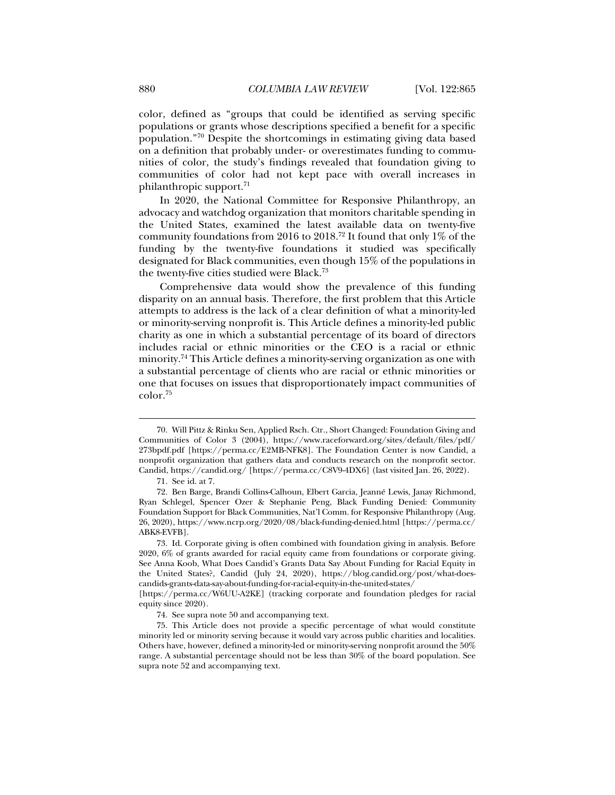color, defined as "groups that could be identified as serving specific populations or grants whose descriptions specified a benefit for a specific population."70 Despite the shortcomings in estimating giving data based on a definition that probably under- or overestimates funding to communities of color, the study's findings revealed that foundation giving to communities of color had not kept pace with overall increases in philanthropic support.71

In 2020, the National Committee for Responsive Philanthropy, an advocacy and watchdog organization that monitors charitable spending in the United States, examined the latest available data on twenty-five community foundations from 2016 to 2018.72 It found that only 1% of the funding by the twenty-five foundations it studied was specifically designated for Black communities, even though 15% of the populations in the twenty-five cities studied were Black.73

Comprehensive data would show the prevalence of this funding disparity on an annual basis. Therefore, the first problem that this Article attempts to address is the lack of a clear definition of what a minority-led or minority-serving nonprofit is. This Article defines a minority-led public charity as one in which a substantial percentage of its board of directors includes racial or ethnic minorities or the CEO is a racial or ethnic minority.74 This Article defines a minority-serving organization as one with a substantial percentage of clients who are racial or ethnic minorities or one that focuses on issues that disproportionately impact communities of color.75

 <sup>70.</sup> Will Pittz & Rinku Sen, Applied Rsch. Ctr., Short Changed: Foundation Giving and Communities of Color 3 (2004), https://www.raceforward.org/sites/default/files/pdf/ 273bpdf.pdf [https://perma.cc/E2MB-NFK8]. The Foundation Center is now Candid, a nonprofit organization that gathers data and conducts research on the nonprofit sector. Candid, https://candid.org/ [https://perma.cc/C8V9-4DX6] (last visited Jan. 26, 2022).

 <sup>71.</sup> See id. at 7.

 <sup>72.</sup> Ben Barge, Brandi Collins-Calhoun, Elbert Garcia, Jeanné Lewis, Janay Richmond, Ryan Schlegel, Spencer Ozer & Stephanie Peng, Black Funding Denied: Community Foundation Support for Black Communities, Nat'l Comm. for Responsive Philanthropy (Aug. 26, 2020), https://www.ncrp.org/2020/08/black-funding-denied.html [https://perma.cc/ ABK8-EVFB].

 <sup>73.</sup> Id. Corporate giving is often combined with foundation giving in analysis. Before 2020, 6% of grants awarded for racial equity came from foundations or corporate giving. See Anna Koob, What Does Candid's Grants Data Say About Funding for Racial Equity in the United States?, Candid (July 24, 2020), https://blog.candid.org/post/what-doescandids-grants-data-say-about-funding-for-racial-equity-in-the-united-states/

<sup>[</sup>https://perma.cc/W6UU-A2KE] (tracking corporate and foundation pledges for racial equity since 2020).

 <sup>74.</sup> See supra note 50 and accompanying text.

 <sup>75.</sup> This Article does not provide a specific percentage of what would constitute minority led or minority serving because it would vary across public charities and localities. Others have, however, defined a minority-led or minority-serving nonprofit around the 50% range. A substantial percentage should not be less than 30% of the board population. See supra note 52 and accompanying text.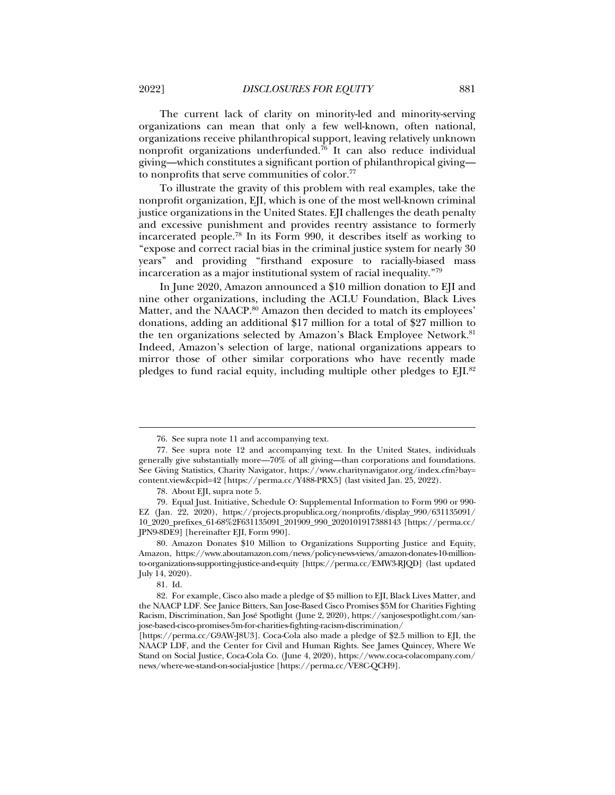The current lack of clarity on minority-led and minority-serving organizations can mean that only a few well-known, often national, organizations receive philanthropical support, leaving relatively unknown nonprofit organizations underfunded.<sup>76</sup> It can also reduce individual giving—which constitutes a significant portion of philanthropical giving to nonprofits that serve communities of color.77

To illustrate the gravity of this problem with real examples, take the nonprofit organization, EJI, which is one of the most well-known criminal justice organizations in the United States. EJI challenges the death penalty and excessive punishment and provides reentry assistance to formerly incarcerated people.78 In its Form 990, it describes itself as working to "expose and correct racial bias in the criminal justice system for nearly 30 years" and providing "firsthand exposure to racially-biased mass incarceration as a major institutional system of racial inequality."79

In June 2020, Amazon announced a \$10 million donation to EJI and nine other organizations, including the ACLU Foundation, Black Lives Matter, and the NAACP.<sup>80</sup> Amazon then decided to match its employees' donations, adding an additional \$17 million for a total of \$27 million to the ten organizations selected by Amazon's Black Employee Network.<sup>81</sup> Indeed, Amazon's selection of large, national organizations appears to mirror those of other similar corporations who have recently made pledges to fund racial equity, including multiple other pledges to EJI.82

 <sup>76.</sup> See supra note 11 and accompanying text.

 <sup>77.</sup> See supra note 12 and accompanying text. In the United States, individuals generally give substantially more—70% of all giving—than corporations and foundations. See Giving Statistics, Charity Navigator, https://www.charitynavigator.org/index.cfm?bay= content.view&cpid=42 [https://perma.cc/Y488-PRX5] (last visited Jan. 25, 2022).

 <sup>78.</sup> About EJI, supra note 5.

 <sup>79.</sup> Equal Just. Initiative, Schedule O: Supplemental Information to Form 990 or 990- EZ (Jan. 22, 2020), https://projects.propublica.org/nonprofits/display\_990/631135091/ 10\_2020\_prefixes\_61-68%2F631135091\_201909\_990\_2020101917388143 [https://perma.cc/ JPN9-8DE9] [hereinafter EJI, Form 990].

 <sup>80.</sup> Amazon Donates \$10 Million to Organizations Supporting Justice and Equity, Amazon, https://www.aboutamazon.com/news/policy-news-views/amazon-donates-10-millionto-organizations-supporting-justice-and-equity [https://perma.cc/EMW3-RJQD] (last updated July 14, 2020).

 <sup>81.</sup> Id.

 <sup>82.</sup> For example, Cisco also made a pledge of \$5 million to EJI, Black Lives Matter, and the NAACP LDF. See Janice Bitters, San Jose-Based Cisco Promises \$5M for Charities Fighting Racism, Discrimination, San José Spotlight (June 2, 2020), https://sanjosespotlight.com/sanjose-based-cisco-promises-5m-for-charities-fighting-racism-discrimination/

<sup>[</sup>https://perma.cc/G9AW-J8U3]. Coca-Cola also made a pledge of \$2.5 million to EJI, the NAACP LDF, and the Center for Civil and Human Rights. See James Quincey, Where We Stand on Social Justice, Coca-Cola Co. (June 4, 2020), https://www.coca-colacompany.com/ news/where-we-stand-on-social-justice [https://perma.cc/VE8C-QCH9].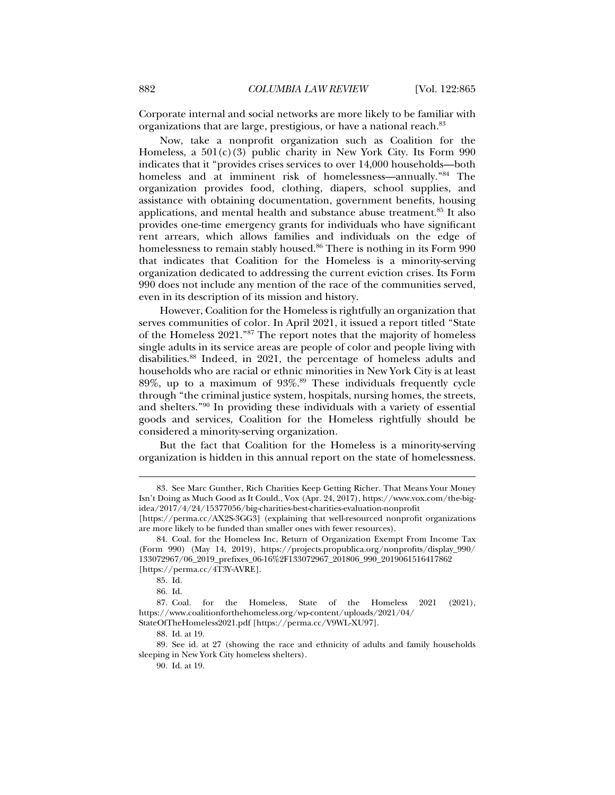Corporate internal and social networks are more likely to be familiar with organizations that are large, prestigious, or have a national reach.83

Now, take a nonprofit organization such as Coalition for the Homeless, a  $501(c)(3)$  public charity in New York City. Its Form 990 indicates that it "provides crises services to over 14,000 households—both homeless and at imminent risk of homelessness—annually."84 The organization provides food, clothing, diapers, school supplies, and assistance with obtaining documentation, government benefits, housing applications, and mental health and substance abuse treatment.85 It also provides one-time emergency grants for individuals who have significant rent arrears, which allows families and individuals on the edge of homelessness to remain stably housed.<sup>86</sup> There is nothing in its Form 990 that indicates that Coalition for the Homeless is a minority-serving organization dedicated to addressing the current eviction crises. Its Form 990 does not include any mention of the race of the communities served, even in its description of its mission and history.

However, Coalition for the Homeless is rightfully an organization that serves communities of color. In April 2021, it issued a report titled "State of the Homeless 2021."87 The report notes that the majority of homeless single adults in its service areas are people of color and people living with disabilities.88 Indeed, in 2021, the percentage of homeless adults and households who are racial or ethnic minorities in New York City is at least 89%, up to a maximum of  $93\%$ .<sup>89</sup> These individuals frequently cycle through "the criminal justice system, hospitals, nursing homes, the streets, and shelters."90 In providing these individuals with a variety of essential goods and services, Coalition for the Homeless rightfully should be considered a minority-serving organization.

But the fact that Coalition for the Homeless is a minority-serving organization is hidden in this annual report on the state of homelessness.

 <sup>83.</sup> See Marc Gunther, Rich Charities Keep Getting Richer. That Means Your Money Isn't Doing as Much Good as It Could., Vox (Apr. 24, 2017), https://www.vox.com/the-bigidea/2017/4/24/15377056/big-charities-best-charities-evaluation-nonprofit

<sup>[</sup>https://perma.cc/AX2S-3GG3] (explaining that well-resourced nonprofit organizations are more likely to be funded than smaller ones with fewer resources).

 <sup>84.</sup> Coal. for the Homeless Inc, Return of Organization Exempt From Income Tax (Form 990) (May 14, 2019), https://projects.propublica.org/nonprofits/display\_990/ 133072967/06\_2019\_prefixes\_06-16%2F133072967\_201806\_990\_2019061516417862 [https://perma.cc/4T3Y-AVRE].

 <sup>85.</sup> Id.

 <sup>86.</sup> Id.

 <sup>87.</sup> Coal. for the Homeless, State of the Homeless 2021 (2021), https://www.coalitionforthehomeless.org/wp-content/uploads/2021/04/ StateOfTheHomeless2021.pdf [https://perma.cc/V9WL-XU97].

 <sup>88.</sup> Id. at 19.

 <sup>89.</sup> See id. at 27 (showing the race and ethnicity of adults and family households sleeping in New York City homeless shelters).

 <sup>90.</sup> Id. at 19.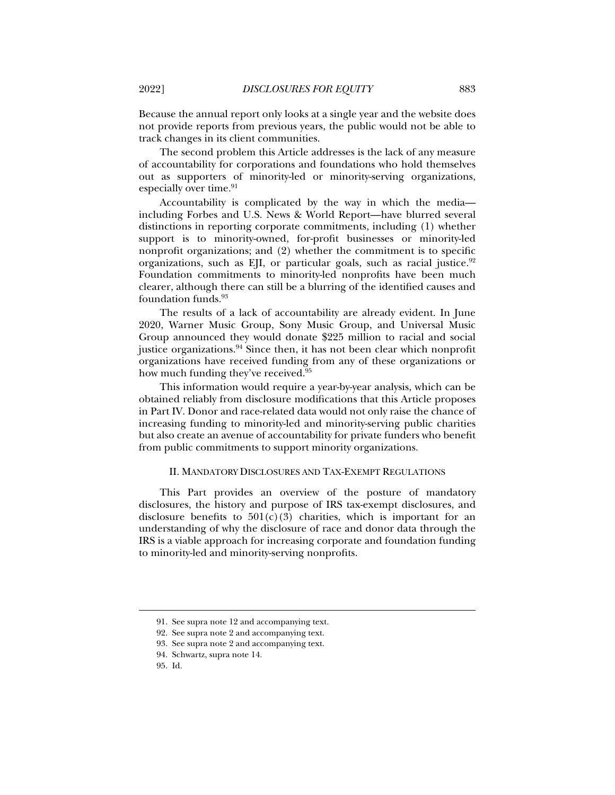Because the annual report only looks at a single year and the website does not provide reports from previous years, the public would not be able to track changes in its client communities.

The second problem this Article addresses is the lack of any measure of accountability for corporations and foundations who hold themselves out as supporters of minority-led or minority-serving organizations, especially over time. $91$ 

Accountability is complicated by the way in which the media including Forbes and U.S. News & World Report—have blurred several distinctions in reporting corporate commitments, including (1) whether support is to minority-owned, for-profit businesses or minority-led nonprofit organizations; and (2) whether the commitment is to specific organizations, such as EII, or particular goals, such as racial justice.<sup>92</sup> Foundation commitments to minority-led nonprofits have been much clearer, although there can still be a blurring of the identified causes and foundation funds.93

The results of a lack of accountability are already evident. In June 2020, Warner Music Group, Sony Music Group, and Universal Music Group announced they would donate \$225 million to racial and social justice organizations.94 Since then, it has not been clear which nonprofit organizations have received funding from any of these organizations or how much funding they've received.<sup>95</sup>

This information would require a year-by-year analysis, which can be obtained reliably from disclosure modifications that this Article proposes in Part IV. Donor and race-related data would not only raise the chance of increasing funding to minority-led and minority-serving public charities but also create an avenue of accountability for private funders who benefit from public commitments to support minority organizations.

#### II. MANDATORY DISCLOSURES AND TAX-EXEMPT REGULATIONS

This Part provides an overview of the posture of mandatory disclosures, the history and purpose of IRS tax-exempt disclosures, and disclosure benefits to  $501(c)(3)$  charities, which is important for an understanding of why the disclosure of race and donor data through the IRS is a viable approach for increasing corporate and foundation funding to minority-led and minority-serving nonprofits.

 <sup>91.</sup> See supra note 12 and accompanying text.

 <sup>92.</sup> See supra note 2 and accompanying text.

 <sup>93.</sup> See supra note 2 and accompanying text.

 <sup>94.</sup> Schwartz, supra note 14.

 <sup>95.</sup> Id.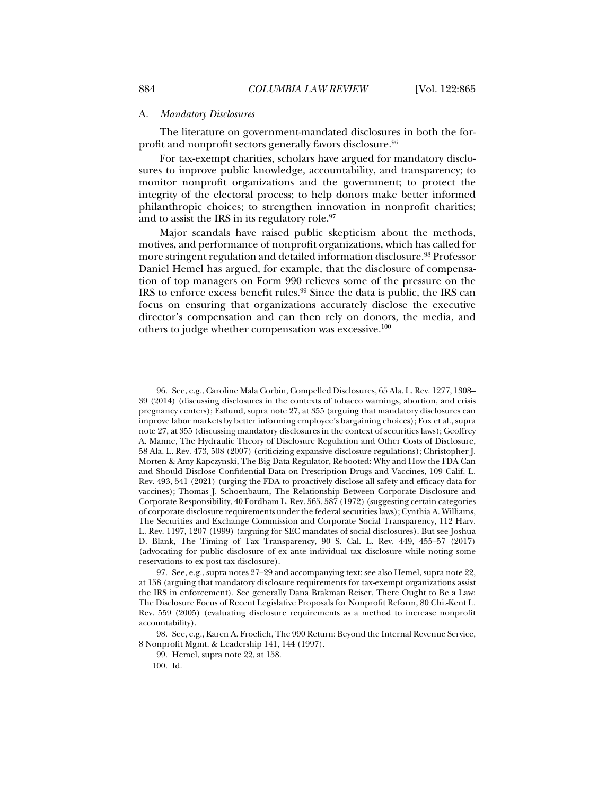#### A. *Mandatory Disclosures*

The literature on government-mandated disclosures in both the forprofit and nonprofit sectors generally favors disclosure.<sup>96</sup>

For tax-exempt charities, scholars have argued for mandatory disclosures to improve public knowledge, accountability, and transparency; to monitor nonprofit organizations and the government; to protect the integrity of the electoral process; to help donors make better informed philanthropic choices; to strengthen innovation in nonprofit charities; and to assist the IRS in its regulatory role.<sup>97</sup>

Major scandals have raised public skepticism about the methods, motives, and performance of nonprofit organizations, which has called for more stringent regulation and detailed information disclosure.98 Professor Daniel Hemel has argued, for example, that the disclosure of compensation of top managers on Form 990 relieves some of the pressure on the IRS to enforce excess benefit rules.99 Since the data is public, the IRS can focus on ensuring that organizations accurately disclose the executive director's compensation and can then rely on donors, the media, and others to judge whether compensation was excessive.100

 <sup>96.</sup> See, e.g., Caroline Mala Corbin, Compelled Disclosures, 65 Ala. L. Rev. 1277, 1308– 39 (2014) (discussing disclosures in the contexts of tobacco warnings, abortion, and crisis pregnancy centers); Estlund, supra note 27, at 355 (arguing that mandatory disclosures can improve labor markets by better informing employee's bargaining choices); Fox et al., supra note 27, at 355 (discussing mandatory disclosures in the context of securities laws); Geoffrey A. Manne, The Hydraulic Theory of Disclosure Regulation and Other Costs of Disclosure, 58 Ala. L. Rev. 473, 508 (2007) (criticizing expansive disclosure regulations); Christopher J. Morten & Amy Kapczynski, The Big Data Regulator, Rebooted: Why and How the FDA Can and Should Disclose Confidential Data on Prescription Drugs and Vaccines, 109 Calif. L. Rev. 493, 541 (2021) (urging the FDA to proactively disclose all safety and efficacy data for vaccines); Thomas J. Schoenbaum, The Relationship Between Corporate Disclosure and Corporate Responsibility, 40 Fordham L. Rev. 565, 587 (1972) (suggesting certain categories of corporate disclosure requirements under the federal securities laws); Cynthia A. Williams, The Securities and Exchange Commission and Corporate Social Transparency, 112 Harv. L. Rev. 1197, 1207 (1999) (arguing for SEC mandates of social disclosures). But see Joshua D. Blank, The Timing of Tax Transparency, 90 S. Cal. L. Rev. 449, 455–57 (2017) (advocating for public disclosure of ex ante individual tax disclosure while noting some reservations to ex post tax disclosure).

 <sup>97.</sup> See, e.g., supra notes 27–29 and accompanying text; see also Hemel, supra note 22, at 158 (arguing that mandatory disclosure requirements for tax-exempt organizations assist the IRS in enforcement). See generally Dana Brakman Reiser, There Ought to Be a Law: The Disclosure Focus of Recent Legislative Proposals for Nonprofit Reform, 80 Chi.-Kent L. Rev. 559 (2005) (evaluating disclosure requirements as a method to increase nonprofit accountability).

 <sup>98.</sup> See, e.g., Karen A. Froelich, The 990 Return: Beyond the Internal Revenue Service, 8 Nonprofit Mgmt. & Leadership 141, 144 (1997).

 <sup>99.</sup> Hemel, supra note 22, at 158.

 <sup>100.</sup> Id.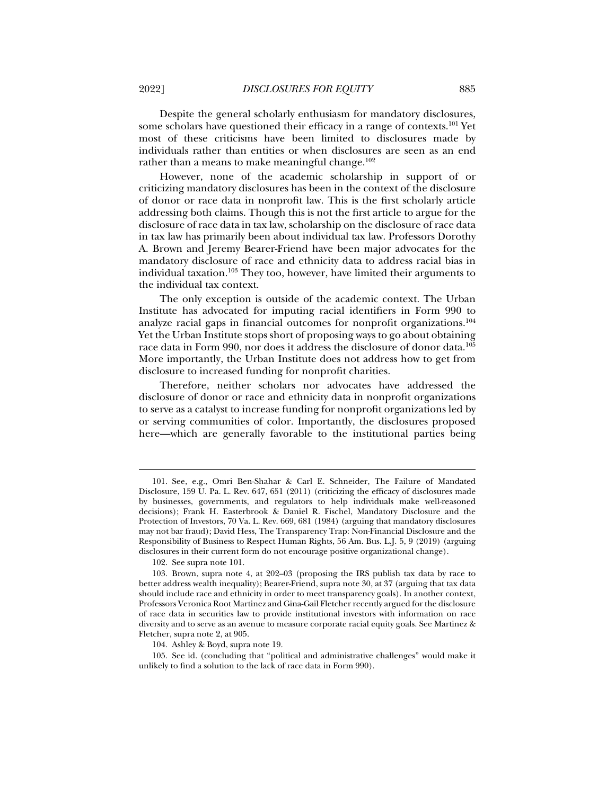Despite the general scholarly enthusiasm for mandatory disclosures, some scholars have questioned their efficacy in a range of contexts.<sup>101</sup> Yet most of these criticisms have been limited to disclosures made by individuals rather than entities or when disclosures are seen as an end rather than a means to make meaningful change. $102$ 

However, none of the academic scholarship in support of or criticizing mandatory disclosures has been in the context of the disclosure of donor or race data in nonprofit law. This is the first scholarly article addressing both claims. Though this is not the first article to argue for the disclosure of race data in tax law, scholarship on the disclosure of race data in tax law has primarily been about individual tax law. Professors Dorothy A. Brown and Jeremy Bearer-Friend have been major advocates for the mandatory disclosure of race and ethnicity data to address racial bias in individual taxation.<sup>103</sup> They too, however, have limited their arguments to the individual tax context.

The only exception is outside of the academic context. The Urban Institute has advocated for imputing racial identifiers in Form 990 to analyze racial gaps in financial outcomes for nonprofit organizations.104 Yet the Urban Institute stops short of proposing ways to go about obtaining race data in Form 990, nor does it address the disclosure of donor data.105 More importantly, the Urban Institute does not address how to get from disclosure to increased funding for nonprofit charities.

Therefore, neither scholars nor advocates have addressed the disclosure of donor or race and ethnicity data in nonprofit organizations to serve as a catalyst to increase funding for nonprofit organizations led by or serving communities of color. Importantly, the disclosures proposed here—which are generally favorable to the institutional parties being

j

104. Ashley & Boyd, supra note 19.

 <sup>101.</sup> See, e.g., Omri Ben-Shahar & Carl E. Schneider, The Failure of Mandated Disclosure, 159 U. Pa. L. Rev. 647, 651 (2011) (criticizing the efficacy of disclosures made by businesses, governments, and regulators to help individuals make well-reasoned decisions); Frank H. Easterbrook & Daniel R. Fischel, Mandatory Disclosure and the Protection of Investors, 70 Va. L. Rev. 669, 681 (1984) (arguing that mandatory disclosures may not bar fraud); David Hess, The Transparency Trap: Non-Financial Disclosure and the Responsibility of Business to Respect Human Rights, 56 Am. Bus. L.J. 5, 9 (2019) (arguing disclosures in their current form do not encourage positive organizational change).

 <sup>102.</sup> See supra note 101.

 <sup>103.</sup> Brown, supra note 4, at 202–03 (proposing the IRS publish tax data by race to better address wealth inequality); Bearer-Friend, supra note 30, at 37 (arguing that tax data should include race and ethnicity in order to meet transparency goals). In another context, Professors Veronica Root Martinez and Gina-Gail Fletcher recently argued for the disclosure of race data in securities law to provide institutional investors with information on race diversity and to serve as an avenue to measure corporate racial equity goals. See Martinez & Fletcher, supra note 2, at 905.

 <sup>105.</sup> See id. (concluding that "political and administrative challenges" would make it unlikely to find a solution to the lack of race data in Form 990).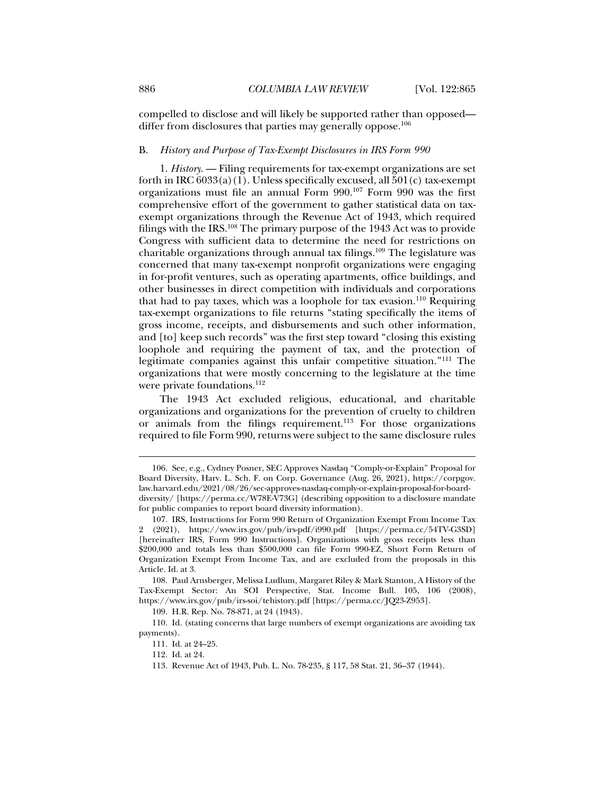compelled to disclose and will likely be supported rather than opposed differ from disclosures that parties may generally oppose.<sup>106</sup>

#### B. *History and Purpose of Tax-Exempt Disclosures in IRS Form 990*

1. *History*. — Filing requirements for tax-exempt organizations are set forth in IRC  $6033(a)(1)$ . Unless specifically excused, all  $501(c)$  tax-exempt organizations must file an annual Form 990.107 Form 990 was the first comprehensive effort of the government to gather statistical data on taxexempt organizations through the Revenue Act of 1943, which required filings with the IRS.108 The primary purpose of the 1943 Act was to provide Congress with sufficient data to determine the need for restrictions on charitable organizations through annual tax filings.109 The legislature was concerned that many tax-exempt nonprofit organizations were engaging in for-profit ventures, such as operating apartments, office buildings, and other businesses in direct competition with individuals and corporations that had to pay taxes, which was a loophole for tax evasion.110 Requiring tax-exempt organizations to file returns "stating specifically the items of gross income, receipts, and disbursements and such other information, and [to] keep such records" was the first step toward "closing this existing loophole and requiring the payment of tax, and the protection of legitimate companies against this unfair competitive situation."111 The organizations that were mostly concerning to the legislature at the time were private foundations.<sup>112</sup>

The 1943 Act excluded religious, educational, and charitable organizations and organizations for the prevention of cruelty to children or animals from the filings requirement.<sup>113</sup> For those organizations required to file Form 990, returns were subject to the same disclosure rules

 <sup>106.</sup> See, e.g., Cydney Posner, SEC Approves Nasdaq "Comply-or-Explain" Proposal for Board Diversity, Harv. L. Sch. F. on Corp. Governance (Aug. 26, 2021), https://corpgov. law.harvard.edu/2021/08/26/sec-approves-nasdaq-comply-or-explain-proposal-for-boarddiversity/ [https://perma.cc/W78E-V73G] (describing opposition to a disclosure mandate for public companies to report board diversity information).

 <sup>107.</sup> IRS, Instructions for Form 990 Return of Organization Exempt From Income Tax 2 (2021), https://www.irs.gov/pub/irs-pdf/i990.pdf [https://perma.cc/54TV-G3SD] [hereinafter IRS, Form 990 Instructions]. Organizations with gross receipts less than \$200,000 and totals less than \$500,000 can file Form 990-EZ, Short Form Return of Organization Exempt From Income Tax, and are excluded from the proposals in this Article. Id. at 3.

 <sup>108.</sup> Paul Arnsberger, Melissa Ludlum, Margaret Riley & Mark Stanton, A History of the Tax-Exempt Sector: An SOI Perspective, Stat. Income Bull. 105, 106 (2008), https://www.irs.gov/pub/irs-soi/tehistory.pdf [https://perma.cc/JQ23-Z953].

 <sup>109.</sup> H.R. Rep. No. 78-871, at 24 (1943).

 <sup>110.</sup> Id. (stating concerns that large numbers of exempt organizations are avoiding tax payments).

 <sup>111.</sup> Id. at 24–25.

 <sup>112.</sup> Id. at 24.

 <sup>113.</sup> Revenue Act of 1943, Pub. L. No. 78-235, § 117, 58 Stat. 21, 36–37 (1944).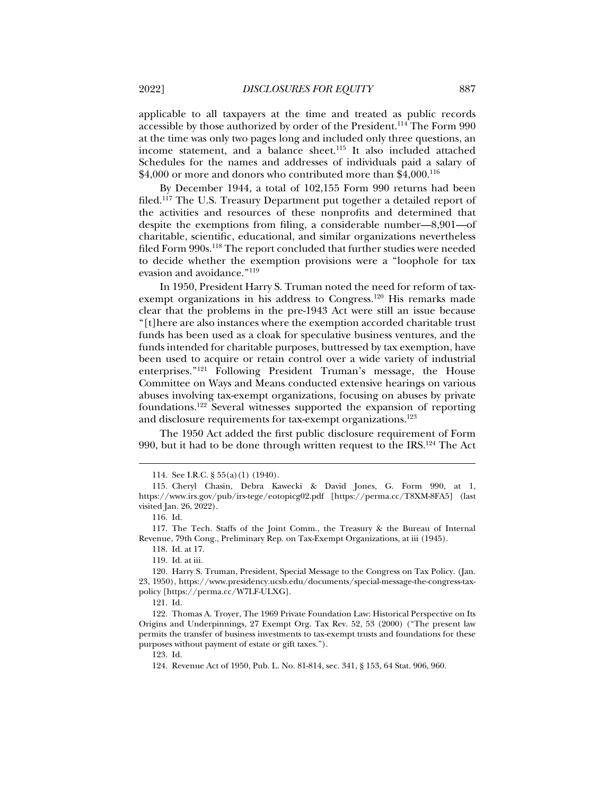applicable to all taxpayers at the time and treated as public records accessible by those authorized by order of the President.114 The Form 990 at the time was only two pages long and included only three questions, an income statement, and a balance sheet.<sup>115</sup> It also included attached Schedules for the names and addresses of individuals paid a salary of  $$4,000$  or more and donors who contributed more than  $$4,000$ .<sup>116</sup>

By December 1944, a total of 102,155 Form 990 returns had been filed.<sup>117</sup> The U.S. Treasury Department put together a detailed report of the activities and resources of these nonprofits and determined that despite the exemptions from filing, a considerable number—8,901—of charitable, scientific, educational, and similar organizations nevertheless filed Form 990s.<sup>118</sup> The report concluded that further studies were needed to decide whether the exemption provisions were a "loophole for tax evasion and avoidance."119

In 1950, President Harry S. Truman noted the need for reform of taxexempt organizations in his address to Congress.<sup>120</sup> His remarks made clear that the problems in the pre-1943 Act were still an issue because "[t]here are also instances where the exemption accorded charitable trust funds has been used as a cloak for speculative business ventures, and the funds intended for charitable purposes, buttressed by tax exemption, have been used to acquire or retain control over a wide variety of industrial enterprises."121 Following President Truman's message, the House Committee on Ways and Means conducted extensive hearings on various abuses involving tax-exempt organizations, focusing on abuses by private foundations.122 Several witnesses supported the expansion of reporting and disclosure requirements for tax-exempt organizations.<sup>123</sup>

The 1950 Act added the first public disclosure requirement of Form 990, but it had to be done through written request to the IRS.<sup>124</sup> The Act

j

118. Id. at 17.

119. Id. at iii.

 120. Harry S. Truman, President, Special Message to the Congress on Tax Policy. (Jan. 23, 1950), https://www.presidency.ucsb.edu/documents/special-message-the-congress-taxpolicy [https://perma.cc/W7LF-ULXG].

121. Id.

 122. Thomas A. Troyer, The 1969 Private Foundation Law: Historical Perspective on Its Origins and Underpinnings, 27 Exempt Org. Tax Rev. 52, 53 (2000) ("The present law permits the transfer of business investments to tax-exempt trusts and foundations for these purposes without payment of estate or gift taxes.").

123. Id.

 <sup>114.</sup> See I.R.C. § 55(a)(1) (1940).

 <sup>115.</sup> Cheryl Chasin, Debra Kawecki & David Jones, G. Form 990, at 1, https://www.irs.gov/pub/irs-tege/eotopicg02.pdf [https://perma.cc/T8XM-8FA5] (last visited Jan. 26, 2022).

 <sup>116.</sup> Id.

 <sup>117.</sup> The Tech. Staffs of the Joint Comm., the Treasury & the Bureau of Internal Revenue, 79th Cong., Preliminary Rep. on Tax-Exempt Organizations, at iii (1945).

 <sup>124.</sup> Revenue Act of 1950, Pub. L. No. 81-814, sec. 341, § 153, 64 Stat. 906, 960.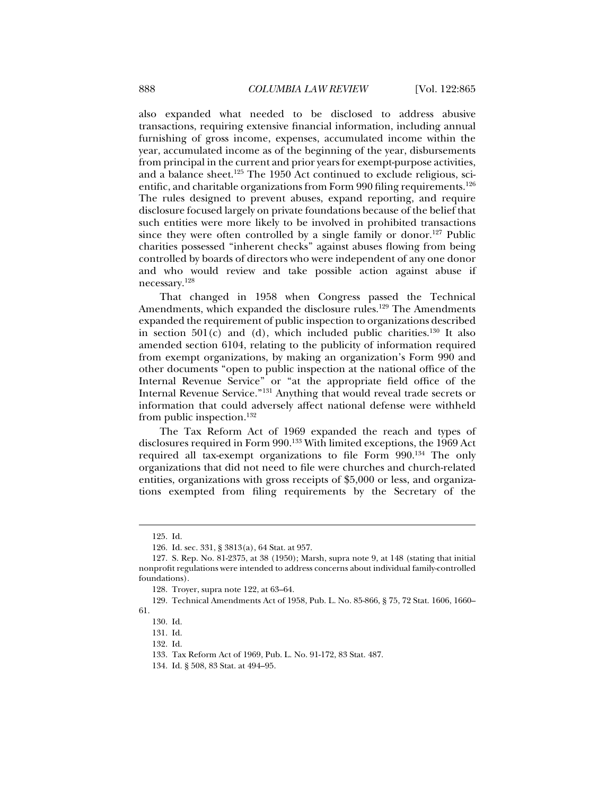also expanded what needed to be disclosed to address abusive transactions, requiring extensive financial information, including annual furnishing of gross income, expenses, accumulated income within the year, accumulated income as of the beginning of the year, disbursements from principal in the current and prior years for exempt-purpose activities, and a balance sheet.125 The 1950 Act continued to exclude religious, scientific, and charitable organizations from Form 990 filing requirements.<sup>126</sup> The rules designed to prevent abuses, expand reporting, and require disclosure focused largely on private foundations because of the belief that such entities were more likely to be involved in prohibited transactions since they were often controlled by a single family or donor.<sup>127</sup> Public charities possessed "inherent checks" against abuses flowing from being controlled by boards of directors who were independent of any one donor and who would review and take possible action against abuse if necessary.128

That changed in 1958 when Congress passed the Technical Amendments, which expanded the disclosure rules.<sup>129</sup> The Amendments expanded the requirement of public inspection to organizations described in section  $501(c)$  and (d), which included public charities.<sup>130</sup> It also amended section 6104, relating to the publicity of information required from exempt organizations, by making an organization's Form 990 and other documents "open to public inspection at the national office of the Internal Revenue Service" or "at the appropriate field office of the Internal Revenue Service."131 Anything that would reveal trade secrets or information that could adversely affect national defense were withheld from public inspection.<sup>132</sup>

The Tax Reform Act of 1969 expanded the reach and types of disclosures required in Form 990.133 With limited exceptions, the 1969 Act required all tax-exempt organizations to file Form 990.134 The only organizations that did not need to file were churches and church-related entities, organizations with gross receipts of \$5,000 or less, and organizations exempted from filing requirements by the Secretary of the

 <sup>125.</sup> Id.

 <sup>126.</sup> Id. sec. 331, § 3813(a), 64 Stat. at 957.

 <sup>127.</sup> S. Rep. No. 81-2375, at 38 (1950); Marsh, supra note 9, at 148 (stating that initial nonprofit regulations were intended to address concerns about individual family-controlled foundations).

 <sup>128.</sup> Troyer, supra note 122, at 63–64.

 <sup>129.</sup> Technical Amendments Act of 1958, Pub. L. No. 85-866, § 75, 72 Stat. 1606, 1660– 61.

 <sup>130.</sup> Id.

 <sup>131.</sup> Id.

 <sup>132.</sup> Id.

 <sup>133.</sup> Tax Reform Act of 1969, Pub. L. No. 91-172, 83 Stat. 487.

 <sup>134.</sup> Id. § 508, 83 Stat. at 494–95.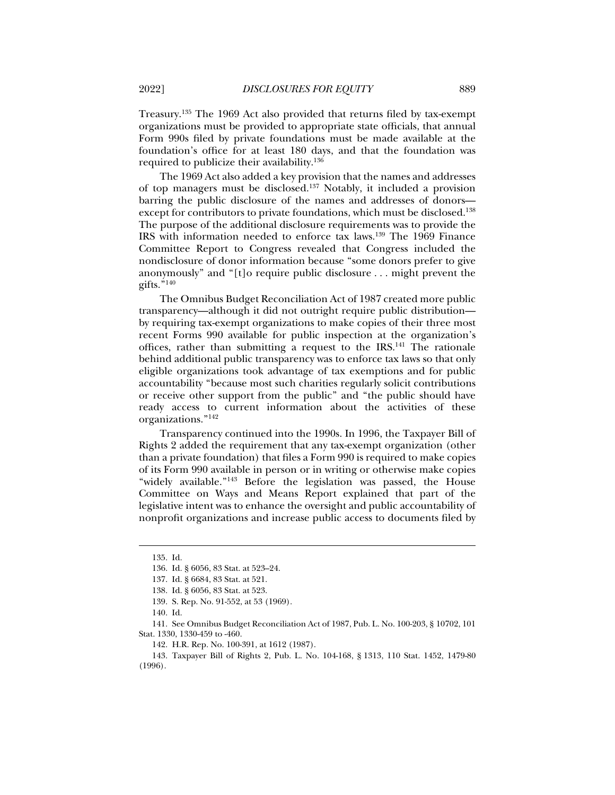Treasury.135 The 1969 Act also provided that returns filed by tax-exempt organizations must be provided to appropriate state officials, that annual Form 990s filed by private foundations must be made available at the foundation's office for at least 180 days, and that the foundation was required to publicize their availability.136

The 1969 Act also added a key provision that the names and addresses of top managers must be disclosed.137 Notably, it included a provision barring the public disclosure of the names and addresses of donors except for contributors to private foundations, which must be disclosed.<sup>138</sup> The purpose of the additional disclosure requirements was to provide the IRS with information needed to enforce tax laws.139 The 1969 Finance Committee Report to Congress revealed that Congress included the nondisclosure of donor information because "some donors prefer to give anonymously" and "[t]o require public disclosure . . . might prevent the gifts." $140$ 

The Omnibus Budget Reconciliation Act of 1987 created more public transparency—although it did not outright require public distribution by requiring tax-exempt organizations to make copies of their three most recent Forms 990 available for public inspection at the organization's offices, rather than submitting a request to the IRS.<sup>141</sup> The rationale behind additional public transparency was to enforce tax laws so that only eligible organizations took advantage of tax exemptions and for public accountability "because most such charities regularly solicit contributions or receive other support from the public" and "the public should have ready access to current information about the activities of these organizations."142

Transparency continued into the 1990s. In 1996, the Taxpayer Bill of Rights 2 added the requirement that any tax-exempt organization (other than a private foundation) that files a Form 990 is required to make copies of its Form 990 available in person or in writing or otherwise make copies "widely available."143 Before the legislation was passed, the House Committee on Ways and Means Report explained that part of the legislative intent was to enhance the oversight and public accountability of nonprofit organizations and increase public access to documents filed by

 <sup>135.</sup> Id.

 <sup>136.</sup> Id. § 6056, 83 Stat. at 523–24.

 <sup>137.</sup> Id. § 6684, 83 Stat. at 521.

 <sup>138.</sup> Id. § 6056, 83 Stat. at 523.

 <sup>139.</sup> S. Rep. No. 91-552, at 53 (1969).

 <sup>140.</sup> Id.

 <sup>141.</sup> See Omnibus Budget Reconciliation Act of 1987, Pub. L. No. 100-203, § 10702, 101 Stat. 1330, 1330-459 to -460.

 <sup>142.</sup> H.R. Rep. No. 100-391, at 1612 (1987).

 <sup>143.</sup> Taxpayer Bill of Rights 2, Pub. L. No. 104-168, § 1313, 110 Stat. 1452, 1479-80 (1996).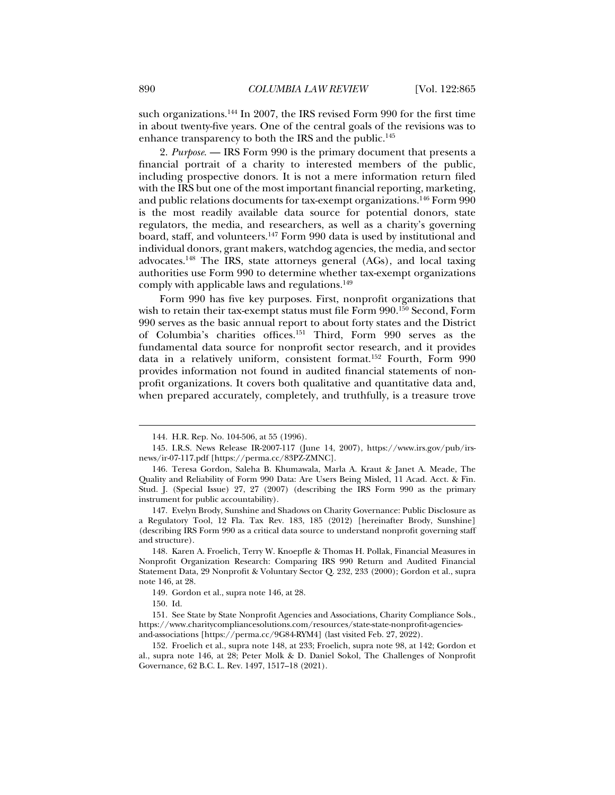such organizations.144 In 2007, the IRS revised Form 990 for the first time in about twenty-five years. One of the central goals of the revisions was to enhance transparency to both the IRS and the public.<sup>145</sup>

2. *Purpose*. — IRS Form 990 is the primary document that presents a financial portrait of a charity to interested members of the public, including prospective donors. It is not a mere information return filed with the IRS but one of the most important financial reporting, marketing, and public relations documents for tax-exempt organizations.146 Form 990 is the most readily available data source for potential donors, state regulators, the media, and researchers, as well as a charity's governing board, staff, and volunteers.147 Form 990 data is used by institutional and individual donors, grant makers, watchdog agencies, the media, and sector advocates.148 The IRS, state attorneys general (AGs), and local taxing authorities use Form 990 to determine whether tax-exempt organizations comply with applicable laws and regulations.<sup>149</sup>

Form 990 has five key purposes. First, nonprofit organizations that wish to retain their tax-exempt status must file Form 990.<sup>150</sup> Second, Form 990 serves as the basic annual report to about forty states and the District of Columbia's charities offices.151 Third, Form 990 serves as the fundamental data source for nonprofit sector research, and it provides data in a relatively uniform, consistent format.152 Fourth, Form 990 provides information not found in audited financial statements of nonprofit organizations. It covers both qualitative and quantitative data and, when prepared accurately, completely, and truthfully, is a treasure trove

 <sup>144.</sup> H.R. Rep. No. 104-506, at 55 (1996).

 <sup>145.</sup> I.R.S. News Release IR-2007-117 (June 14, 2007), https://www.irs.gov/pub/irsnews/ir-07-117.pdf [https://perma.cc/83PZ-ZMNC].

 <sup>146.</sup> Teresa Gordon, Saleha B. Khumawala, Marla A. Kraut & Janet A. Meade, The Quality and Reliability of Form 990 Data: Are Users Being Misled, 11 Acad. Acct. & Fin. Stud. J. (Special Issue) 27, 27 (2007) (describing the IRS Form 990 as the primary instrument for public accountability).

 <sup>147.</sup> Evelyn Brody, Sunshine and Shadows on Charity Governance: Public Disclosure as a Regulatory Tool, 12 Fla. Tax Rev. 183, 185 (2012) [hereinafter Brody, Sunshine] (describing IRS Form 990 as a critical data source to understand nonprofit governing staff and structure).

 <sup>148.</sup> Karen A. Froelich, Terry W. Knoepfle & Thomas H. Pollak, Financial Measures in Nonprofit Organization Research: Comparing IRS 990 Return and Audited Financial Statement Data, 29 Nonprofit & Voluntary Sector Q. 232, 233 (2000); Gordon et al., supra note 146, at 28.

 <sup>149.</sup> Gordon et al., supra note 146, at 28.

 <sup>150.</sup> Id.

 <sup>151.</sup> See State by State Nonprofit Agencies and Associations, Charity Compliance Sols., https://www.charitycompliancesolutions.com/resources/state-state-nonprofit-agenciesand-associations [https://perma.cc/9G84-RYM4] (last visited Feb. 27, 2022).

 <sup>152.</sup> Froelich et al., supra note 148, at 233; Froelich, supra note 98, at 142; Gordon et al., supra note 146, at 28; Peter Molk & D. Daniel Sokol, The Challenges of Nonprofit Governance, 62 B.C. L. Rev. 1497, 1517–18 (2021).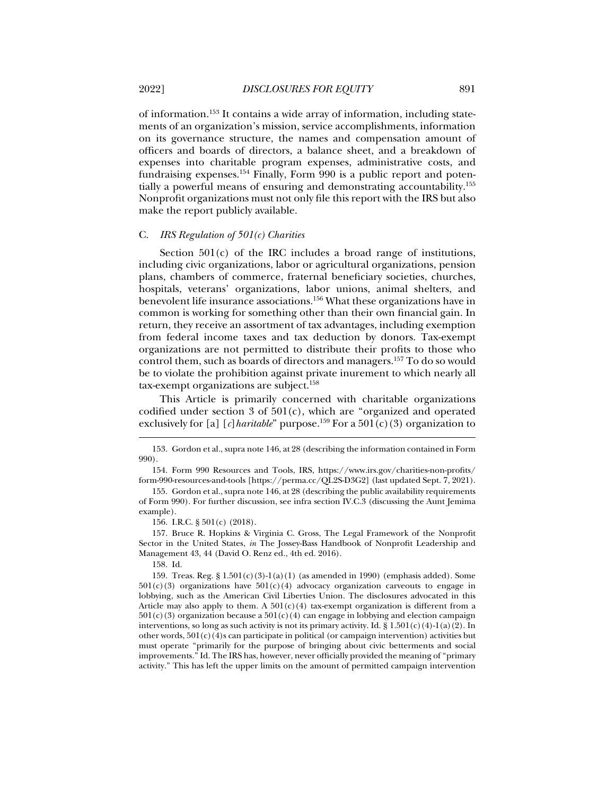of information.153 It contains a wide array of information, including statements of an organization's mission, service accomplishments, information on its governance structure, the names and compensation amount of officers and boards of directors, a balance sheet, and a breakdown of expenses into charitable program expenses, administrative costs, and fundraising expenses.154 Finally, Form 990 is a public report and potentially a powerful means of ensuring and demonstrating accountability.155 Nonprofit organizations must not only file this report with the IRS but also make the report publicly available.

#### C. *IRS Regulation of 501(c) Charities*

Section  $501(c)$  of the IRC includes a broad range of institutions, including civic organizations, labor or agricultural organizations, pension plans, chambers of commerce, fraternal beneficiary societies, churches, hospitals, veterans' organizations, labor unions, animal shelters, and benevolent life insurance associations.156 What these organizations have in common is working for something other than their own financial gain. In return, they receive an assortment of tax advantages, including exemption from federal income taxes and tax deduction by donors. Tax-exempt organizations are not permitted to distribute their profits to those who control them, such as boards of directors and managers.157 To do so would be to violate the prohibition against private inurement to which nearly all tax-exempt organizations are subject.<sup>158</sup>

This Article is primarily concerned with charitable organizations codified under section 3 of 501(c), which are "organized and operated exclusively for [a] [*c*] haritable" purpose.<sup>159</sup> For a 501(c)(3) organization to

 157. Bruce R. Hopkins & Virginia C. Gross, The Legal Framework of the Nonprofit Sector in the United States, *in* The Jossey-Bass Handbook of Nonprofit Leadership and Management 43, 44 (David O. Renz ed., 4th ed. 2016).

158. Id.

j

 159. Treas. Reg. § 1.501(c)(3)-1(a)(1) (as amended in 1990) (emphasis added). Some  $501(c)(3)$  organizations have  $501(c)(4)$  advocacy organization carveouts to engage in lobbying, such as the American Civil Liberties Union. The disclosures advocated in this Article may also apply to them. A  $501(c)(4)$  tax-exempt organization is different from a  $501(c)(3)$  organization because a  $501(c)(4)$  can engage in lobbying and election campaign interventions, so long as such activity is not its primary activity. Id. § 1.501(c)(4)-1(a)(2). In other words,  $501(c)(4)$ s can participate in political (or campaign intervention) activities but must operate "primarily for the purpose of bringing about civic betterments and social improvements." Id. The IRS has, however, never officially provided the meaning of "primary activity." This has left the upper limits on the amount of permitted campaign intervention

 <sup>153.</sup> Gordon et al., supra note 146, at 28 (describing the information contained in Form 990).

 <sup>154.</sup> Form 990 Resources and Tools, IRS, https://www.irs.gov/charities-non-profits/ form-990-resources-and-tools [https://perma.cc/QL2S-D3G2] (last updated Sept. 7, 2021).

 <sup>155.</sup> Gordon et al., supra note 146, at 28 (describing the public availability requirements of Form 990). For further discussion, see infra section IV.C.3 (discussing the Aunt Jemima example).

 <sup>156.</sup> I.R.C. § 501(c) (2018).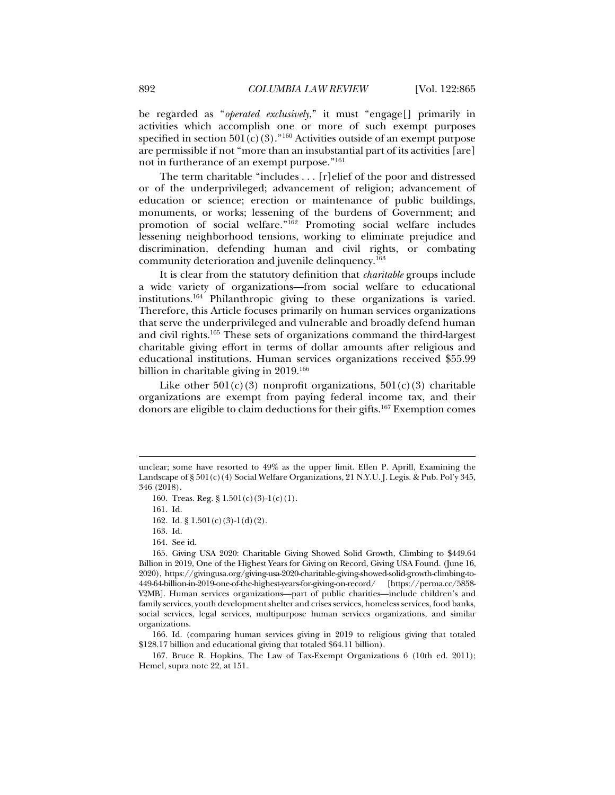be regarded as "*operated exclusively*," it must "engage[] primarily in activities which accomplish one or more of such exempt purposes specified in section  $501(c)(3)$ ."<sup>160</sup> Activities outside of an exempt purpose are permissible if not "more than an insubstantial part of its activities [are] not in furtherance of an exempt purpose."161

The term charitable "includes . . . [r]elief of the poor and distressed or of the underprivileged; advancement of religion; advancement of education or science; erection or maintenance of public buildings, monuments, or works; lessening of the burdens of Government; and promotion of social welfare."162 Promoting social welfare includes lessening neighborhood tensions, working to eliminate prejudice and discrimination, defending human and civil rights, or combating community deterioration and juvenile delinquency.163

It is clear from the statutory definition that *charitable* groups include a wide variety of organizations—from social welfare to educational institutions.164 Philanthropic giving to these organizations is varied. Therefore, this Article focuses primarily on human services organizations that serve the underprivileged and vulnerable and broadly defend human and civil rights.165 These sets of organizations command the third-largest charitable giving effort in terms of dollar amounts after religious and educational institutions. Human services organizations received \$55.99 billion in charitable giving in 2019.<sup>166</sup>

Like other  $501(c)(3)$  nonprofit organizations,  $501(c)(3)$  charitable organizations are exempt from paying federal income tax, and their donors are eligible to claim deductions for their gifts.167 Exemption comes

j

- 163. Id.
- 164. See id.

 166. Id. (comparing human services giving in 2019 to religious giving that totaled \$128.17 billion and educational giving that totaled \$64.11 billion).

 167. Bruce R. Hopkins, The Law of Tax-Exempt Organizations 6 (10th ed. 2011); Hemel, supra note 22, at 151.

unclear; some have resorted to 49% as the upper limit. Ellen P. Aprill, Examining the Landscape of § 501(c)(4) Social Welfare Organizations, 21 N.Y.U. J. Legis. & Pub. Pol'y 345, 346 (2018).

 <sup>160.</sup> Treas. Reg. § 1.501(c)(3)-1(c)(1).

 <sup>161.</sup> Id.

 <sup>162.</sup> Id. § 1.501(c)(3)-1(d)(2).

 <sup>165.</sup> Giving USA 2020: Charitable Giving Showed Solid Growth, Climbing to \$449.64 Billion in 2019, One of the Highest Years for Giving on Record, Giving USA Found. (June 16, 2020), https://givingusa.org/giving-usa-2020-charitable-giving-showed-solid-growth-climbing-to-449-64-billion-in-2019-one-of-the-highest-years-for-giving-on-record/ [https://perma.cc/5858- Y2MB]. Human services organizations—part of public charities—include children's and family services, youth development shelter and crises services, homeless services, food banks, social services, legal services, multipurpose human services organizations, and similar organizations.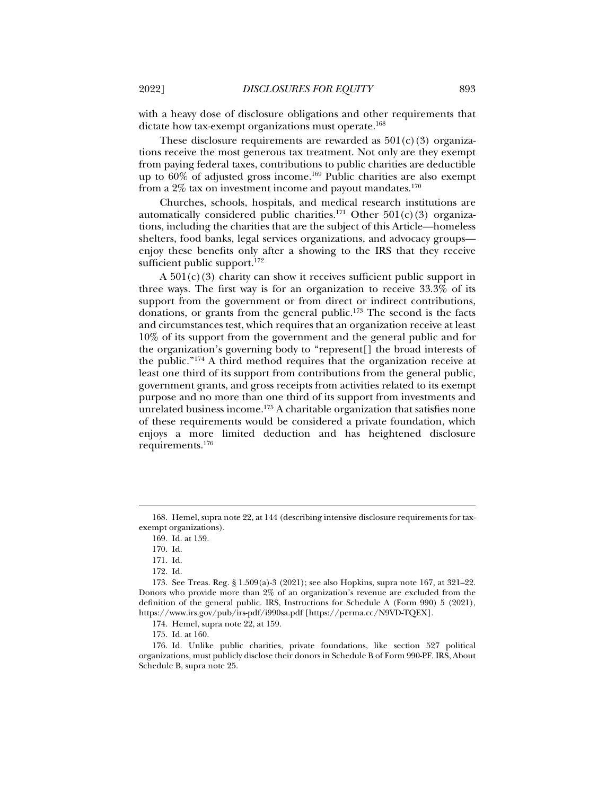with a heavy dose of disclosure obligations and other requirements that dictate how tax-exempt organizations must operate.<sup>168</sup>

These disclosure requirements are rewarded as  $501(c)(3)$  organizations receive the most generous tax treatment. Not only are they exempt from paying federal taxes, contributions to public charities are deductible up to  $60\%$  of adjusted gross income.<sup>169</sup> Public charities are also exempt from a  $2\%$  tax on investment income and payout mandates.<sup>170</sup>

Churches, schools, hospitals, and medical research institutions are automatically considered public charities.<sup>171</sup> Other  $501(c)(3)$  organizations, including the charities that are the subject of this Article—homeless shelters, food banks, legal services organizations, and advocacy groups enjoy these benefits only after a showing to the IRS that they receive sufficient public support. $172$ 

A  $501(c)(3)$  charity can show it receives sufficient public support in three ways. The first way is for an organization to receive 33.3% of its support from the government or from direct or indirect contributions, donations, or grants from the general public.173 The second is the facts and circumstances test, which requires that an organization receive at least 10% of its support from the government and the general public and for the organization's governing body to "represent[] the broad interests of the public."174 A third method requires that the organization receive at least one third of its support from contributions from the general public, government grants, and gross receipts from activities related to its exempt purpose and no more than one third of its support from investments and unrelated business income.<sup>175</sup> A charitable organization that satisfies none of these requirements would be considered a private foundation, which enjoys a more limited deduction and has heightened disclosure requirements.176

 <sup>168.</sup> Hemel, supra note 22, at 144 (describing intensive disclosure requirements for taxexempt organizations).

 <sup>169.</sup> Id. at 159.

 <sup>170.</sup> Id.

 <sup>171.</sup> Id.

 <sup>172.</sup> Id.

 <sup>173.</sup> See Treas. Reg. § 1.509(a)-3 (2021); see also Hopkins, supra note 167, at 321–22. Donors who provide more than 2% of an organization's revenue are excluded from the definition of the general public. IRS, Instructions for Schedule A (Form 990) 5 (2021), https://www.irs.gov/pub/irs-pdf/i990sa.pdf [https://perma.cc/N9VD-TQEX].

 <sup>174.</sup> Hemel, supra note 22, at 159.

 <sup>175.</sup> Id. at 160.

 <sup>176.</sup> Id. Unlike public charities, private foundations, like section 527 political organizations, must publicly disclose their donors in Schedule B of Form 990-PF. IRS, About Schedule B, supra note 25.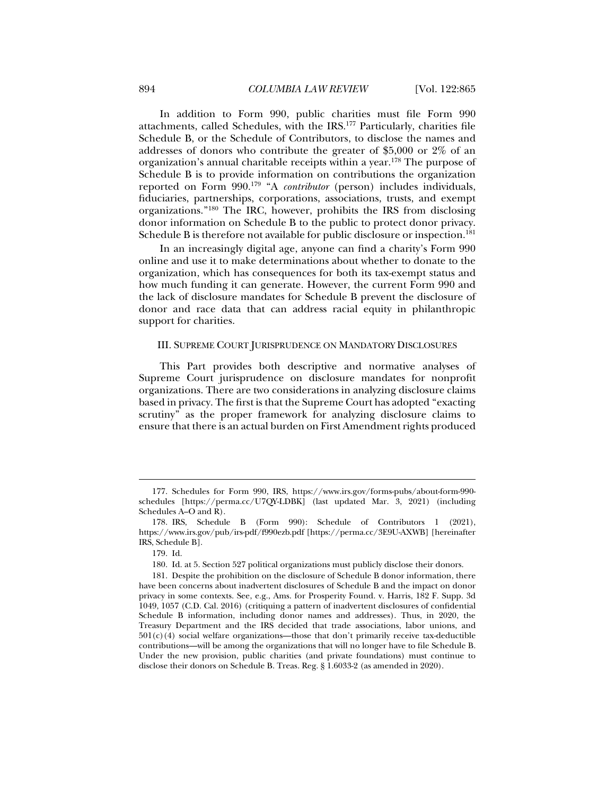In addition to Form 990, public charities must file Form 990 attachments, called Schedules, with the IRS.177 Particularly, charities file Schedule B, or the Schedule of Contributors, to disclose the names and addresses of donors who contribute the greater of \$5,000 or 2% of an organization's annual charitable receipts within a year.178 The purpose of Schedule B is to provide information on contributions the organization reported on Form 990.179 "A *contributor* (person) includes individuals, fiduciaries, partnerships, corporations, associations, trusts, and exempt organizations."180 The IRC, however, prohibits the IRS from disclosing donor information on Schedule B to the public to protect donor privacy. Schedule B is therefore not available for public disclosure or inspection.<sup>181</sup>

In an increasingly digital age, anyone can find a charity's Form 990 online and use it to make determinations about whether to donate to the organization, which has consequences for both its tax-exempt status and how much funding it can generate. However, the current Form 990 and the lack of disclosure mandates for Schedule B prevent the disclosure of donor and race data that can address racial equity in philanthropic support for charities.

#### III. SUPREME COURT JURISPRUDENCE ON MANDATORY DISCLOSURES

This Part provides both descriptive and normative analyses of Supreme Court jurisprudence on disclosure mandates for nonprofit organizations. There are two considerations in analyzing disclosure claims based in privacy. The first is that the Supreme Court has adopted "exacting scrutiny" as the proper framework for analyzing disclosure claims to ensure that there is an actual burden on First Amendment rights produced

 <sup>177.</sup> Schedules for Form 990, IRS, https://www.irs.gov/forms-pubs/about-form-990 schedules [https://perma.cc/U7QY-LDBK] (last updated Mar. 3, 2021) (including Schedules A–O and R).

 <sup>178.</sup> IRS, Schedule B (Form 990): Schedule of Contributors 1 (2021), https://www.irs.gov/pub/irs-pdf/f990ezb.pdf [https://perma.cc/3E9U-AXWB] [hereinafter IRS, Schedule B].

 <sup>179.</sup> Id.

 <sup>180.</sup> Id. at 5. Section 527 political organizations must publicly disclose their donors.

 <sup>181.</sup> Despite the prohibition on the disclosure of Schedule B donor information, there have been concerns about inadvertent disclosures of Schedule B and the impact on donor privacy in some contexts. See, e.g., Ams. for Prosperity Found. v. Harris, 182 F. Supp. 3d 1049, 1057 (C.D. Cal. 2016) (critiquing a pattern of inadvertent disclosures of confidential Schedule B information, including donor names and addresses). Thus, in 2020, the Treasury Department and the IRS decided that trade associations, labor unions, and  $501(c)(4)$  social welfare organizations—those that don't primarily receive tax-deductible contributions—will be among the organizations that will no longer have to file Schedule B. Under the new provision, public charities (and private foundations) must continue to disclose their donors on Schedule B. Treas. Reg. § 1.6033-2 (as amended in 2020).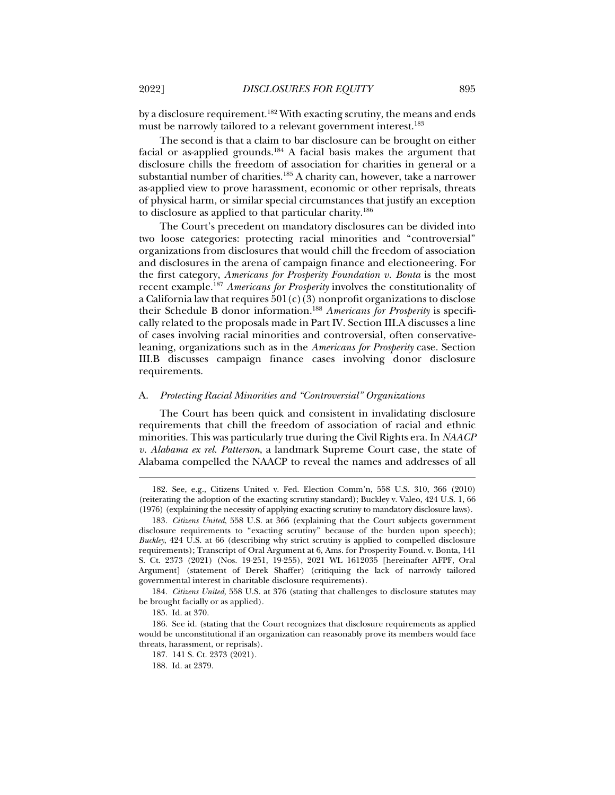by a disclosure requirement.182 With exacting scrutiny, the means and ends must be narrowly tailored to a relevant government interest.<sup>183</sup>

The second is that a claim to bar disclosure can be brought on either facial or as-applied grounds.184 A facial basis makes the argument that disclosure chills the freedom of association for charities in general or a substantial number of charities.<sup>185</sup> A charity can, however, take a narrower as-applied view to prove harassment, economic or other reprisals, threats of physical harm, or similar special circumstances that justify an exception to disclosure as applied to that particular charity.186

The Court's precedent on mandatory disclosures can be divided into two loose categories: protecting racial minorities and "controversial" organizations from disclosures that would chill the freedom of association and disclosures in the arena of campaign finance and electioneering. For the first category, *Americans for Prosperity Foundation v. Bonta* is the most recent example.187 *Americans for Prosperity* involves the constitutionality of a California law that requires  $501(c)(3)$  nonprofit organizations to disclose their Schedule B donor information.188 *Americans for Prosperity* is specifically related to the proposals made in Part IV. Section III.A discusses a line of cases involving racial minorities and controversial, often conservativeleaning, organizations such as in the *Americans for Prosperity* case. Section III.B discusses campaign finance cases involving donor disclosure requirements.

#### A. *Protecting Racial Minorities and "Controversial" Organizations*

The Court has been quick and consistent in invalidating disclosure requirements that chill the freedom of association of racial and ethnic minorities. This was particularly true during the Civil Rights era. In *NAACP v. Alabama ex rel. Patterson*, a landmark Supreme Court case, the state of Alabama compelled the NAACP to reveal the names and addresses of all

184*. Citizens United*, 558 U.S. at 376 (stating that challenges to disclosure statutes may be brought facially or as applied).

 <sup>182.</sup> See, e.g., Citizens United v. Fed. Election Comm'n, 558 U.S. 310, 366 (2010) (reiterating the adoption of the exacting scrutiny standard); Buckley v. Valeo, 424 U.S. 1, 66 (1976) (explaining the necessity of applying exacting scrutiny to mandatory disclosure laws).

<sup>183</sup>*. Citizens United*, 558 U.S. at 366 (explaining that the Court subjects government disclosure requirements to "exacting scrutiny" because of the burden upon speech); *Buckley*, 424 U.S. at 66 (describing why strict scrutiny is applied to compelled disclosure requirements); Transcript of Oral Argument at 6, Ams. for Prosperity Found. v. Bonta, 141 S. Ct. 2373 (2021) (Nos. 19-251, 19-255), 2021 WL 1612035 [hereinafter AFPF, Oral Argument] (statement of Derek Shaffer) (critiquing the lack of narrowly tailored governmental interest in charitable disclosure requirements).

 <sup>185.</sup> Id. at 370.

 <sup>186.</sup> See id. (stating that the Court recognizes that disclosure requirements as applied would be unconstitutional if an organization can reasonably prove its members would face threats, harassment, or reprisals).

 <sup>187. 141</sup> S. Ct. 2373 (2021).

 <sup>188.</sup> Id. at 2379.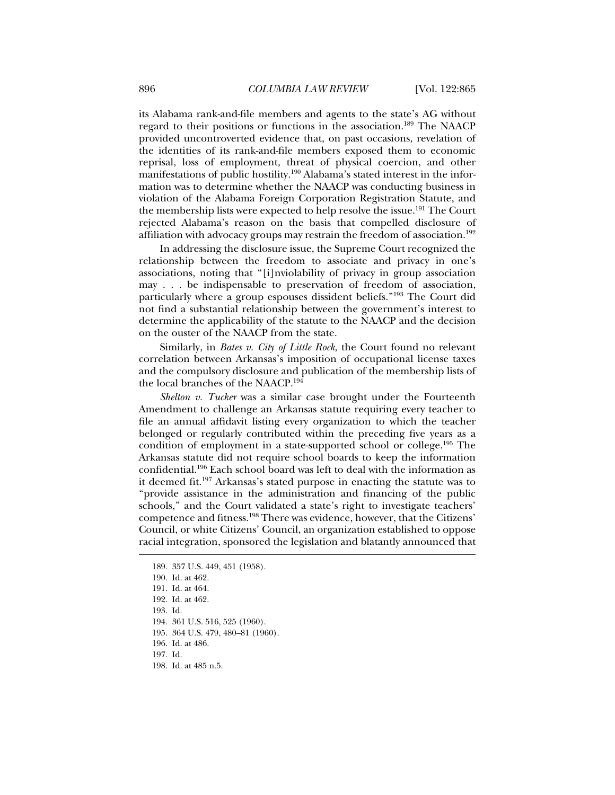its Alabama rank-and-file members and agents to the state's AG without regard to their positions or functions in the association.189 The NAACP provided uncontroverted evidence that, on past occasions, revelation of the identities of its rank-and-file members exposed them to economic reprisal, loss of employment, threat of physical coercion, and other manifestations of public hostility.<sup>190</sup> Alabama's stated interest in the information was to determine whether the NAACP was conducting business in violation of the Alabama Foreign Corporation Registration Statute, and the membership lists were expected to help resolve the issue.191 The Court rejected Alabama's reason on the basis that compelled disclosure of affiliation with advocacy groups may restrain the freedom of association.<sup>192</sup>

In addressing the disclosure issue, the Supreme Court recognized the relationship between the freedom to associate and privacy in one's associations, noting that "[i]nviolability of privacy in group association may . . . be indispensable to preservation of freedom of association, particularly where a group espouses dissident beliefs."193 The Court did not find a substantial relationship between the government's interest to determine the applicability of the statute to the NAACP and the decision on the ouster of the NAACP from the state.

Similarly, in *Bates v. City of Little Rock*, the Court found no relevant correlation between Arkansas's imposition of occupational license taxes and the compulsory disclosure and publication of the membership lists of the local branches of the NAACP.194

*Shelton v. Tucker* was a similar case brought under the Fourteenth Amendment to challenge an Arkansas statute requiring every teacher to file an annual affidavit listing every organization to which the teacher belonged or regularly contributed within the preceding five years as a condition of employment in a state-supported school or college.195 The Arkansas statute did not require school boards to keep the information confidential.196 Each school board was left to deal with the information as it deemed fit.197 Arkansas's stated purpose in enacting the statute was to "provide assistance in the administration and financing of the public schools," and the Court validated a state's right to investigate teachers' competence and fitness.198 There was evidence, however, that the Citizens' Council, or white Citizens' Council, an organization established to oppose racial integration, sponsored the legislation and blatantly announced that

193. Id.

j

196. Id. at 486.

197. Id.

198. Id. at 485 n.5.

 <sup>189. 357</sup> U.S. 449, 451 (1958).

 <sup>190.</sup> Id. at 462.

 <sup>191.</sup> Id. at 464.

 <sup>192.</sup> Id. at 462.

 <sup>194. 361</sup> U.S. 516, 525 (1960).

 <sup>195. 364</sup> U.S. 479, 480–81 (1960).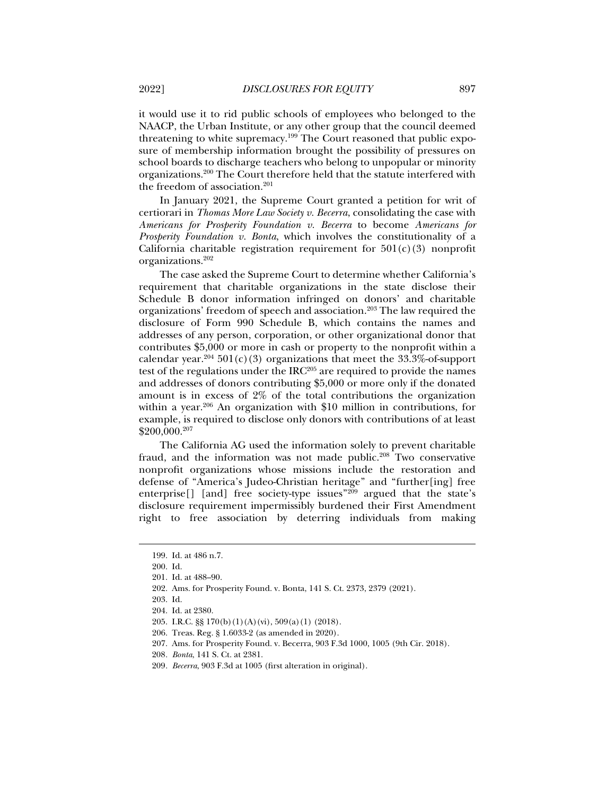it would use it to rid public schools of employees who belonged to the NAACP, the Urban Institute, or any other group that the council deemed threatening to white supremacy.199 The Court reasoned that public exposure of membership information brought the possibility of pressures on school boards to discharge teachers who belong to unpopular or minority organizations.200 The Court therefore held that the statute interfered with the freedom of association.<sup>201</sup>

In January 2021, the Supreme Court granted a petition for writ of certiorari in *Thomas More Law Society v. Becerra*, consolidating the case with *Americans for Prosperity Foundation v. Becerra* to become *Americans for Prosperity Foundation v. Bonta*, which involves the constitutionality of a California charitable registration requirement for  $501(c)(3)$  nonprofit organizations.202

The case asked the Supreme Court to determine whether California's requirement that charitable organizations in the state disclose their Schedule B donor information infringed on donors' and charitable organizations' freedom of speech and association.203 The law required the disclosure of Form 990 Schedule B, which contains the names and addresses of any person, corporation, or other organizational donor that contributes \$5,000 or more in cash or property to the nonprofit within a calendar year.<sup>204</sup> 501(c)(3) organizations that meet the  $33.3\%$ -of-support test of the regulations under the  $IRC<sup>205</sup>$  are required to provide the names and addresses of donors contributing \$5,000 or more only if the donated amount is in excess of 2% of the total contributions the organization within a year.206 An organization with \$10 million in contributions, for example, is required to disclose only donors with contributions of at least \$200,000.207

The California AG used the information solely to prevent charitable fraud, and the information was not made public.<sup>208</sup> Two conservative nonprofit organizations whose missions include the restoration and defense of "America's Judeo-Christian heritage" and "further[ing] free enterprise<sup>[]</sup> [and] free society-type issues<sup>"209</sup> argued that the state's disclosure requirement impermissibly burdened their First Amendment right to free association by deterring individuals from making

 <sup>199.</sup> Id. at 486 n.7.

 <sup>200.</sup> Id.

 <sup>201.</sup> Id. at 488–90.

 <sup>202.</sup> Ams. for Prosperity Found. v. Bonta, 141 S. Ct. 2373, 2379 (2021).

 <sup>203.</sup> Id.

 <sup>204.</sup> Id. at 2380.

 <sup>205.</sup> I.R.C. §§ 170(b)(1)(A)(vi), 509(a)(1) (2018).

 <sup>206.</sup> Treas. Reg. § 1.6033-2 (as amended in 2020).

 <sup>207.</sup> Ams. for Prosperity Found. v. Becerra, 903 F.3d 1000, 1005 (9th Cir. 2018).

<sup>208</sup>*. Bonta*, 141 S. Ct. at 2381.

<sup>209</sup>*. Becerra*, 903 F.3d at 1005 (first alteration in original).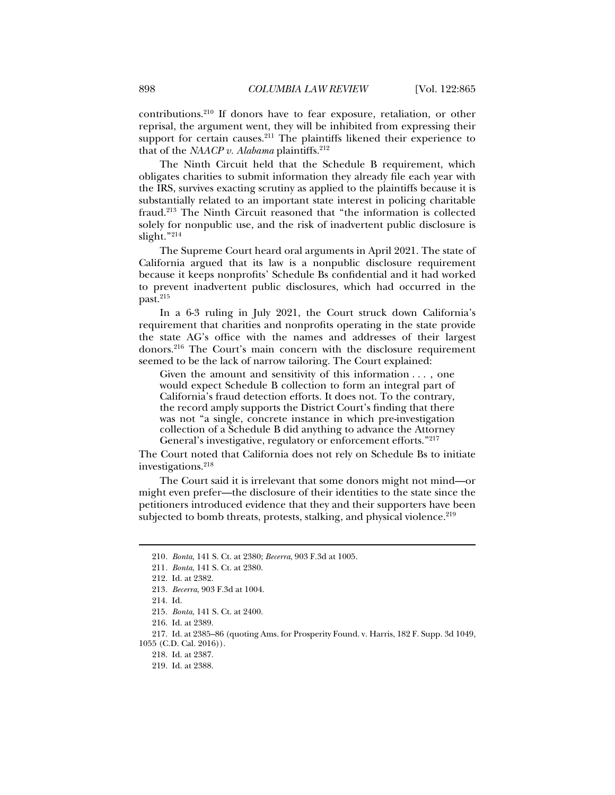contributions.210 If donors have to fear exposure, retaliation, or other reprisal, the argument went, they will be inhibited from expressing their support for certain causes.<sup>211</sup> The plaintiffs likened their experience to that of the *NAACP v. Alabama* plaintiffs.212

The Ninth Circuit held that the Schedule B requirement, which obligates charities to submit information they already file each year with the IRS, survives exacting scrutiny as applied to the plaintiffs because it is substantially related to an important state interest in policing charitable fraud.213 The Ninth Circuit reasoned that "the information is collected solely for nonpublic use, and the risk of inadvertent public disclosure is slight."214

The Supreme Court heard oral arguments in April 2021. The state of California argued that its law is a nonpublic disclosure requirement because it keeps nonprofits' Schedule Bs confidential and it had worked to prevent inadvertent public disclosures, which had occurred in the past.<sup>215</sup>

In a 6-3 ruling in July 2021, the Court struck down California's requirement that charities and nonprofits operating in the state provide the state AG's office with the names and addresses of their largest donors.216 The Court's main concern with the disclosure requirement seemed to be the lack of narrow tailoring. The Court explained:

Given the amount and sensitivity of this information . . . , one would expect Schedule B collection to form an integral part of California's fraud detection efforts. It does not. To the contrary, the record amply supports the District Court's finding that there was not "a single, concrete instance in which pre-investigation collection of a Schedule B did anything to advance the Attorney General's investigative, regulatory or enforcement efforts."<sup>217</sup>

The Court noted that California does not rely on Schedule Bs to initiate investigations.218

The Court said it is irrelevant that some donors might not mind—or might even prefer—the disclosure of their identities to the state since the petitioners introduced evidence that they and their supporters have been subjected to bomb threats, protests, stalking, and physical violence.<sup>219</sup>

<sup>210</sup>*. Bonta*, 141 S. Ct. at 2380; *Becerra*, 903 F.3d at 1005.

<sup>211</sup>*. Bonta*, 141 S. Ct. at 2380.

 <sup>212.</sup> Id. at 2382.

<sup>213</sup>*. Becerra*, 903 F.3d at 1004.

 <sup>214.</sup> Id.

<sup>215</sup>*. Bonta*, 141 S. Ct. at 2400.

 <sup>216.</sup> Id. at 2389.

 <sup>217.</sup> Id. at 2385–86 (quoting Ams. for Prosperity Found. v. Harris, 182 F. Supp. 3d 1049,

<sup>1055 (</sup>C.D. Cal. 2016)).

 <sup>218.</sup> Id. at 2387.

 <sup>219.</sup> Id. at 2388.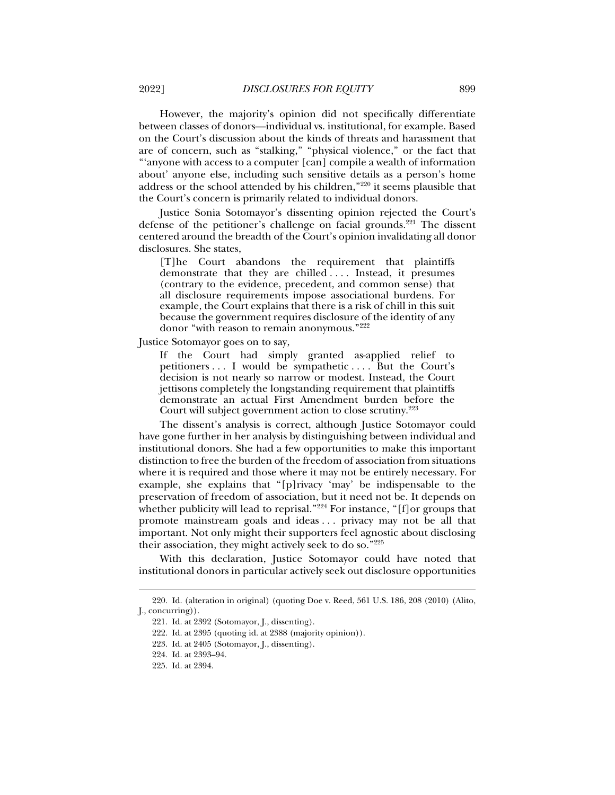However, the majority's opinion did not specifically differentiate between classes of donors—individual vs. institutional, for example. Based on the Court's discussion about the kinds of threats and harassment that are of concern, such as "stalking," "physical violence," or the fact that "'anyone with access to a computer [can] compile a wealth of information about' anyone else, including such sensitive details as a person's home address or the school attended by his children,"220 it seems plausible that the Court's concern is primarily related to individual donors.

Justice Sonia Sotomayor's dissenting opinion rejected the Court's defense of the petitioner's challenge on facial grounds.<sup>221</sup> The dissent centered around the breadth of the Court's opinion invalidating all donor disclosures. She states,

[T]he Court abandons the requirement that plaintiffs demonstrate that they are chilled .... Instead, it presumes (contrary to the evidence, precedent, and common sense) that all disclosure requirements impose associational burdens. For example, the Court explains that there is a risk of chill in this suit because the government requires disclosure of the identity of any donor "with reason to remain anonymous."222

Justice Sotomayor goes on to say,

If the Court had simply granted as-applied relief to petitioners . . . I would be sympathetic . . . . But the Court's decision is not nearly so narrow or modest. Instead, the Court jettisons completely the longstanding requirement that plaintiffs demonstrate an actual First Amendment burden before the Court will subject government action to close scrutiny.<sup>223</sup>

The dissent's analysis is correct, although Justice Sotomayor could have gone further in her analysis by distinguishing between individual and institutional donors. She had a few opportunities to make this important distinction to free the burden of the freedom of association from situations where it is required and those where it may not be entirely necessary. For example, she explains that "[p]rivacy 'may' be indispensable to the preservation of freedom of association, but it need not be. It depends on whether publicity will lead to reprisal."<sup>224</sup> For instance, "[f]or groups that promote mainstream goals and ideas . . . privacy may not be all that important. Not only might their supporters feel agnostic about disclosing their association, they might actively seek to do so."225

With this declaration, Justice Sotomayor could have noted that institutional donors in particular actively seek out disclosure opportunities

 <sup>220.</sup> Id. (alteration in original) (quoting Doe v. Reed, 561 U.S. 186, 208 (2010) (Alito, J., concurring)).

 <sup>221.</sup> Id. at 2392 (Sotomayor, J., dissenting).

 <sup>222.</sup> Id. at 2395 (quoting id. at 2388 (majority opinion)).

 <sup>223.</sup> Id. at 2405 (Sotomayor, J., dissenting).

 <sup>224.</sup> Id. at 2393–94.

 <sup>225.</sup> Id. at 2394.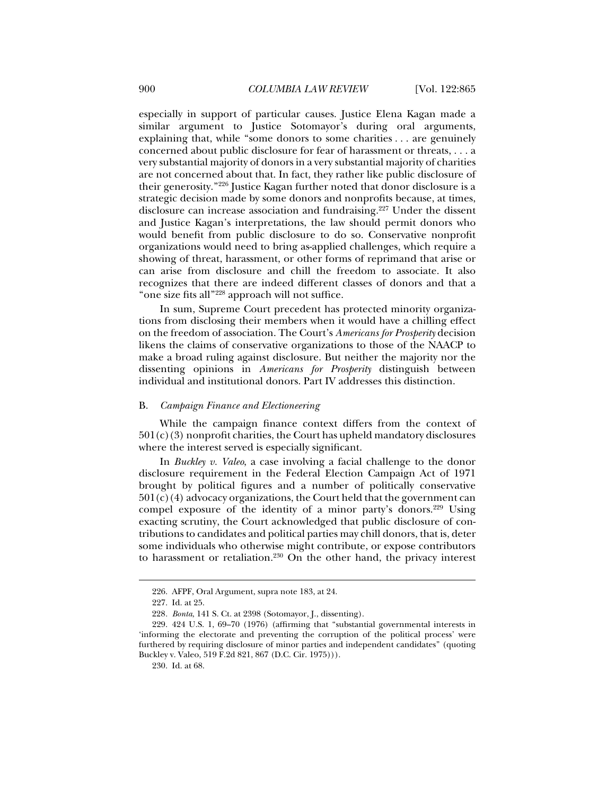especially in support of particular causes. Justice Elena Kagan made a similar argument to Justice Sotomayor's during oral arguments, explaining that, while "some donors to some charities . . . are genuinely concerned about public disclosure for fear of harassment or threats, . . . a very substantial majority of donors in a very substantial majority of charities are not concerned about that. In fact, they rather like public disclosure of their generosity."226 Justice Kagan further noted that donor disclosure is a strategic decision made by some donors and nonprofits because, at times, disclosure can increase association and fundraising.<sup>227</sup> Under the dissent and Justice Kagan's interpretations, the law should permit donors who would benefit from public disclosure to do so. Conservative nonprofit organizations would need to bring as-applied challenges, which require a showing of threat, harassment, or other forms of reprimand that arise or can arise from disclosure and chill the freedom to associate. It also recognizes that there are indeed different classes of donors and that a "one size fits all"228 approach will not suffice.

In sum, Supreme Court precedent has protected minority organizations from disclosing their members when it would have a chilling effect on the freedom of association. The Court's *Americans for Prosperity* decision likens the claims of conservative organizations to those of the NAACP to make a broad ruling against disclosure. But neither the majority nor the dissenting opinions in *Americans for Prosperity* distinguish between individual and institutional donors. Part IV addresses this distinction.

#### B. *Campaign Finance and Electioneering*

While the campaign finance context differs from the context of  $501(c)(3)$  nonprofit charities, the Court has upheld mandatory disclosures where the interest served is especially significant.

In *Buckley v. Valeo*, a case involving a facial challenge to the donor disclosure requirement in the Federal Election Campaign Act of 1971 brought by political figures and a number of politically conservative  $501(c)(4)$  advocacy organizations, the Court held that the government can compel exposure of the identity of a minor party's donors.<sup>229</sup> Using exacting scrutiny, the Court acknowledged that public disclosure of contributions to candidates and political parties may chill donors, that is, deter some individuals who otherwise might contribute, or expose contributors to harassment or retaliation.<sup>230</sup> On the other hand, the privacy interest

 <sup>226.</sup> AFPF, Oral Argument, supra note 183, at 24.

 <sup>227.</sup> Id. at 25.

<sup>228</sup>*. Bonta*, 141 S. Ct. at 2398 (Sotomayor, J., dissenting).

 <sup>229. 424</sup> U.S. 1, 69–70 (1976) (affirming that "substantial governmental interests in 'informing the electorate and preventing the corruption of the political process' were furthered by requiring disclosure of minor parties and independent candidates" (quoting Buckley v. Valeo, 519 F.2d 821, 867 (D.C. Cir. 1975))).

 <sup>230.</sup> Id. at 68.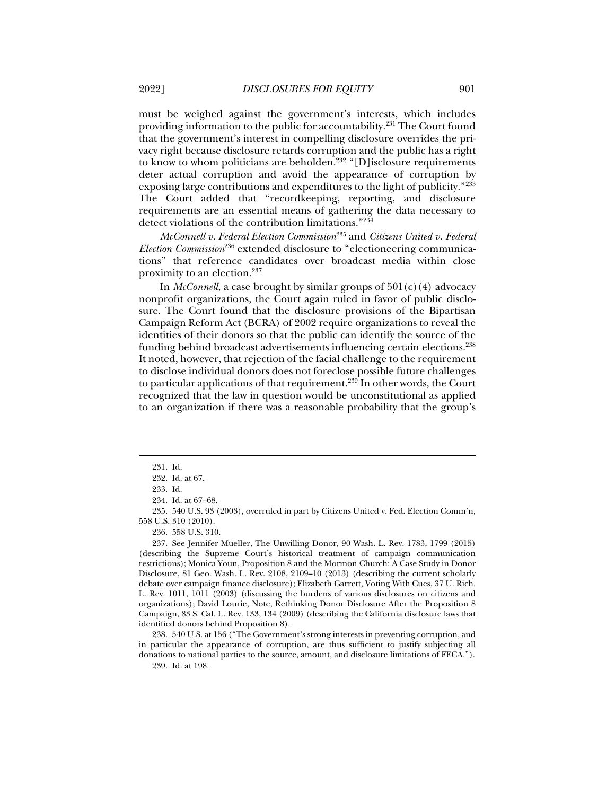must be weighed against the government's interests, which includes providing information to the public for accountability.<sup>231</sup> The Court found that the government's interest in compelling disclosure overrides the privacy right because disclosure retards corruption and the public has a right to know to whom politicians are beholden.<sup>232</sup> "[D] isclosure requirements deter actual corruption and avoid the appearance of corruption by exposing large contributions and expenditures to the light of publicity."233 The Court added that "recordkeeping, reporting, and disclosure requirements are an essential means of gathering the data necessary to detect violations of the contribution limitations."234

*McConnell v. Federal Election Commission*235 and *Citizens United v. Federal Election Commission*236 extended disclosure to "electioneering communications" that reference candidates over broadcast media within close proximity to an election.237

In *McConnell,* a case brought by similar groups of 501(c)(4) advocacy nonprofit organizations, the Court again ruled in favor of public disclosure. The Court found that the disclosure provisions of the Bipartisan Campaign Reform Act (BCRA) of 2002 require organizations to reveal the identities of their donors so that the public can identify the source of the funding behind broadcast advertisements influencing certain elections.238 It noted, however, that rejection of the facial challenge to the requirement to disclose individual donors does not foreclose possible future challenges to particular applications of that requirement.<sup>239</sup> In other words, the Court recognized that the law in question would be unconstitutional as applied to an organization if there was a reasonable probability that the group's

j

 238. 540 U.S. at 156 ("The Government's strong interests in preventing corruption, and in particular the appearance of corruption, are thus sufficient to justify subjecting all donations to national parties to the source, amount, and disclosure limitations of FECA."). 239. Id. at 198.

 <sup>231.</sup> Id.

 <sup>232.</sup> Id. at 67.

 <sup>233.</sup> Id.

 <sup>234.</sup> Id. at 67–68.

 <sup>235. 540</sup> U.S. 93 (2003), overruled in part by Citizens United v. Fed. Election Comm'n, 558 U.S. 310 (2010).

 <sup>236. 558</sup> U.S. 310.

 <sup>237.</sup> See Jennifer Mueller, The Unwilling Donor, 90 Wash. L. Rev. 1783, 1799 (2015) (describing the Supreme Court's historical treatment of campaign communication restrictions); Monica Youn, Proposition 8 and the Mormon Church: A Case Study in Donor Disclosure, 81 Geo. Wash. L. Rev. 2108, 2109–10 (2013) (describing the current scholarly debate over campaign finance disclosure); Elizabeth Garrett, Voting With Cues, 37 U. Rich. L. Rev. 1011, 1011 (2003) (discussing the burdens of various disclosures on citizens and organizations); David Lourie, Note, Rethinking Donor Disclosure After the Proposition 8 Campaign, 83 S. Cal. L. Rev. 133, 134 (2009) (describing the California disclosure laws that identified donors behind Proposition 8).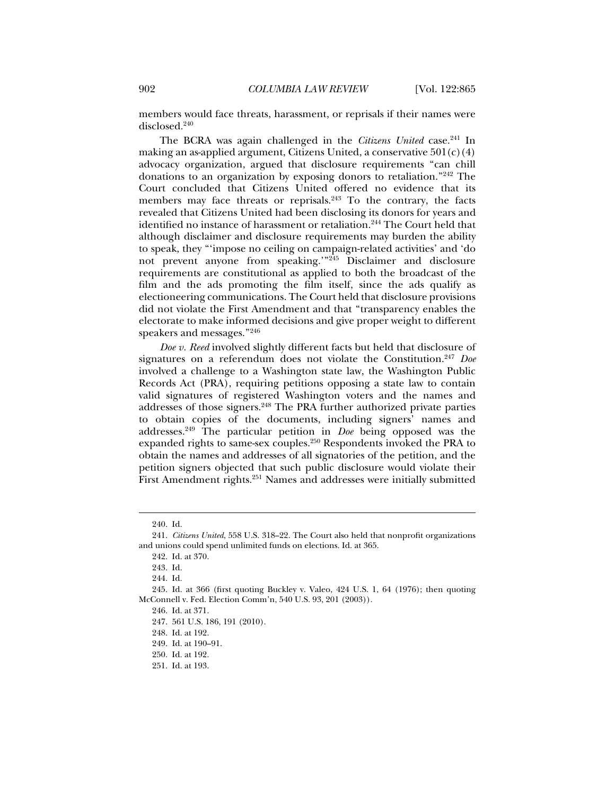members would face threats, harassment, or reprisals if their names were disclosed.<sup>240</sup>

The BCRA was again challenged in the *Citizens United* case.<sup>241</sup> In making an as-applied argument, Citizens United, a conservative  $501(c)(4)$ advocacy organization, argued that disclosure requirements "can chill donations to an organization by exposing donors to retaliation."242 The Court concluded that Citizens United offered no evidence that its members may face threats or reprisals.<sup>243</sup> To the contrary, the facts revealed that Citizens United had been disclosing its donors for years and identified no instance of harassment or retaliation.<sup>244</sup> The Court held that although disclaimer and disclosure requirements may burden the ability to speak, they "'impose no ceiling on campaign-related activities' and 'do not prevent anyone from speaking.<sup>"245</sup> Disclaimer and disclosure requirements are constitutional as applied to both the broadcast of the film and the ads promoting the film itself, since the ads qualify as electioneering communications. The Court held that disclosure provisions did not violate the First Amendment and that "transparency enables the electorate to make informed decisions and give proper weight to different speakers and messages."246

*Doe v. Reed* involved slightly different facts but held that disclosure of signatures on a referendum does not violate the Constitution.247 *Doe* involved a challenge to a Washington state law, the Washington Public Records Act (PRA), requiring petitions opposing a state law to contain valid signatures of registered Washington voters and the names and addresses of those signers.248 The PRA further authorized private parties to obtain copies of the documents, including signers' names and addresses.249 The particular petition in *Doe* being opposed was the expanded rights to same-sex couples.<sup>250</sup> Respondents invoked the PRA to obtain the names and addresses of all signatories of the petition, and the petition signers objected that such public disclosure would violate their First Amendment rights.<sup>251</sup> Names and addresses were initially submitted

 <sup>240.</sup> Id.

 <sup>241.</sup> *Citizens United*, 558 U.S. 318--22. The Court also held that nonprofit organizations and unions could spend unlimited funds on elections. Id. at 365.

 <sup>242.</sup> Id. at 370.

 <sup>243.</sup> Id.

 <sup>244.</sup> Id.

 <sup>245.</sup> Id. at 366 (first quoting Buckley v. Valeo, 424 U.S. 1, 64 (1976); then quoting McConnell v. Fed. Election Comm'n, 540 U.S. 93, 201 (2003)).

 <sup>246.</sup> Id. at 371.

 <sup>247. 561</sup> U.S. 186, 191 (2010).

 <sup>248.</sup> Id. at 192.

 <sup>249.</sup> Id. at 190–91.

 <sup>250.</sup> Id. at 192.

 <sup>251.</sup> Id. at 193.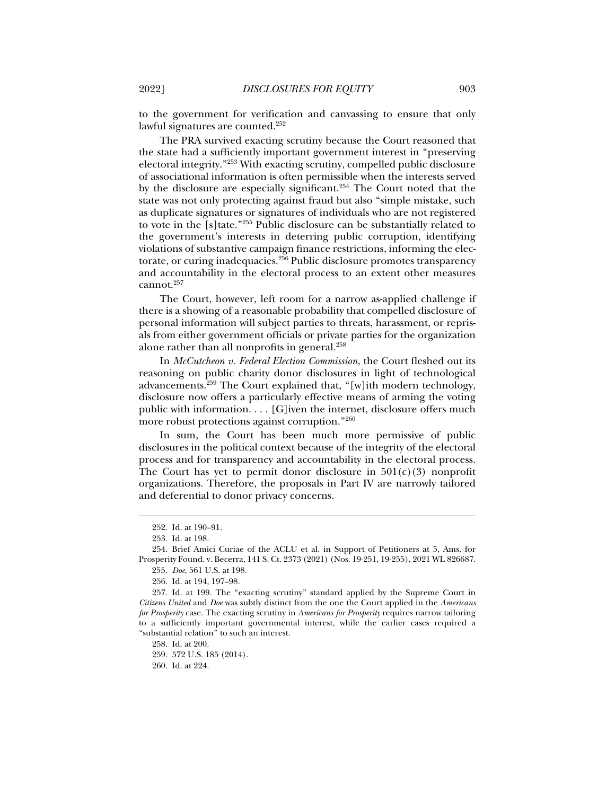to the government for verification and canvassing to ensure that only lawful signatures are counted.252

The PRA survived exacting scrutiny because the Court reasoned that the state had a sufficiently important government interest in "preserving electoral integrity."253 With exacting scrutiny, compelled public disclosure of associational information is often permissible when the interests served by the disclosure are especially significant.254 The Court noted that the state was not only protecting against fraud but also "simple mistake, such as duplicate signatures or signatures of individuals who are not registered to vote in the [s]tate."255 Public disclosure can be substantially related to the government's interests in deterring public corruption, identifying violations of substantive campaign finance restrictions, informing the electorate, or curing inadequacies.<sup>256</sup> Public disclosure promotes transparency and accountability in the electoral process to an extent other measures cannot.<sup>257</sup>

The Court, however, left room for a narrow as-applied challenge if there is a showing of a reasonable probability that compelled disclosure of personal information will subject parties to threats, harassment, or reprisals from either government officials or private parties for the organization alone rather than all nonprofits in general.258

In *McCutcheon v. Federal Election Commission*, the Court fleshed out its reasoning on public charity donor disclosures in light of technological advancements.259 The Court explained that, "[w]ith modern technology, disclosure now offers a particularly effective means of arming the voting public with information. . . . [G]iven the internet, disclosure offers much more robust protections against corruption."260

In sum, the Court has been much more permissive of public disclosures in the political context because of the integrity of the electoral process and for transparency and accountability in the electoral process. The Court has yet to permit donor disclosure in  $501(c)(3)$  nonprofit organizations. Therefore, the proposals in Part IV are narrowly tailored and deferential to donor privacy concerns.

j

258. Id. at 200.

259. 572 U.S. 185 (2014).

 <sup>252.</sup> Id. at 190–91.

 <sup>253.</sup> Id. at 198.

 <sup>254.</sup> Brief Amici Curiae of the ACLU et al. in Support of Petitioners at 5, Ams. for Prosperity Found. v. Becerra, 141 S. Ct. 2373 (2021) (Nos. 19-251, 19-255), 2021 WL 826687.

<sup>255</sup>*. Doe*, 561 U.S. at 198.

 <sup>256.</sup> Id. at 194, 197–98.

 <sup>257.</sup> Id. at 199. The "exacting scrutiny" standard applied by the Supreme Court in *Citizens United* and *Doe* was subtly distinct from the one the Court applied in the *Americans for Prosperity* case. The exacting scrutiny in *Americans for Prosperity* requires narrow tailoring to a sufficiently important governmental interest, while the earlier cases required a "substantial relation" to such an interest.

 <sup>260.</sup> Id. at 224.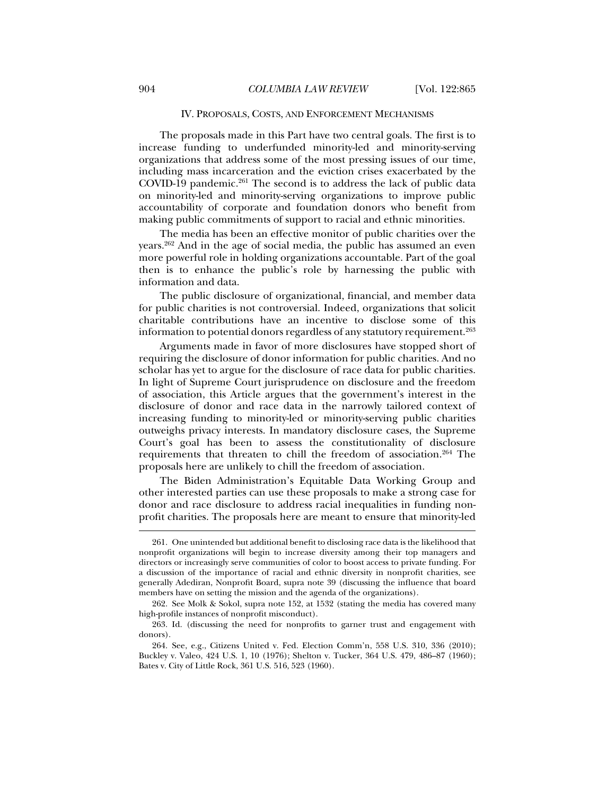#### IV. PROPOSALS, COSTS, AND ENFORCEMENT MECHANISMS

The proposals made in this Part have two central goals. The first is to increase funding to underfunded minority-led and minority-serving organizations that address some of the most pressing issues of our time, including mass incarceration and the eviction crises exacerbated by the COVID-19 pandemic. $261$  The second is to address the lack of public data on minority-led and minority-serving organizations to improve public accountability of corporate and foundation donors who benefit from making public commitments of support to racial and ethnic minorities.

The media has been an effective monitor of public charities over the years.262 And in the age of social media, the public has assumed an even more powerful role in holding organizations accountable. Part of the goal then is to enhance the public's role by harnessing the public with information and data.

The public disclosure of organizational, financial, and member data for public charities is not controversial. Indeed, organizations that solicit charitable contributions have an incentive to disclose some of this information to potential donors regardless of any statutory requirement.<sup>263</sup>

Arguments made in favor of more disclosures have stopped short of requiring the disclosure of donor information for public charities. And no scholar has yet to argue for the disclosure of race data for public charities. In light of Supreme Court jurisprudence on disclosure and the freedom of association, this Article argues that the government's interest in the disclosure of donor and race data in the narrowly tailored context of increasing funding to minority-led or minority-serving public charities outweighs privacy interests. In mandatory disclosure cases, the Supreme Court's goal has been to assess the constitutionality of disclosure requirements that threaten to chill the freedom of association.264 The proposals here are unlikely to chill the freedom of association.

The Biden Administration's Equitable Data Working Group and other interested parties can use these proposals to make a strong case for donor and race disclosure to address racial inequalities in funding nonprofit charities. The proposals here are meant to ensure that minority-led

 <sup>261.</sup> One unintended but additional benefit to disclosing race data is the likelihood that nonprofit organizations will begin to increase diversity among their top managers and directors or increasingly serve communities of color to boost access to private funding. For a discussion of the importance of racial and ethnic diversity in nonprofit charities, see generally Adediran, Nonprofit Board, supra note 39 (discussing the influence that board members have on setting the mission and the agenda of the organizations).

 <sup>262.</sup> See Molk & Sokol, supra note 152, at 1532 (stating the media has covered many high-profile instances of nonprofit misconduct).

 <sup>263.</sup> Id. (discussing the need for nonprofits to garner trust and engagement with donors).

 <sup>264.</sup> See, e.g., Citizens United v. Fed. Election Comm'n, 558 U.S. 310, 336 (2010); Buckley v. Valeo, 424 U.S. 1, 10 (1976); Shelton v. Tucker, 364 U.S. 479, 486–87 (1960); Bates v. City of Little Rock, 361 U.S. 516, 523 (1960).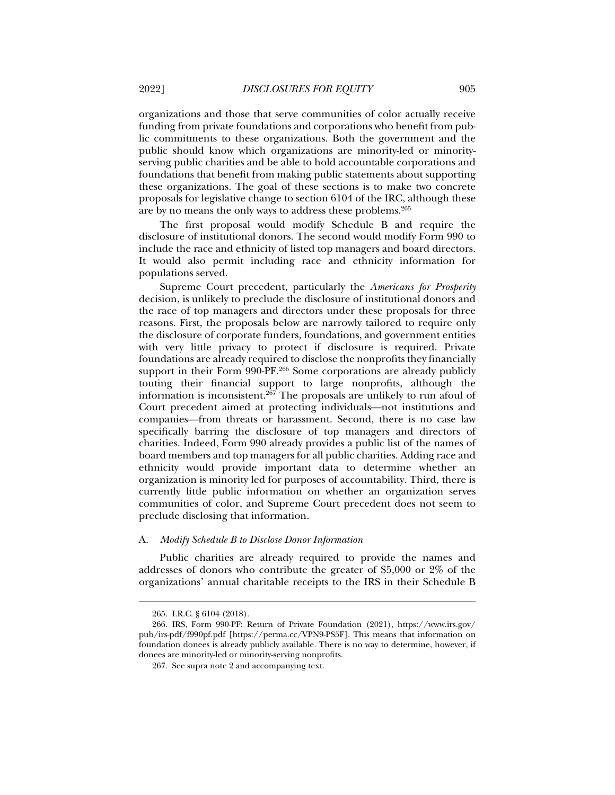organizations and those that serve communities of color actually receive funding from private foundations and corporations who benefit from public commitments to these organizations. Both the government and the public should know which organizations are minority-led or minorityserving public charities and be able to hold accountable corporations and foundations that benefit from making public statements about supporting these organizations. The goal of these sections is to make two concrete proposals for legislative change to section 6104 of the IRC, although these are by no means the only ways to address these problems.265

The first proposal would modify Schedule B and require the disclosure of institutional donors. The second would modify Form 990 to include the race and ethnicity of listed top managers and board directors. It would also permit including race and ethnicity information for populations served.

Supreme Court precedent, particularly the *Americans for Prosperity* decision, is unlikely to preclude the disclosure of institutional donors and the race of top managers and directors under these proposals for three reasons. First, the proposals below are narrowly tailored to require only the disclosure of corporate funders, foundations, and government entities with very little privacy to protect if disclosure is required. Private foundations are already required to disclose the nonprofits they financially support in their Form 990-PF.<sup>266</sup> Some corporations are already publicly touting their financial support to large nonprofits, although the information is inconsistent.267 The proposals are unlikely to run afoul of Court precedent aimed at protecting individuals—not institutions and companies—from threats or harassment. Second, there is no case law specifically barring the disclosure of top managers and directors of charities. Indeed, Form 990 already provides a public list of the names of board members and top managers for all public charities. Adding race and ethnicity would provide important data to determine whether an organization is minority led for purposes of accountability. Third, there is currently little public information on whether an organization serves communities of color, and Supreme Court precedent does not seem to preclude disclosing that information.

#### A. *Modify Schedule B to Disclose Donor Information*

Public charities are already required to provide the names and addresses of donors who contribute the greater of \$5,000 or 2% of the organizations' annual charitable receipts to the IRS in their Schedule B

 <sup>265.</sup> I.R.C. § 6104 (2018).

 <sup>266.</sup> IRS, Form 990-PF: Return of Private Foundation (2021), https://www.irs.gov/ pub/irs-pdf/f990pf.pdf [https://perma.cc/VPN9-PS5F]. This means that information on foundation donees is already publicly available. There is no way to determine, however, if donees are minority-led or minority-serving nonprofits.

 <sup>267.</sup> See supra note 2 and accompanying text.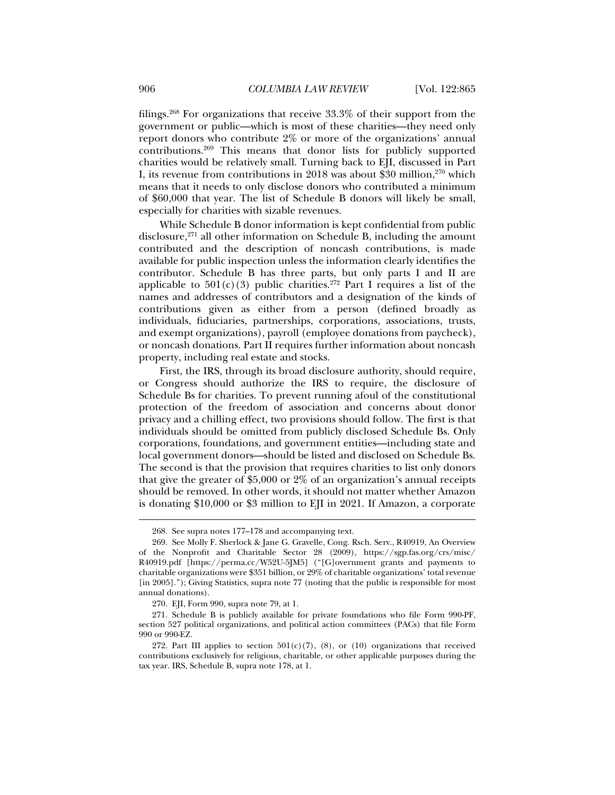filings.268 For organizations that receive 33.3% of their support from the government or public—which is most of these charities—they need only report donors who contribute 2% or more of the organizations' annual contributions.269 This means that donor lists for publicly supported charities would be relatively small. Turning back to EJI, discussed in Part I, its revenue from contributions in 2018 was about \$30 million, $270$  which means that it needs to only disclose donors who contributed a minimum of \$60,000 that year. The list of Schedule B donors will likely be small, especially for charities with sizable revenues.

While Schedule B donor information is kept confidential from public disclosure,<sup>271</sup> all other information on Schedule B, including the amount contributed and the description of noncash contributions, is made available for public inspection unless the information clearly identifies the contributor. Schedule B has three parts, but only parts I and II are applicable to  $501(c)(3)$  public charities.<sup>272</sup> Part I requires a list of the names and addresses of contributors and a designation of the kinds of contributions given as either from a person (defined broadly as individuals, fiduciaries, partnerships, corporations, associations, trusts, and exempt organizations), payroll (employee donations from paycheck), or noncash donations. Part II requires further information about noncash property, including real estate and stocks.

First, the IRS, through its broad disclosure authority, should require, or Congress should authorize the IRS to require, the disclosure of Schedule Bs for charities. To prevent running afoul of the constitutional protection of the freedom of association and concerns about donor privacy and a chilling effect, two provisions should follow. The first is that individuals should be omitted from publicly disclosed Schedule Bs. Only corporations, foundations, and government entities—including state and local government donors—should be listed and disclosed on Schedule Bs. The second is that the provision that requires charities to list only donors that give the greater of \$5,000 or 2% of an organization's annual receipts should be removed. In other words, it should not matter whether Amazon is donating \$10,000 or \$3 million to EJI in 2021. If Amazon, a corporate

 <sup>268.</sup> See supra notes 177–178 and accompanying text.

 <sup>269.</sup> See Molly F. Sherlock & Jane G. Gravelle, Cong. Rsch. Serv., R40919, An Overview of the Nonprofit and Charitable Sector 28 (2009), https://sgp.fas.org/crs/misc/ R40919.pdf [https://perma.cc/W52U-5JM5] ("[G]overnment grants and payments to charitable organizations were \$351 billion, or 29% of charitable organizations' total revenue [in 2005]."); Giving Statistics, supra note 77 (noting that the public is responsible for most annual donations).

 <sup>270.</sup> EJI, Form 990, supra note 79, at 1.

 <sup>271.</sup> Schedule B is publicly available for private foundations who file Form 990-PF, section 527 political organizations, and political action committees (PACs) that file Form 990 or 990-EZ.

<sup>272.</sup> Part III applies to section  $501(c)(7)$ , (8), or (10) organizations that received contributions exclusively for religious, charitable, or other applicable purposes during the tax year. IRS, Schedule B, supra note 178, at 1.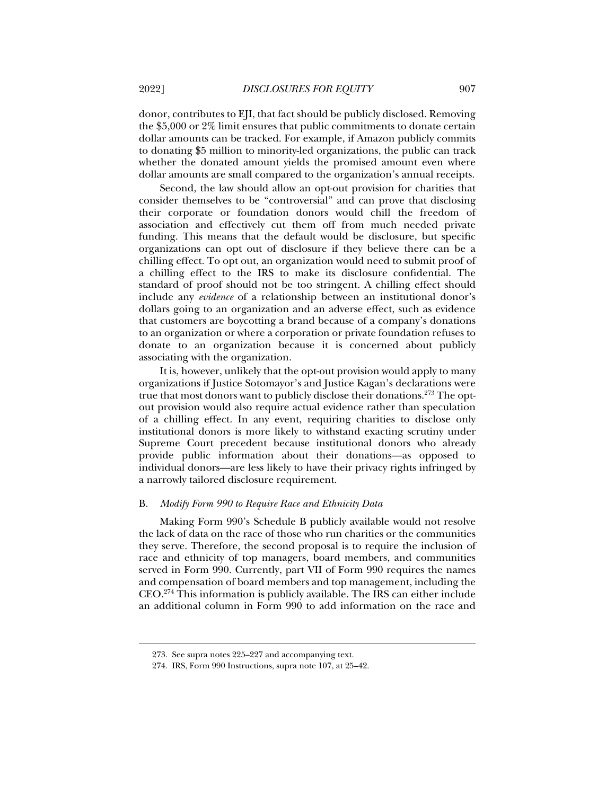donor, contributes to EJI, that fact should be publicly disclosed. Removing the \$5,000 or 2% limit ensures that public commitments to donate certain dollar amounts can be tracked. For example, if Amazon publicly commits to donating \$5 million to minority-led organizations, the public can track whether the donated amount yields the promised amount even where dollar amounts are small compared to the organization's annual receipts.

Second, the law should allow an opt-out provision for charities that consider themselves to be "controversial" and can prove that disclosing their corporate or foundation donors would chill the freedom of association and effectively cut them off from much needed private funding. This means that the default would be disclosure, but specific organizations can opt out of disclosure if they believe there can be a chilling effect. To opt out, an organization would need to submit proof of a chilling effect to the IRS to make its disclosure confidential. The standard of proof should not be too stringent. A chilling effect should include any *evidence* of a relationship between an institutional donor's dollars going to an organization and an adverse effect, such as evidence that customers are boycotting a brand because of a company's donations to an organization or where a corporation or private foundation refuses to donate to an organization because it is concerned about publicly associating with the organization.

It is, however, unlikely that the opt-out provision would apply to many organizations if Justice Sotomayor's and Justice Kagan's declarations were true that most donors want to publicly disclose their donations.<sup>273</sup> The optout provision would also require actual evidence rather than speculation of a chilling effect. In any event, requiring charities to disclose only institutional donors is more likely to withstand exacting scrutiny under Supreme Court precedent because institutional donors who already provide public information about their donations—as opposed to individual donors—are less likely to have their privacy rights infringed by a narrowly tailored disclosure requirement.

#### B. *Modify Form 990 to Require Race and Ethnicity Data*

Making Form 990's Schedule B publicly available would not resolve the lack of data on the race of those who run charities or the communities they serve. Therefore, the second proposal is to require the inclusion of race and ethnicity of top managers, board members, and communities served in Form 990. Currently, part VII of Form 990 requires the names and compensation of board members and top management, including the CEO.274 This information is publicly available. The IRS can either include an additional column in Form 990 to add information on the race and

 <sup>273.</sup> See supra notes 225–227 and accompanying text.

 <sup>274.</sup> IRS, Form 990 Instructions, supra note 107, at 25–42.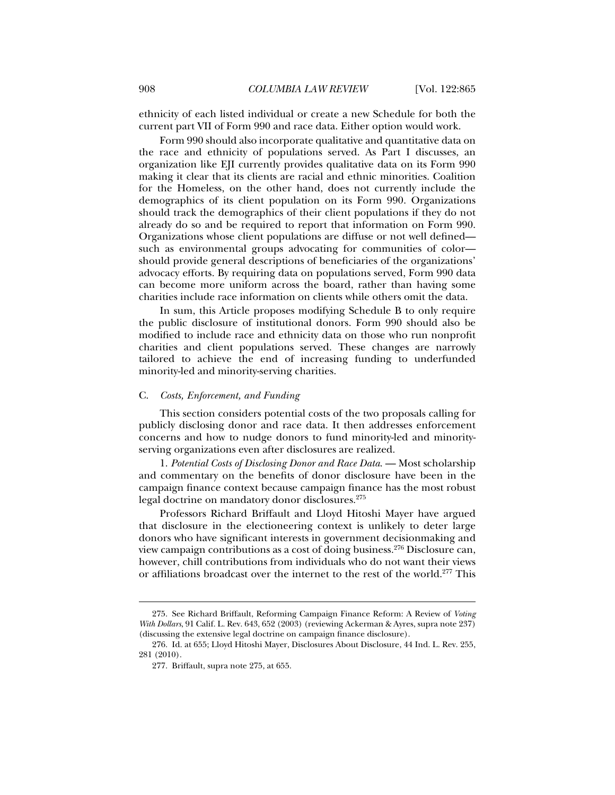ethnicity of each listed individual or create a new Schedule for both the current part VII of Form 990 and race data. Either option would work.

Form 990 should also incorporate qualitative and quantitative data on the race and ethnicity of populations served. As Part I discusses, an organization like EJI currently provides qualitative data on its Form 990 making it clear that its clients are racial and ethnic minorities. Coalition for the Homeless, on the other hand, does not currently include the demographics of its client population on its Form 990. Organizations should track the demographics of their client populations if they do not already do so and be required to report that information on Form 990. Organizations whose client populations are diffuse or not well defined such as environmental groups advocating for communities of color should provide general descriptions of beneficiaries of the organizations' advocacy efforts. By requiring data on populations served, Form 990 data can become more uniform across the board, rather than having some charities include race information on clients while others omit the data.

In sum, this Article proposes modifying Schedule B to only require the public disclosure of institutional donors. Form 990 should also be modified to include race and ethnicity data on those who run nonprofit charities and client populations served. These changes are narrowly tailored to achieve the end of increasing funding to underfunded minority-led and minority-serving charities.

#### C. *Costs, Enforcement, and Funding*

This section considers potential costs of the two proposals calling for publicly disclosing donor and race data. It then addresses enforcement concerns and how to nudge donors to fund minority-led and minorityserving organizations even after disclosures are realized.

1. *Potential Costs of Disclosing Donor and Race Data*. — Most scholarship and commentary on the benefits of donor disclosure have been in the campaign finance context because campaign finance has the most robust legal doctrine on mandatory donor disclosures.275

Professors Richard Briffault and Lloyd Hitoshi Mayer have argued that disclosure in the electioneering context is unlikely to deter large donors who have significant interests in government decisionmaking and view campaign contributions as a cost of doing business.276 Disclosure can, however, chill contributions from individuals who do not want their views or affiliations broadcast over the internet to the rest of the world.<sup>277</sup> This

 <sup>275.</sup> See Richard Briffault, Reforming Campaign Finance Reform: A Review of *Voting With Dollars*, 91 Calif. L. Rev. 643, 652 (2003) (reviewing Ackerman & Ayres, supra note 237) (discussing the extensive legal doctrine on campaign finance disclosure).

 <sup>276.</sup> Id. at 655; Lloyd Hitoshi Mayer, Disclosures About Disclosure, 44 Ind. L. Rev. 255, 281 (2010).

 <sup>277.</sup> Briffault, supra note 275, at 655.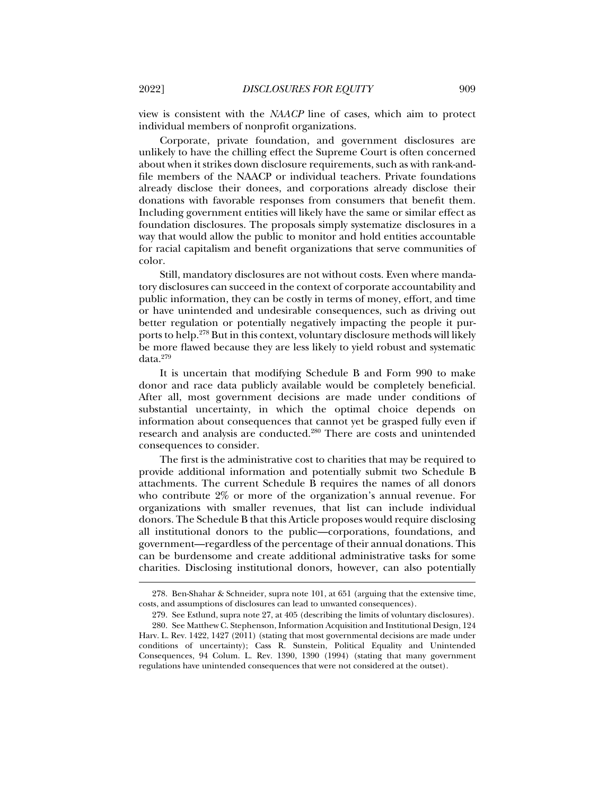view is consistent with the *NAACP* line of cases, which aim to protect individual members of nonprofit organizations.

Corporate, private foundation, and government disclosures are unlikely to have the chilling effect the Supreme Court is often concerned about when it strikes down disclosure requirements, such as with rank-andfile members of the NAACP or individual teachers. Private foundations already disclose their donees, and corporations already disclose their donations with favorable responses from consumers that benefit them. Including government entities will likely have the same or similar effect as foundation disclosures. The proposals simply systematize disclosures in a way that would allow the public to monitor and hold entities accountable for racial capitalism and benefit organizations that serve communities of color.

Still, mandatory disclosures are not without costs. Even where mandatory disclosures can succeed in the context of corporate accountability and public information, they can be costly in terms of money, effort, and time or have unintended and undesirable consequences, such as driving out better regulation or potentially negatively impacting the people it purports to help.278 But in this context, voluntary disclosure methods will likely be more flawed because they are less likely to yield robust and systematic data.279

It is uncertain that modifying Schedule B and Form 990 to make donor and race data publicly available would be completely beneficial. After all, most government decisions are made under conditions of substantial uncertainty, in which the optimal choice depends on information about consequences that cannot yet be grasped fully even if research and analysis are conducted.280 There are costs and unintended consequences to consider.

The first is the administrative cost to charities that may be required to provide additional information and potentially submit two Schedule B attachments. The current Schedule B requires the names of all donors who contribute 2% or more of the organization's annual revenue. For organizations with smaller revenues, that list can include individual donors. The Schedule B that this Article proposes would require disclosing all institutional donors to the public—corporations, foundations, and government—regardless of the percentage of their annual donations. This can be burdensome and create additional administrative tasks for some charities. Disclosing institutional donors, however, can also potentially

 <sup>278.</sup> Ben-Shahar & Schneider, supra note 101, at 651 (arguing that the extensive time, costs, and assumptions of disclosures can lead to unwanted consequences).

 <sup>279.</sup> See Estlund, supra note 27, at 405 (describing the limits of voluntary disclosures).

 <sup>280.</sup> See Matthew C. Stephenson, Information Acquisition and Institutional Design, 124 Harv. L. Rev. 1422, 1427 (2011) (stating that most governmental decisions are made under conditions of uncertainty); Cass R. Sunstein, Political Equality and Unintended Consequences, 94 Colum. L. Rev. 1390, 1390 (1994) (stating that many government regulations have unintended consequences that were not considered at the outset).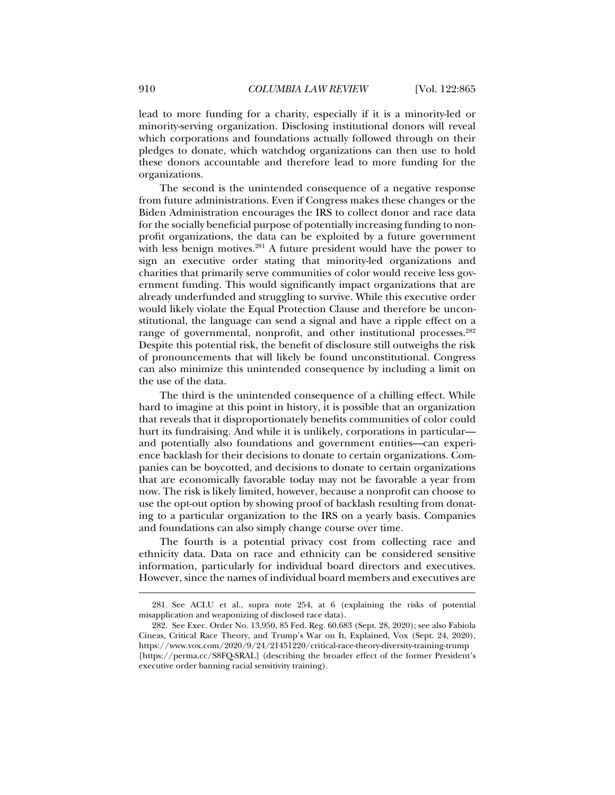lead to more funding for a charity, especially if it is a minority-led or minority-serving organization. Disclosing institutional donors will reveal which corporations and foundations actually followed through on their pledges to donate, which watchdog organizations can then use to hold these donors accountable and therefore lead to more funding for the organizations.

The second is the unintended consequence of a negative response from future administrations. Even if Congress makes these changes or the Biden Administration encourages the IRS to collect donor and race data for the socially beneficial purpose of potentially increasing funding to nonprofit organizations, the data can be exploited by a future government with less benign motives.<sup>281</sup> A future president would have the power to sign an executive order stating that minority-led organizations and charities that primarily serve communities of color would receive less government funding. This would significantly impact organizations that are already underfunded and struggling to survive. While this executive order would likely violate the Equal Protection Clause and therefore be unconstitutional, the language can send a signal and have a ripple effect on a range of governmental, nonprofit, and other institutional processes.<sup>282</sup> Despite this potential risk, the benefit of disclosure still outweighs the risk of pronouncements that will likely be found unconstitutional. Congress can also minimize this unintended consequence by including a limit on the use of the data.

The third is the unintended consequence of a chilling effect. While hard to imagine at this point in history, it is possible that an organization that reveals that it disproportionately benefits communities of color could hurt its fundraising. And while it is unlikely, corporations in particular and potentially also foundations and government entities—can experience backlash for their decisions to donate to certain organizations. Companies can be boycotted, and decisions to donate to certain organizations that are economically favorable today may not be favorable a year from now. The risk is likely limited, however, because a nonprofit can choose to use the opt-out option by showing proof of backlash resulting from donating to a particular organization to the IRS on a yearly basis. Companies and foundations can also simply change course over time.

The fourth is a potential privacy cost from collecting race and ethnicity data. Data on race and ethnicity can be considered sensitive information, particularly for individual board directors and executives. However, since the names of individual board members and executives are

 <sup>281.</sup> See ACLU et al., supra note 254, at 6 (explaining the risks of potential misapplication and weaponizing of disclosed race data).

 <sup>282.</sup> See Exec. Order No. 13,950, 85 Fed. Reg. 60,683 (Sept. 28, 2020); see also Fabiola Cineas, Critical Race Theory, and Trump's War on It, Explained, Vox (Sept. 24, 2020), https://www.vox.com/2020/9/24/21451220/critical-race-theory-diversity-training-trump [https://perma.cc/S8FQ-SRAL] (describing the broader effect of the former President's executive order banning racial sensitivity training).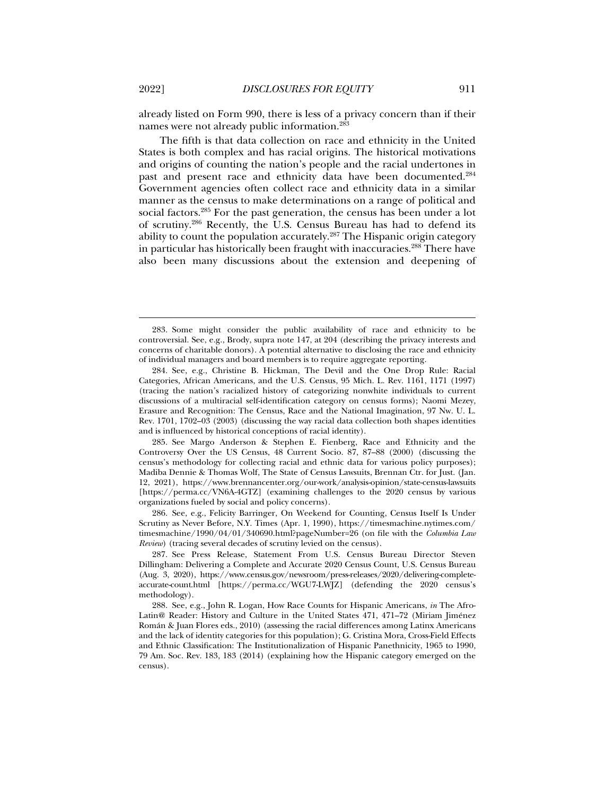already listed on Form 990, there is less of a privacy concern than if their names were not already public information.283

The fifth is that data collection on race and ethnicity in the United States is both complex and has racial origins. The historical motivations and origins of counting the nation's people and the racial undertones in past and present race and ethnicity data have been documented.284 Government agencies often collect race and ethnicity data in a similar manner as the census to make determinations on a range of political and social factors.285 For the past generation, the census has been under a lot of scrutiny.286 Recently, the U.S. Census Bureau has had to defend its ability to count the population accurately.<sup>287</sup> The Hispanic origin category in particular has historically been fraught with inaccuracies.<sup>288</sup> There have also been many discussions about the extension and deepening of

 285. See Margo Anderson & Stephen E. Fienberg, Race and Ethnicity and the Controversy Over the US Census, 48 Current Socio. 87, 87–88 (2000) (discussing the census's methodology for collecting racial and ethnic data for various policy purposes); Madiba Dennie & Thomas Wolf, The State of Census Lawsuits, Brennan Ctr. for Just. (Jan. 12, 2021), https://www.brennancenter.org/our-work/analysis-opinion/state-census-lawsuits [https://perma.cc/VN6A-4GTZ] (examining challenges to the 2020 census by various organizations fueled by social and policy concerns).

 286. See, e.g., Felicity Barringer, On Weekend for Counting, Census Itself Is Under Scrutiny as Never Before, N.Y. Times (Apr. 1, 1990), https://timesmachine.nytimes.com/ timesmachine/1990/04/01/340690.html?pageNumber=26 (on file with the *Columbia Law Review*) (tracing several decades of scrutiny levied on the census).

 287. See Press Release, Statement From U.S. Census Bureau Director Steven Dillingham: Delivering a Complete and Accurate 2020 Census Count, U.S. Census Bureau (Aug. 3, 2020), https://www.census.gov/newsroom/press-releases/2020/delivering-completeaccurate-count.html [https://perma.cc/WGU7-LWJZ] (defending the 2020 census's methodology).

 288. See, e.g., John R. Logan, How Race Counts for Hispanic Americans, *in* The Afro-Latin@ Reader: History and Culture in the United States 471, 471–72 (Miriam Jiménez Román & Juan Flores eds., 2010) (assessing the racial differences among Latinx Americans and the lack of identity categories for this population); G. Cristina Mora, Cross-Field Effects and Ethnic Classification: The Institutionalization of Hispanic Panethnicity, 1965 to 1990, 79 Am. Soc. Rev. 183, 183 (2014) (explaining how the Hispanic category emerged on the census).

 <sup>283.</sup> Some might consider the public availability of race and ethnicity to be controversial. See, e.g., Brody, supra note 147, at 204 (describing the privacy interests and concerns of charitable donors). A potential alternative to disclosing the race and ethnicity of individual managers and board members is to require aggregate reporting.

 <sup>284.</sup> See, e.g., Christine B. Hickman, The Devil and the One Drop Rule: Racial Categories, African Americans, and the U.S. Census, 95 Mich. L. Rev. 1161, 1171 (1997) (tracing the nation's racialized history of categorizing nonwhite individuals to current discussions of a multiracial self-identification category on census forms); Naomi Mezey, Erasure and Recognition: The Census, Race and the National Imagination, 97 Nw. U. L. Rev. 1701, 1702–03 (2003) (discussing the way racial data collection both shapes identities and is influenced by historical conceptions of racial identity).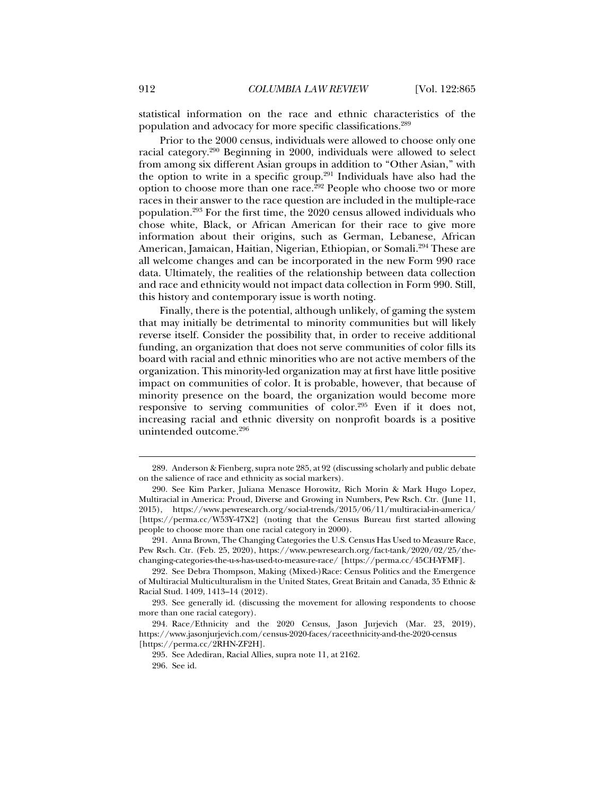statistical information on the race and ethnic characteristics of the population and advocacy for more specific classifications.289

Prior to the 2000 census, individuals were allowed to choose only one racial category.290 Beginning in 2000, individuals were allowed to select from among six different Asian groups in addition to "Other Asian," with the option to write in a specific group.<sup>291</sup> Individuals have also had the option to choose more than one race.<sup>292</sup> People who choose two or more races in their answer to the race question are included in the multiple-race population.293 For the first time, the 2020 census allowed individuals who chose white, Black, or African American for their race to give more information about their origins, such as German, Lebanese, African American, Jamaican, Haitian, Nigerian, Ethiopian, or Somali.<sup>294</sup> These are all welcome changes and can be incorporated in the new Form 990 race data. Ultimately, the realities of the relationship between data collection and race and ethnicity would not impact data collection in Form 990. Still, this history and contemporary issue is worth noting.

Finally, there is the potential, although unlikely, of gaming the system that may initially be detrimental to minority communities but will likely reverse itself. Consider the possibility that, in order to receive additional funding, an organization that does not serve communities of color fills its board with racial and ethnic minorities who are not active members of the organization. This minority-led organization may at first have little positive impact on communities of color. It is probable, however, that because of minority presence on the board, the organization would become more responsive to serving communities of color.295 Even if it does not, increasing racial and ethnic diversity on nonprofit boards is a positive unintended outcome.296

 <sup>289.</sup> Anderson & Fienberg, supra note 285, at 92 (discussing scholarly and public debate on the salience of race and ethnicity as social markers).

 <sup>290.</sup> See Kim Parker, Juliana Menasce Horowitz, Rich Morin & Mark Hugo Lopez, Multiracial in America: Proud, Diverse and Growing in Numbers, Pew Rsch. Ctr. (June 11, 2015), https://www.pewresearch.org/social-trends/2015/06/11/multiracial-in-america/ [https://perma.cc/W53Y-47X2] (noting that the Census Bureau first started allowing people to choose more than one racial category in 2000).

 <sup>291.</sup> Anna Brown, The Changing Categories the U.S. Census Has Used to Measure Race, Pew Rsch. Ctr. (Feb. 25, 2020), https://www.pewresearch.org/fact-tank/2020/02/25/thechanging-categories-the-u-s-has-used-to-measure-race/ [https://perma.cc/45CH-YFMF].

 <sup>292.</sup> See Debra Thompson, Making (Mixed-)Race: Census Politics and the Emergence of Multiracial Multiculturalism in the United States, Great Britain and Canada, 35 Ethnic & Racial Stud. 1409, 1413–14 (2012).

 <sup>293.</sup> See generally id. (discussing the movement for allowing respondents to choose more than one racial category).

 <sup>294.</sup> Race/Ethnicity and the 2020 Census, Jason Jurjevich (Mar. 23, 2019), https://www.jasonjurjevich.com/census-2020-faces/raceethnicity-and-the-2020-census [https://perma.cc/2RHN-ZF2H].

 <sup>295.</sup> See Adediran, Racial Allies, supra note 11, at 2162.

 <sup>296.</sup> See id.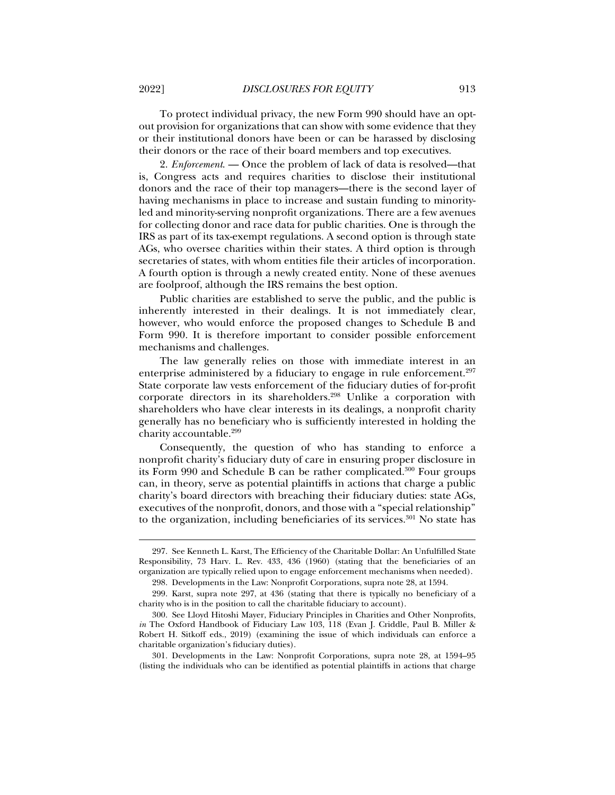To protect individual privacy, the new Form 990 should have an optout provision for organizations that can show with some evidence that they or their institutional donors have been or can be harassed by disclosing their donors or the race of their board members and top executives.

2. *Enforcement*. — Once the problem of lack of data is resolved—that is, Congress acts and requires charities to disclose their institutional donors and the race of their top managers—there is the second layer of having mechanisms in place to increase and sustain funding to minorityled and minority-serving nonprofit organizations. There are a few avenues for collecting donor and race data for public charities. One is through the IRS as part of its tax-exempt regulations. A second option is through state AGs, who oversee charities within their states. A third option is through secretaries of states, with whom entities file their articles of incorporation. A fourth option is through a newly created entity. None of these avenues are foolproof, although the IRS remains the best option.

Public charities are established to serve the public, and the public is inherently interested in their dealings. It is not immediately clear, however, who would enforce the proposed changes to Schedule B and Form 990. It is therefore important to consider possible enforcement mechanisms and challenges.

The law generally relies on those with immediate interest in an enterprise administered by a fiduciary to engage in rule enforcement.<sup>297</sup> State corporate law vests enforcement of the fiduciary duties of for-profit corporate directors in its shareholders.298 Unlike a corporation with shareholders who have clear interests in its dealings, a nonprofit charity generally has no beneficiary who is sufficiently interested in holding the charity accountable.<sup>299</sup>

Consequently, the question of who has standing to enforce a nonprofit charity's fiduciary duty of care in ensuring proper disclosure in its Form 990 and Schedule B can be rather complicated.<sup>300</sup> Four groups can, in theory, serve as potential plaintiffs in actions that charge a public charity's board directors with breaching their fiduciary duties: state AGs, executives of the nonprofit, donors, and those with a "special relationship" to the organization, including beneficiaries of its services.<sup>301</sup> No state has

 <sup>297.</sup> See Kenneth L. Karst, The Efficiency of the Charitable Dollar: An Unfulfilled State Responsibility, 73 Harv. L. Rev. 433, 436 (1960) (stating that the beneficiaries of an organization are typically relied upon to engage enforcement mechanisms when needed).

 <sup>298.</sup> Developments in the Law: Nonprofit Corporations, supra note 28, at 1594.

 <sup>299.</sup> Karst, supra note 297, at 436 (stating that there is typically no beneficiary of a charity who is in the position to call the charitable fiduciary to account).

 <sup>300.</sup> See Lloyd Hitoshi Mayer, Fiduciary Principles in Charities and Other Nonprofits, *in* The Oxford Handbook of Fiduciary Law 103, 118 (Evan J. Criddle, Paul B. Miller & Robert H. Sitkoff eds., 2019) (examining the issue of which individuals can enforce a charitable organization's fiduciary duties).

 <sup>301.</sup> Developments in the Law: Nonprofit Corporations, supra note 28, at 1594–95 (listing the individuals who can be identified as potential plaintiffs in actions that charge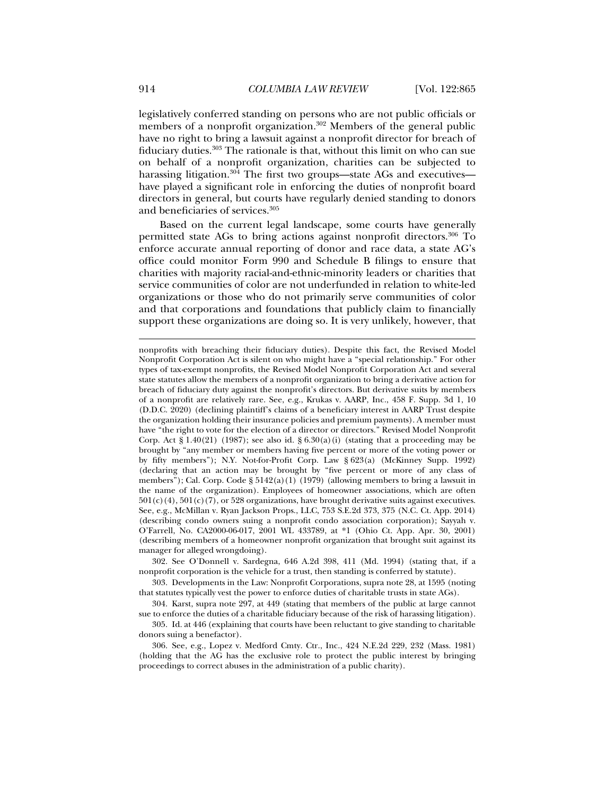legislatively conferred standing on persons who are not public officials or members of a nonprofit organization.<sup>302</sup> Members of the general public have no right to bring a lawsuit against a nonprofit director for breach of fiduciary duties.303 The rationale is that, without this limit on who can sue on behalf of a nonprofit organization, charities can be subjected to harassing litigation.<sup>304</sup> The first two groups—state AGs and executives have played a significant role in enforcing the duties of nonprofit board directors in general, but courts have regularly denied standing to donors and beneficiaries of services.305

Based on the current legal landscape, some courts have generally permitted state AGs to bring actions against nonprofit directors.306 To enforce accurate annual reporting of donor and race data, a state AG's office could monitor Form 990 and Schedule B filings to ensure that charities with majority racial-and-ethnic-minority leaders or charities that service communities of color are not underfunded in relation to white-led organizations or those who do not primarily serve communities of color and that corporations and foundations that publicly claim to financially support these organizations are doing so. It is very unlikely, however, that

 302. See O'Donnell v. Sardegna, 646 A.2d 398, 411 (Md. 1994) (stating that, if a nonprofit corporation is the vehicle for a trust, then standing is conferred by statute).

 303. Developments in the Law: Nonprofit Corporations, supra note 28, at 1595 (noting that statutes typically vest the power to enforce duties of charitable trusts in state AGs).

 304. Karst, supra note 297, at 449 (stating that members of the public at large cannot sue to enforce the duties of a charitable fiduciary because of the risk of harassing litigation).

 305. Id. at 446 (explaining that courts have been reluctant to give standing to charitable donors suing a benefactor).

 306. See, e.g., Lopez v. Medford Cmty. Ctr., Inc., 424 N.E.2d 229, 232 (Mass. 1981) (holding that the AG has the exclusive role to protect the public interest by bringing proceedings to correct abuses in the administration of a public charity).

nonprofits with breaching their fiduciary duties). Despite this fact, the Revised Model Nonprofit Corporation Act is silent on who might have a "special relationship." For other types of tax-exempt nonprofits, the Revised Model Nonprofit Corporation Act and several state statutes allow the members of a nonprofit organization to bring a derivative action for breach of fiduciary duty against the nonprofit's directors. But derivative suits by members of a nonprofit are relatively rare. See, e.g., Krukas v. AARP, Inc., 458 F. Supp. 3d 1, 10 (D.D.C. 2020) (declining plaintiff's claims of a beneficiary interest in AARP Trust despite the organization holding their insurance policies and premium payments). A member must have "the right to vote for the election of a director or directors." Revised Model Nonprofit Corp. Act  $\S 1.40(21)$  (1987); see also id.  $\S 6.30(a)(i)$  (stating that a proceeding may be brought by "any member or members having five percent or more of the voting power or by fifty members"); N.Y. Not-for-Profit Corp. Law § 623(a) (McKinney Supp. 1992) (declaring that an action may be brought by "five percent or more of any class of members"); Cal. Corp. Code §  $5142(a)(1)$  (1979) (allowing members to bring a lawsuit in the name of the organization). Employees of homeowner associations, which are often  $501(c)(4)$ ,  $501(c)(7)$ , or  $528$  organizations, have brought derivative suits against executives. See, e.g., McMillan v. Ryan Jackson Props., LLC, 753 S.E.2d 373, 375 (N.C. Ct. App. 2014) (describing condo owners suing a nonprofit condo association corporation); Sayyah v. O'Farrell, No. CA2000-06-017, 2001 WL 433789, at \*1 (Ohio Ct. App. Apr. 30, 2001) (describing members of a homeowner nonprofit organization that brought suit against its manager for alleged wrongdoing).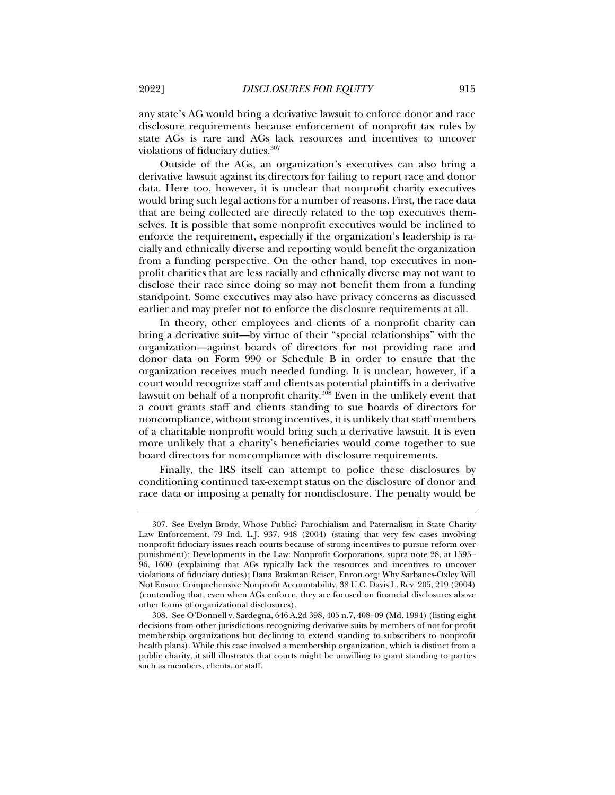any state's AG would bring a derivative lawsuit to enforce donor and race disclosure requirements because enforcement of nonprofit tax rules by state AGs is rare and AGs lack resources and incentives to uncover violations of fiduciary duties.<sup>307</sup>

Outside of the AGs, an organization's executives can also bring a derivative lawsuit against its directors for failing to report race and donor data. Here too, however, it is unclear that nonprofit charity executives would bring such legal actions for a number of reasons. First, the race data that are being collected are directly related to the top executives themselves. It is possible that some nonprofit executives would be inclined to enforce the requirement, especially if the organization's leadership is racially and ethnically diverse and reporting would benefit the organization from a funding perspective. On the other hand, top executives in nonprofit charities that are less racially and ethnically diverse may not want to disclose their race since doing so may not benefit them from a funding standpoint. Some executives may also have privacy concerns as discussed earlier and may prefer not to enforce the disclosure requirements at all.

In theory, other employees and clients of a nonprofit charity can bring a derivative suit—by virtue of their "special relationships" with the organization—against boards of directors for not providing race and donor data on Form 990 or Schedule B in order to ensure that the organization receives much needed funding. It is unclear, however, if a court would recognize staff and clients as potential plaintiffs in a derivative lawsuit on behalf of a nonprofit charity.308 Even in the unlikely event that a court grants staff and clients standing to sue boards of directors for noncompliance, without strong incentives, it is unlikely that staff members of a charitable nonprofit would bring such a derivative lawsuit. It is even more unlikely that a charity's beneficiaries would come together to sue board directors for noncompliance with disclosure requirements.

Finally, the IRS itself can attempt to police these disclosures by conditioning continued tax-exempt status on the disclosure of donor and race data or imposing a penalty for nondisclosure. The penalty would be

 <sup>307.</sup> See Evelyn Brody, Whose Public? Parochialism and Paternalism in State Charity Law Enforcement, 79 Ind. L.J. 937, 948 (2004) (stating that very few cases involving nonprofit fiduciary issues reach courts because of strong incentives to pursue reform over punishment); Developments in the Law: Nonprofit Corporations, supra note 28, at 1595– 96, 1600 (explaining that AGs typically lack the resources and incentives to uncover violations of fiduciary duties); Dana Brakman Reiser, Enron.org: Why Sarbanes-Oxley Will Not Ensure Comprehensive Nonprofit Accountability, 38 U.C. Davis L. Rev. 205, 219 (2004) (contending that, even when AGs enforce, they are focused on financial disclosures above other forms of organizational disclosures).

 <sup>308.</sup> See O'Donnell v. Sardegna, 646 A.2d 398, 405 n.7, 408–09 (Md. 1994) (listing eight decisions from other jurisdictions recognizing derivative suits by members of not-for-profit membership organizations but declining to extend standing to subscribers to nonprofit health plans). While this case involved a membership organization, which is distinct from a public charity, it still illustrates that courts might be unwilling to grant standing to parties such as members, clients, or staff.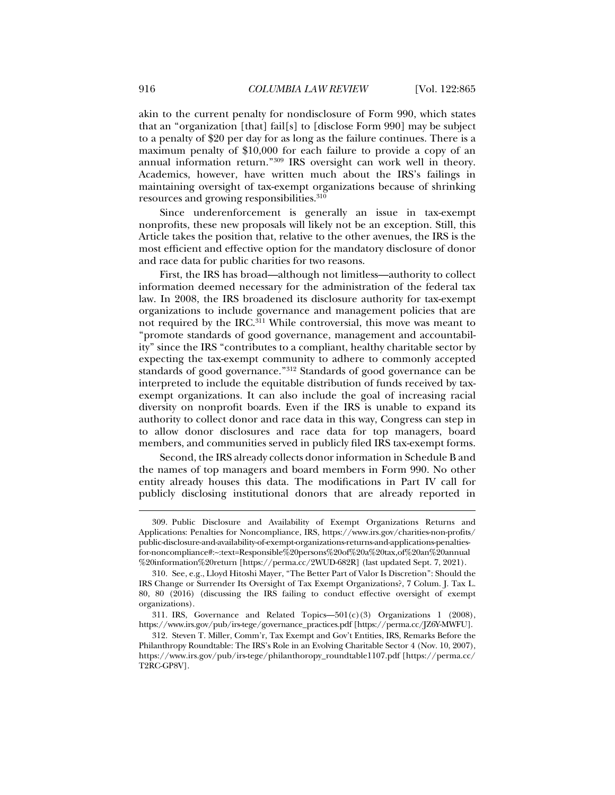akin to the current penalty for nondisclosure of Form 990, which states that an "organization [that] fail[s] to [disclose Form 990] may be subject to a penalty of \$20 per day for as long as the failure continues. There is a maximum penalty of \$10,000 for each failure to provide a copy of an annual information return."309 IRS oversight can work well in theory. Academics, however, have written much about the IRS's failings in maintaining oversight of tax-exempt organizations because of shrinking resources and growing responsibilities.<sup>310</sup>

Since underenforcement is generally an issue in tax-exempt nonprofits, these new proposals will likely not be an exception. Still, this Article takes the position that, relative to the other avenues, the IRS is the most efficient and effective option for the mandatory disclosure of donor and race data for public charities for two reasons.

First, the IRS has broad—although not limitless—authority to collect information deemed necessary for the administration of the federal tax law. In 2008, the IRS broadened its disclosure authority for tax-exempt organizations to include governance and management policies that are not required by the IRC.<sup>311</sup> While controversial, this move was meant to "promote standards of good governance, management and accountability" since the IRS "contributes to a compliant, healthy charitable sector by expecting the tax-exempt community to adhere to commonly accepted standards of good governance."312 Standards of good governance can be interpreted to include the equitable distribution of funds received by taxexempt organizations. It can also include the goal of increasing racial diversity on nonprofit boards. Even if the IRS is unable to expand its authority to collect donor and race data in this way, Congress can step in to allow donor disclosures and race data for top managers, board members, and communities served in publicly filed IRS tax-exempt forms.

Second, the IRS already collects donor information in Schedule B and the names of top managers and board members in Form 990. No other entity already houses this data. The modifications in Part IV call for publicly disclosing institutional donors that are already reported in

 <sup>309.</sup> Public Disclosure and Availability of Exempt Organizations Returns and Applications: Penalties for Noncompliance, IRS, https://www.irs.gov/charities-non-profits/ public-disclosure-and-availability-of-exempt-organizations-returns-and-applications-penaltiesfor-noncompliance#:~:text=Responsible%20persons%20of%20a%20tax,of%20an%20annual %20information%20return [https://perma.cc/2WUD-682R] (last updated Sept. 7, 2021).

 <sup>310.</sup> See, e.g., Lloyd Hitoshi Mayer, "The Better Part of Valor Is Discretion": Should the IRS Change or Surrender Its Oversight of Tax Exempt Organizations?, 7 Colum. J. Tax L. 80, 80 (2016) (discussing the IRS failing to conduct effective oversight of exempt organizations).

<sup>311.</sup> IRS, Governance and Related Topics— $501(c)(3)$  Organizations 1 (2008), https://www.irs.gov/pub/irs-tege/governance\_practices.pdf [https://perma.cc/JZ6Y-MWFU].

 <sup>312.</sup> Steven T. Miller, Comm'r, Tax Exempt and Gov't Entities, IRS, Remarks Before the Philanthropy Roundtable: The IRS's Role in an Evolving Charitable Sector 4 (Nov. 10, 2007), https://www.irs.gov/pub/irs-tege/philanthoropy\_roundtable1107.pdf [https://perma.cc/ T2RC-GP8V].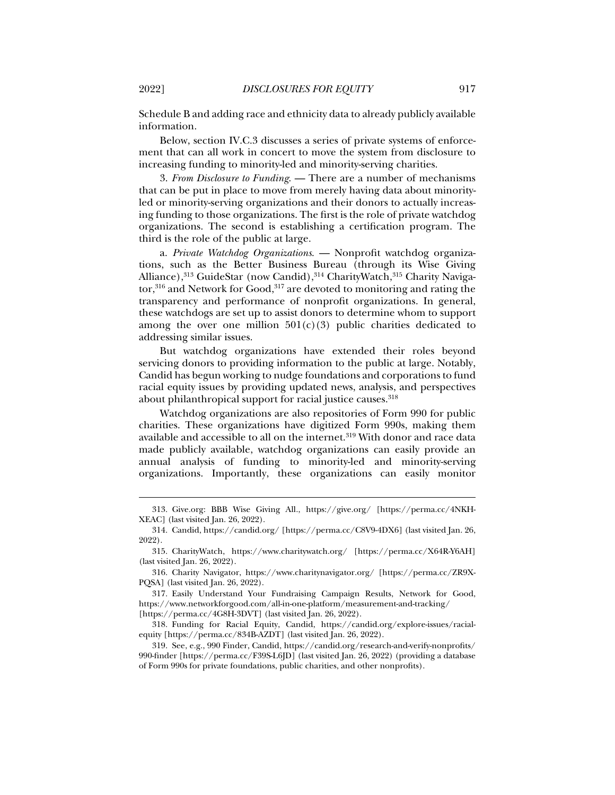Schedule B and adding race and ethnicity data to already publicly available information.

Below, section IV.C.3 discusses a series of private systems of enforcement that can all work in concert to move the system from disclosure to increasing funding to minority-led and minority-serving charities.

3. *From Disclosure to Funding*. — There are a number of mechanisms that can be put in place to move from merely having data about minorityled or minority-serving organizations and their donors to actually increasing funding to those organizations. The first is the role of private watchdog organizations. The second is establishing a certification program. The third is the role of the public at large.

a. *Private Watchdog Organizations*. — Nonprofit watchdog organizations, such as the Better Business Bureau (through its Wise Giving Alliance),<sup>313</sup> GuideStar (now Candid),<sup>314</sup> CharityWatch,<sup>315</sup> Charity Navigator, $316$  and Network for Good, $317$  are devoted to monitoring and rating the transparency and performance of nonprofit organizations. In general, these watchdogs are set up to assist donors to determine whom to support among the over one million  $501(c)(3)$  public charities dedicated to addressing similar issues.

But watchdog organizations have extended their roles beyond servicing donors to providing information to the public at large. Notably, Candid has begun working to nudge foundations and corporations to fund racial equity issues by providing updated news, analysis, and perspectives about philanthropical support for racial justice causes.<sup>318</sup>

Watchdog organizations are also repositories of Form 990 for public charities. These organizations have digitized Form 990s, making them available and accessible to all on the internet.<sup>319</sup> With donor and race data made publicly available, watchdog organizations can easily provide an annual analysis of funding to minority-led and minority-serving organizations. Importantly, these organizations can easily monitor

 <sup>313.</sup> Give.org: BBB Wise Giving All., https://give.org/ [https://perma.cc/4NKH-XEAC] (last visited Jan. 26, 2022).

 <sup>314.</sup> Candid, https://candid.org/ [https://perma.cc/C8V9-4DX6] (last visited Jan. 26, 2022).

 <sup>315.</sup> CharityWatch, https://www.charitywatch.org/ [https://perma.cc/X64R-Y6AH] (last visited Jan. 26, 2022).

 <sup>316.</sup> Charity Navigator, https://www.charitynavigator.org/ [https://perma.cc/ZR9X-PQSA] (last visited Jan. 26, 2022).

 <sup>317.</sup> Easily Understand Your Fundraising Campaign Results, Network for Good, https://www.networkforgood.com/all-in-one-platform/measurement-and-tracking/ [https://perma.cc/4G8H-3DVT] (last visited Jan. 26, 2022).

 <sup>318.</sup> Funding for Racial Equity, Candid, https://candid.org/explore-issues/racialequity [https://perma.cc/834B-AZDT] (last visited Jan. 26, 2022).

 <sup>319.</sup> See, e.g., 990 Finder, Candid, https://candid.org/research-and-verify-nonprofits/ 990-finder [https://perma.cc/F39S-L6JD] (last visited Jan. 26, 2022) (providing a database of Form 990s for private foundations, public charities, and other nonprofits).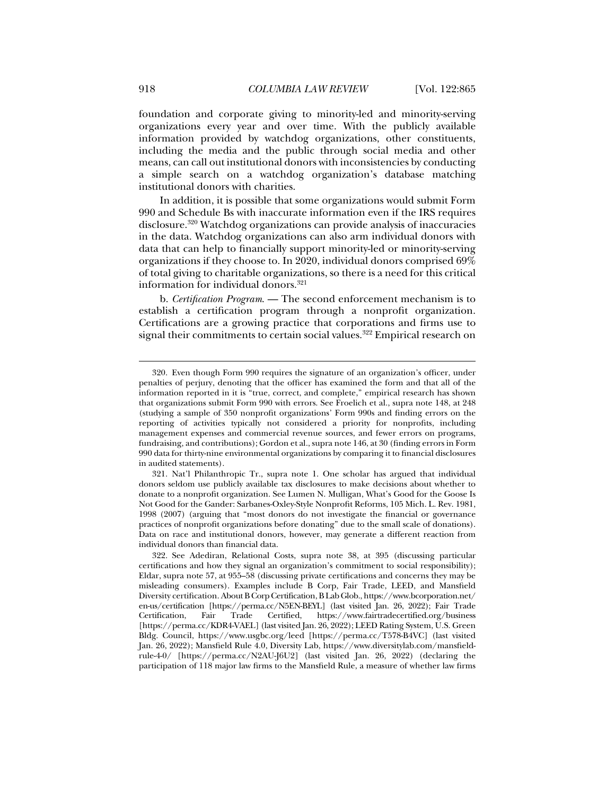foundation and corporate giving to minority-led and minority-serving organizations every year and over time. With the publicly available information provided by watchdog organizations, other constituents, including the media and the public through social media and other means, can call out institutional donors with inconsistencies by conducting a simple search on a watchdog organization's database matching institutional donors with charities.

In addition, it is possible that some organizations would submit Form 990 and Schedule Bs with inaccurate information even if the IRS requires disclosure.<sup>320</sup> Watchdog organizations can provide analysis of inaccuracies in the data. Watchdog organizations can also arm individual donors with data that can help to financially support minority-led or minority-serving organizations if they choose to. In 2020, individual donors comprised 69% of total giving to charitable organizations, so there is a need for this critical information for individual donors.<sup>321</sup>

b. *Certification Program*. — The second enforcement mechanism is to establish a certification program through a nonprofit organization. Certifications are a growing practice that corporations and firms use to signal their commitments to certain social values.<sup>322</sup> Empirical research on

 <sup>320.</sup> Even though Form 990 requires the signature of an organization's officer, under penalties of perjury, denoting that the officer has examined the form and that all of the information reported in it is "true, correct, and complete," empirical research has shown that organizations submit Form 990 with errors. See Froelich et al., supra note 148, at 248 (studying a sample of 350 nonprofit organizations' Form 990s and finding errors on the reporting of activities typically not considered a priority for nonprofits, including management expenses and commercial revenue sources, and fewer errors on programs, fundraising, and contributions); Gordon et al., supra note 146, at 30 (finding errors in Form 990 data for thirty-nine environmental organizations by comparing it to financial disclosures in audited statements).

 <sup>321.</sup> Nat'l Philanthropic Tr., supra note 1. One scholar has argued that individual donors seldom use publicly available tax disclosures to make decisions about whether to donate to a nonprofit organization. See Lumen N. Mulligan, What's Good for the Goose Is Not Good for the Gander: Sarbanes-Oxley-Style Nonprofit Reforms, 105 Mich. L. Rev. 1981, 1998 (2007) (arguing that "most donors do not investigate the financial or governance practices of nonprofit organizations before donating" due to the small scale of donations). Data on race and institutional donors, however, may generate a different reaction from individual donors than financial data.

 <sup>322.</sup> See Adediran, Relational Costs, supra note 38, at 395 (discussing particular certifications and how they signal an organization's commitment to social responsibility); Eldar, supra note 57, at 955–58 (discussing private certifications and concerns they may be misleading consumers). Examples include B Corp, Fair Trade, LEED, and Mansfield Diversity certification. About B Corp Certification, B Lab Glob., https://www.bcorporation.net/ en-us/certification [https://perma.cc/N5EN-BEYL] (last visited Jan. 26, 2022); Fair Trade Certification, Fair Trade Certified, https://www.fairtradecertified.org/business [https://perma.cc/KDR4-VAEL] (last visited Jan. 26, 2022); LEED Rating System, U.S. Green Bldg. Council, https://www.usgbc.org/leed [https://perma.cc/T578-B4VC] (last visited Jan. 26, 2022); Mansfield Rule 4.0, Diversity Lab, https://www.diversitylab.com/mansfieldrule-4-0/ [https://perma.cc/N2AU-J6U2] (last visited Jan. 26, 2022) (declaring the participation of 118 major law firms to the Mansfield Rule, a measure of whether law firms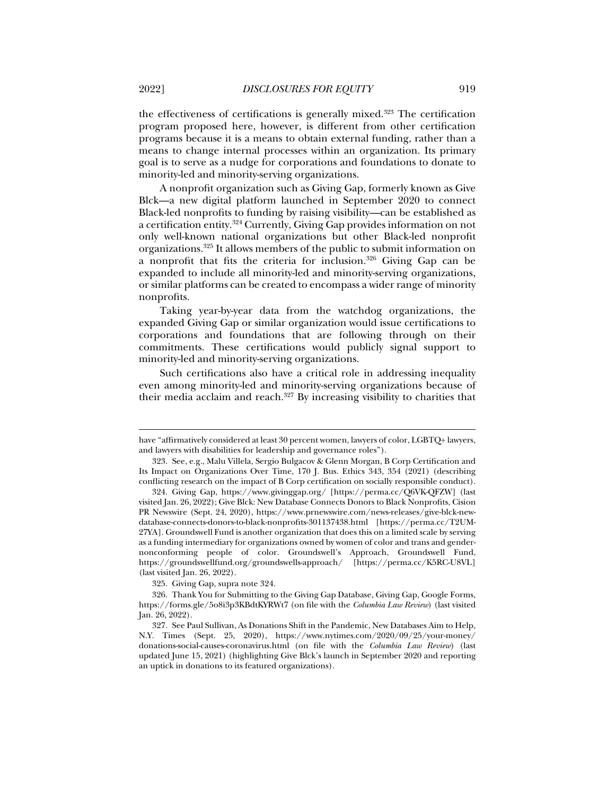the effectiveness of certifications is generally mixed.323 The certification program proposed here, however, is different from other certification programs because it is a means to obtain external funding, rather than a means to change internal processes within an organization. Its primary goal is to serve as a nudge for corporations and foundations to donate to minority-led and minority-serving organizations.

A nonprofit organization such as Giving Gap, formerly known as Give Blck—a new digital platform launched in September 2020 to connect Black-led nonprofits to funding by raising visibility—can be established as a certification entity.324 Currently, Giving Gap provides information on not only well-known national organizations but other Black-led nonprofit organizations.325 It allows members of the public to submit information on a nonprofit that fits the criteria for inclusion.326 Giving Gap can be expanded to include all minority-led and minority-serving organizations, or similar platforms can be created to encompass a wider range of minority nonprofits.

Taking year-by-year data from the watchdog organizations, the expanded Giving Gap or similar organization would issue certifications to corporations and foundations that are following through on their commitments. These certifications would publicly signal support to minority-led and minority-serving organizations.

Such certifications also have a critical role in addressing inequality even among minority-led and minority-serving organizations because of their media acclaim and reach. $327$  By increasing visibility to charities that

325. Giving Gap, supra note 324.

have "affirmatively considered at least 30 percent women, lawyers of color, LGBTQ+ lawyers, and lawyers with disabilities for leadership and governance roles").

 <sup>323.</sup> See, e.g., Malu Villela, Sergio Bulgacov & Glenn Morgan, B Corp Certification and Its Impact on Organizations Over Time, 170 J. Bus. Ethics 343, 354 (2021) (describing conflicting research on the impact of B Corp certification on socially responsible conduct).

 <sup>324.</sup> Giving Gap, https://www.givinggap.org/ [https://perma.cc/Q6VK-QFZW] (last visited Jan. 26, 2022); Give Blck: New Database Connects Donors to Black Nonprofits, Cision PR Newswire (Sept. 24, 2020), https://www.prnewswire.com/news-releases/give-blck-newdatabase-connects-donors-to-black-nonprofits-301137438.html [https://perma.cc/T2UM-27YA]. Groundswell Fund is another organization that does this on a limited scale by serving as a funding intermediary for organizations owned by women of color and trans and gendernonconforming people of color. Groundswell's Approach, Groundswell Fund, https://groundswellfund.org/groundswells-approach/ [https://perma.cc/K5RC-U8VL] (last visited Jan. 26, 2022).

 <sup>326.</sup> Thank You for Submitting to the Giving Gap Database, Giving Gap, Google Forms, https://forms.gle/5o8i3p3KBdtKYRWt7 (on file with the *Columbia Law Review*) (last visited Jan. 26, 2022).

 <sup>327.</sup> See Paul Sullivan, As Donations Shift in the Pandemic, New Databases Aim to Help, N.Y. Times (Sept. 25, 2020), https://www.nytimes.com/2020/09/25/your-money/ donations-social-causes-coronavirus.html (on file with the *Columbia Law Review*) (last updated June 15, 2021) (highlighting Give Blck's launch in September 2020 and reporting an uptick in donations to its featured organizations).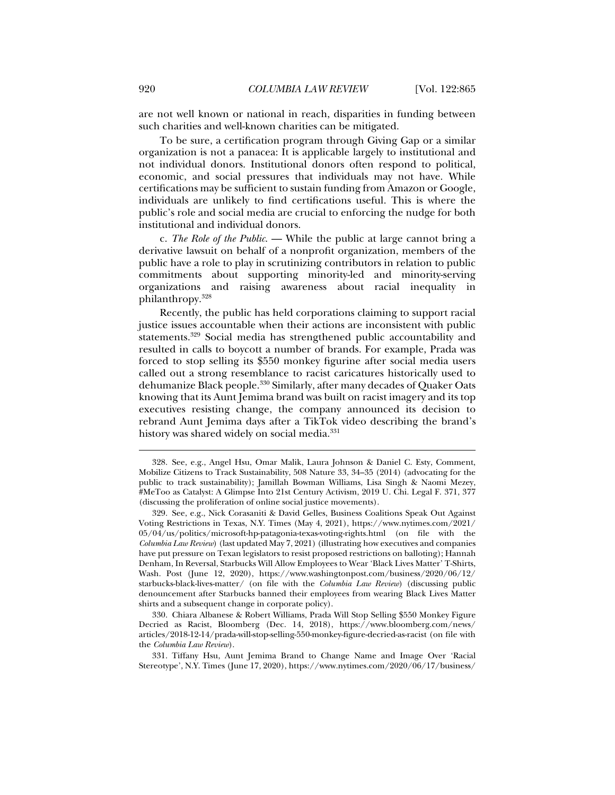are not well known or national in reach, disparities in funding between such charities and well-known charities can be mitigated.

To be sure, a certification program through Giving Gap or a similar organization is not a panacea: It is applicable largely to institutional and not individual donors. Institutional donors often respond to political, economic, and social pressures that individuals may not have. While certifications may be sufficient to sustain funding from Amazon or Google, individuals are unlikely to find certifications useful. This is where the public's role and social media are crucial to enforcing the nudge for both institutional and individual donors.

c. *The Role of the Public*. — While the public at large cannot bring a derivative lawsuit on behalf of a nonprofit organization, members of the public have a role to play in scrutinizing contributors in relation to public commitments about supporting minority-led and minority-serving organizations and raising awareness about racial inequality in philanthropy.328

Recently, the public has held corporations claiming to support racial justice issues accountable when their actions are inconsistent with public statements.329 Social media has strengthened public accountability and resulted in calls to boycott a number of brands. For example, Prada was forced to stop selling its \$550 monkey figurine after social media users called out a strong resemblance to racist caricatures historically used to dehumanize Black people.330 Similarly, after many decades of Quaker Oats knowing that its Aunt Jemima brand was built on racist imagery and its top executives resisting change, the company announced its decision to rebrand Aunt Jemima days after a TikTok video describing the brand's history was shared widely on social media.<sup>331</sup>

 <sup>328.</sup> See, e.g., Angel Hsu, Omar Malik, Laura Johnson & Daniel C. Esty, Comment, Mobilize Citizens to Track Sustainability, 508 Nature 33, 34–35 (2014) (advocating for the public to track sustainability); Jamillah Bowman Williams, Lisa Singh & Naomi Mezey, #MeToo as Catalyst: A Glimpse Into 21st Century Activism, 2019 U. Chi. Legal F. 371, 377 (discussing the proliferation of online social justice movements).

 <sup>329.</sup> See, e.g., Nick Corasaniti & David Gelles, Business Coalitions Speak Out Against Voting Restrictions in Texas, N.Y. Times (May 4, 2021), https://www.nytimes.com/2021/ 05/04/us/politics/microsoft-hp-patagonia-texas-voting-rights.html (on file with the *Columbia Law Review*) (last updated May 7, 2021) (illustrating how executives and companies have put pressure on Texan legislators to resist proposed restrictions on balloting); Hannah Denham, In Reversal, Starbucks Will Allow Employees to Wear 'Black Lives Matter' T-Shirts, Wash. Post (June 12, 2020), https://www.washingtonpost.com/business/2020/06/12/ starbucks-black-lives-matter/ (on file with the *Columbia Law Review*) (discussing public denouncement after Starbucks banned their employees from wearing Black Lives Matter shirts and a subsequent change in corporate policy).

 <sup>330.</sup> Chiara Albanese & Robert Williams, Prada Will Stop Selling \$550 Monkey Figure Decried as Racist, Bloomberg (Dec. 14, 2018), https://www.bloomberg.com/news/ articles/2018-12-14/prada-will-stop-selling-550-monkey-figure-decried-as-racist (on file with the *Columbia Law Review*).

 <sup>331.</sup> Tiffany Hsu, Aunt Jemima Brand to Change Name and Image Over 'Racial Stereotype', N.Y. Times (June 17, 2020), https://www.nytimes.com/2020/06/17/business/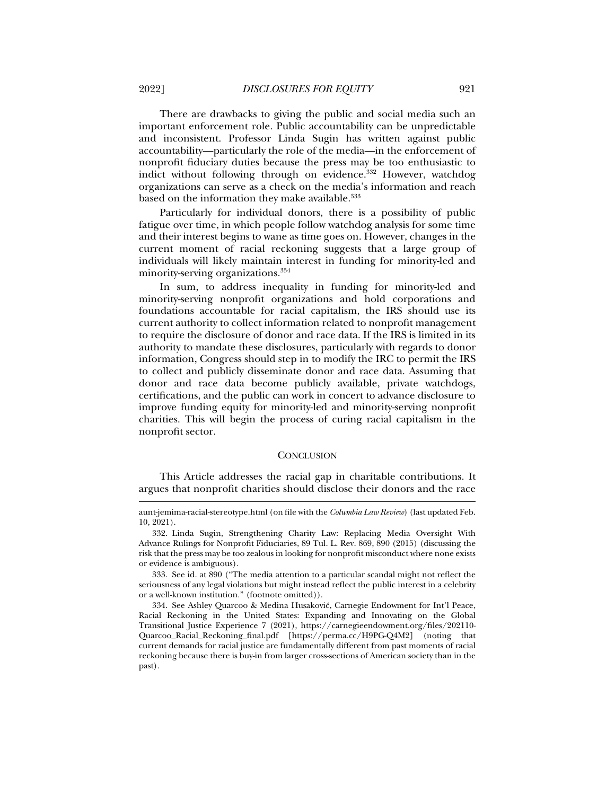There are drawbacks to giving the public and social media such an important enforcement role. Public accountability can be unpredictable and inconsistent. Professor Linda Sugin has written against public accountability—particularly the role of the media—in the enforcement of nonprofit fiduciary duties because the press may be too enthusiastic to indict without following through on evidence.<sup>332</sup> However, watchdog organizations can serve as a check on the media's information and reach based on the information they make available.<sup>333</sup>

Particularly for individual donors, there is a possibility of public fatigue over time, in which people follow watchdog analysis for some time and their interest begins to wane as time goes on. However, changes in the current moment of racial reckoning suggests that a large group of individuals will likely maintain interest in funding for minority-led and minority-serving organizations.334

In sum, to address inequality in funding for minority-led and minority-serving nonprofit organizations and hold corporations and foundations accountable for racial capitalism, the IRS should use its current authority to collect information related to nonprofit management to require the disclosure of donor and race data. If the IRS is limited in its authority to mandate these disclosures, particularly with regards to donor information, Congress should step in to modify the IRC to permit the IRS to collect and publicly disseminate donor and race data. Assuming that donor and race data become publicly available, private watchdogs, certifications, and the public can work in concert to advance disclosure to improve funding equity for minority-led and minority-serving nonprofit charities. This will begin the process of curing racial capitalism in the nonprofit sector.

#### **CONCLUSION**

This Article addresses the racial gap in charitable contributions. It argues that nonprofit charities should disclose their donors and the race

aunt-jemima-racial-stereotype.html (on file with the *Columbia Law Review*) (last updated Feb. 10, 2021).

 <sup>332.</sup> Linda Sugin, Strengthening Charity Law: Replacing Media Oversight With Advance Rulings for Nonprofit Fiduciaries, 89 Tul. L. Rev. 869, 890 (2015) (discussing the risk that the press may be too zealous in looking for nonprofit misconduct where none exists or evidence is ambiguous).

 <sup>333.</sup> See id. at 890 ("The media attention to a particular scandal might not reflect the seriousness of any legal violations but might instead reflect the public interest in a celebrity or a well-known institution." (footnote omitted)).

 <sup>334.</sup> See Ashley Quarcoo & Medina Husaković, Carnegie Endowment for Int'l Peace, Racial Reckoning in the United States: Expanding and Innovating on the Global Transitional Justice Experience 7 (2021), https://carnegieendowment.org/files/202110- Quarcoo\_Racial\_Reckoning\_final.pdf [https://perma.cc/H9PG-Q4M2] (noting that current demands for racial justice are fundamentally different from past moments of racial reckoning because there is buy-in from larger cross-sections of American society than in the past).